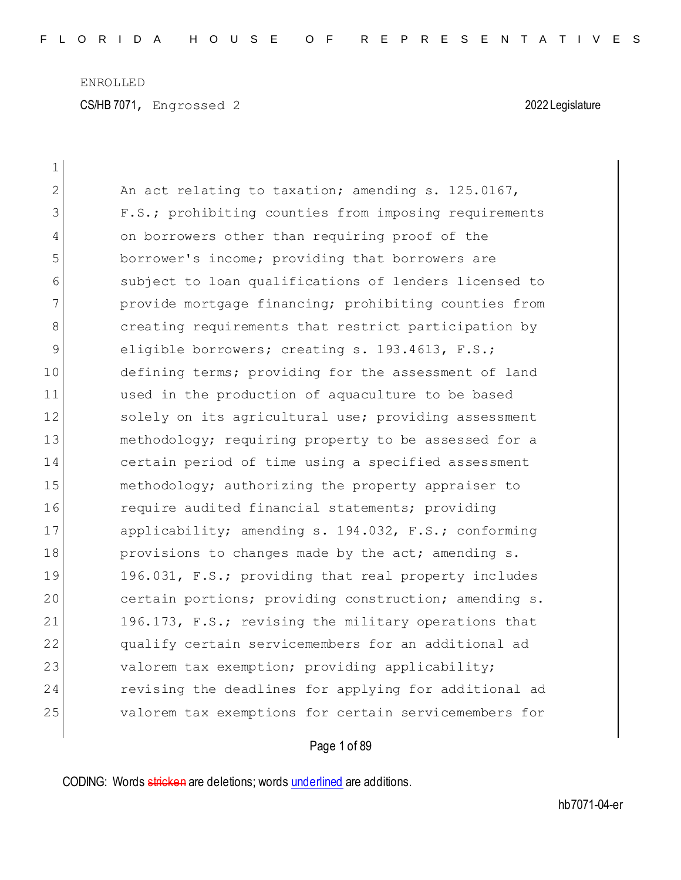CS/HB 7071, Engrossed 2 2022 Legislature

| $\mathbf 1$    |                                                       |
|----------------|-------------------------------------------------------|
| $\overline{2}$ | An act relating to taxation; amending s. 125.0167,    |
| 3              | F.S.; prohibiting counties from imposing requirements |
| $\overline{4}$ | on borrowers other than requiring proof of the        |
| 5              | borrower's income; providing that borrowers are       |
| 6              | subject to loan qualifications of lenders licensed to |
| 7              | provide mortgage financing; prohibiting counties from |
| 8              | creating requirements that restrict participation by  |
| 9              | eligible borrowers; creating s. 193.4613, F.S.;       |
| 10             | defining terms; providing for the assessment of land  |
| 11             | used in the production of aquaculture to be based     |
| 12             | solely on its agricultural use; providing assessment  |
| 13             | methodology; requiring property to be assessed for a  |
| 14             | certain period of time using a specified assessment   |
| 15             | methodology; authorizing the property appraiser to    |
| 16             | require audited financial statements; providing       |
| 17             | applicability; amending s. 194.032, F.S.; conforming  |
| 18             | provisions to changes made by the act; amending s.    |
| 19             | 196.031, F.S.; providing that real property includes  |
| 20             | certain portions; providing construction; amending s. |
| 21             | 196.173, F.S.; revising the military operations that  |
| 22             | qualify certain servicemembers for an additional ad   |
| 23             | valorem tax exemption; providing applicability;       |
| 24             | revising the deadlines for applying for additional ad |
| 25             | valorem tax exemptions for certain servicemembers for |

Page 1 of 89

CODING: Words stricken are deletions; words underlined are additions.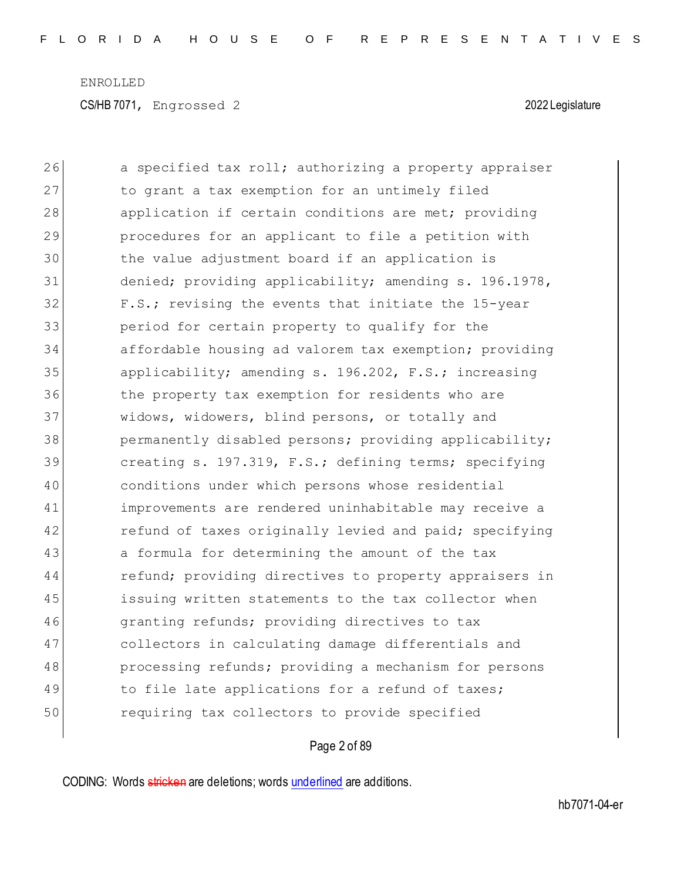| 26 | a specified tax roll; authorizing a property appraiser |
|----|--------------------------------------------------------|
| 27 | to grant a tax exemption for an untimely filed         |
| 28 | application if certain conditions are met; providing   |
| 29 | procedures for an applicant to file a petition with    |
| 30 | the value adjustment board if an application is        |
| 31 | denied; providing applicability; amending s. 196.1978, |
| 32 | F.S.; revising the events that initiate the 15-year    |
| 33 | period for certain property to qualify for the         |
| 34 | affordable housing ad valorem tax exemption; providing |
| 35 | applicability; amending s. 196.202, F.S.; increasing   |
| 36 | the property tax exemption for residents who are       |
| 37 | widows, widowers, blind persons, or totally and        |
| 38 | permanently disabled persons; providing applicability; |
| 39 | creating s. 197.319, F.S.; defining terms; specifying  |
| 40 | conditions under which persons whose residential       |
| 41 | improvements are rendered uninhabitable may receive a  |
| 42 | refund of taxes originally levied and paid; specifying |
| 43 | a formula for determining the amount of the tax        |
| 44 | refund; providing directives to property appraisers in |
| 45 | issuing written statements to the tax collector when   |
| 46 | granting refunds; providing directives to tax          |
| 47 | collectors in calculating damage differentials and     |
| 48 | processing refunds; providing a mechanism for persons  |
| 49 | to file late applications for a refund of taxes;       |
| 50 | requiring tax collectors to provide specified          |

## Page 2 of 89

CODING: Words stricken are deletions; words underlined are additions.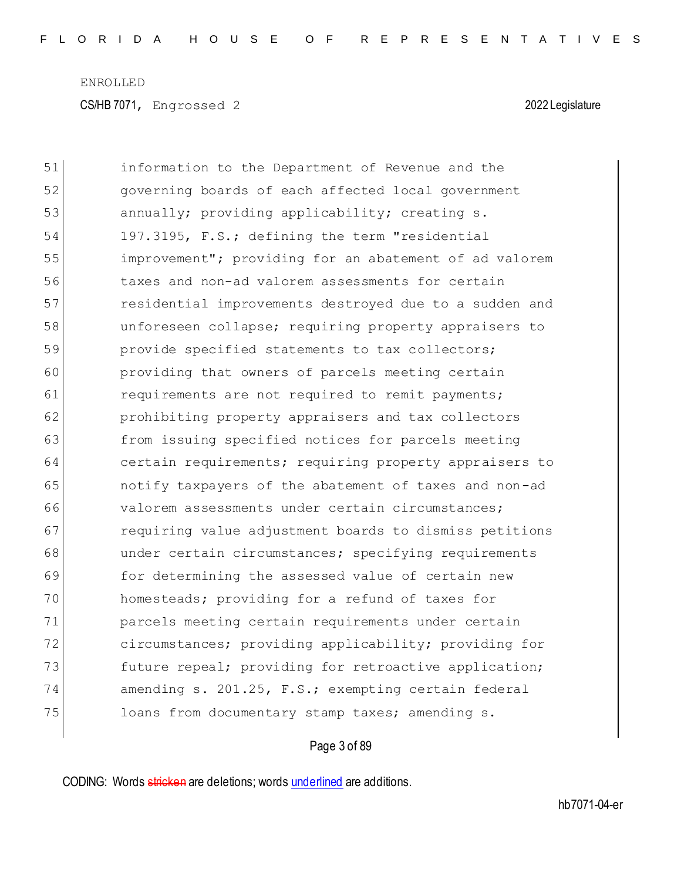| 51 | information to the Department of Revenue and the       |
|----|--------------------------------------------------------|
| 52 | governing boards of each affected local government     |
| 53 | annually; providing applicability; creating s.         |
| 54 | 197.3195, F.S.; defining the term "residential         |
| 55 | improvement"; providing for an abatement of ad valorem |
| 56 | taxes and non-ad valorem assessments for certain       |
| 57 | residential improvements destroyed due to a sudden and |
| 58 | unforeseen collapse; requiring property appraisers to  |
| 59 | provide specified statements to tax collectors;        |
| 60 | providing that owners of parcels meeting certain       |
| 61 | requirements are not required to remit payments;       |
| 62 | prohibiting property appraisers and tax collectors     |
| 63 | from issuing specified notices for parcels meeting     |
| 64 | certain requirements; requiring property appraisers to |
| 65 | notify taxpayers of the abatement of taxes and non-ad  |
| 66 | valorem assessments under certain circumstances;       |
| 67 | requiring value adjustment boards to dismiss petitions |
| 68 | under certain circumstances; specifying requirements   |
| 69 | for determining the assessed value of certain new      |
| 70 | homesteads; providing for a refund of taxes for        |
| 71 | parcels meeting certain requirements under certain     |
| 72 | circumstances; providing applicability; providing for  |
| 73 | future repeal; providing for retroactive application;  |
| 74 | amending s. 201.25, F.S.; exempting certain federal    |
| 75 | loans from documentary stamp taxes; amending s.        |

## Page 3 of 89

CODING: Words stricken are deletions; words underlined are additions.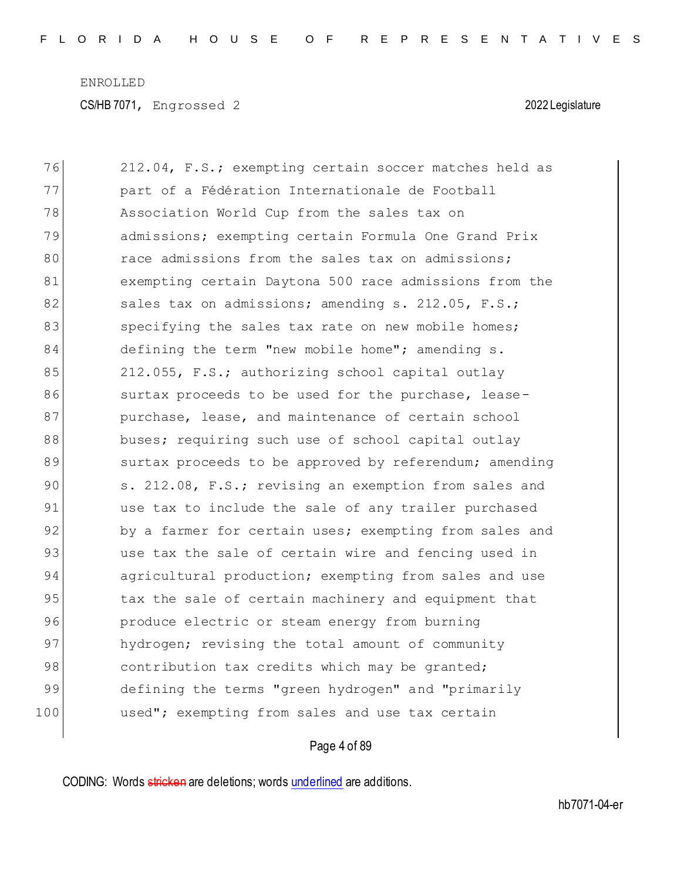76 212.04, F.S.; exempting certain soccer matches held as 77 part of a Fédération Internationale de Football 78 Association World Cup from the sales tax on 79 admissions; exempting certain Formula One Grand Prix 80 **race admissions from the sales tax on admissions:** 81 exempting certain Daytona 500 race admissions from the 82 sales tax on admissions; amending s. 212.05, F.S.; 83 specifying the sales tax rate on new mobile homes; 84 defining the term "new mobile home"; amending s. 85 212.055, F.S.; authorizing school capital outlay 86 surtax proceeds to be used for the purchase, lease-87 **purchase, lease, and maintenance of certain school** 88 buses; requiring such use of school capital outlay 89 surtax proceeds to be approved by referendum; amending 90 s. 212.08, F.S.; revising an exemption from sales and 91 use tax to include the sale of any trailer purchased 92 by a farmer for certain uses; exempting from sales and 93 use tax the sale of certain wire and fencing used in 94 agricultural production; exempting from sales and use 95 tax the sale of certain machinery and equipment that 96 produce electric or steam energy from burning 97 hydrogen; revising the total amount of community 98 contribution tax credits which may be granted; 99 defining the terms "green hydrogen" and "primarily 100 **used";** exempting from sales and use tax certain

### Page 4 of 89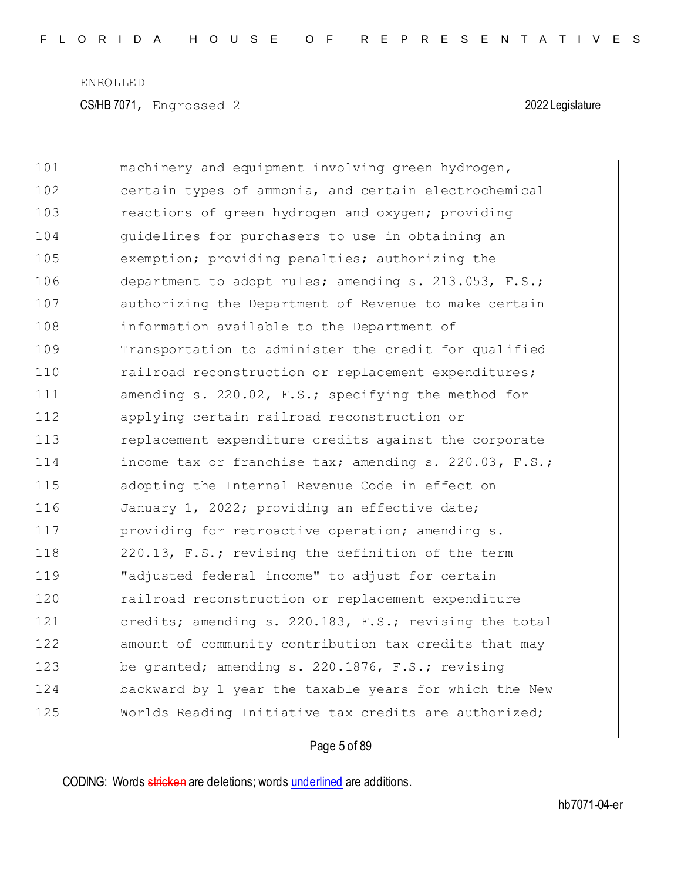| 101 | machinery and equipment involving green hydrogen,      |
|-----|--------------------------------------------------------|
| 102 | certain types of ammonia, and certain electrochemical  |
| 103 | reactions of green hydrogen and oxygen; providing      |
| 104 | quidelines for purchasers to use in obtaining an       |
| 105 | exemption; providing penalties; authorizing the        |
| 106 | department to adopt rules; amending s. 213.053, F.S.;  |
| 107 | authorizing the Department of Revenue to make certain  |
| 108 | information available to the Department of             |
| 109 | Transportation to administer the credit for qualified  |
| 110 | railroad reconstruction or replacement expenditures;   |
| 111 | amending s. 220.02, F.S.; specifying the method for    |
| 112 | applying certain railroad reconstruction or            |
| 113 | replacement expenditure credits against the corporate  |
| 114 | income tax or franchise tax; amending s. 220.03, F.S.; |
| 115 | adopting the Internal Revenue Code in effect on        |
| 116 | January 1, 2022; providing an effective date;          |
| 117 | providing for retroactive operation; amending s.       |
| 118 | 220.13, F.S.; revising the definition of the term      |
| 119 | "adjusted federal income" to adjust for certain        |
| 120 | railroad reconstruction or replacement expenditure     |
| 121 | credits; amending s. 220.183, F.S.; revising the total |
| 122 | amount of community contribution tax credits that may  |
| 123 | be granted; amending s. 220.1876, F.S.; revising       |
| 124 | backward by 1 year the taxable years for which the New |
| 125 | Worlds Reading Initiative tax credits are authorized;  |

Page 5 of 89

CODING: Words stricken are deletions; words underlined are additions.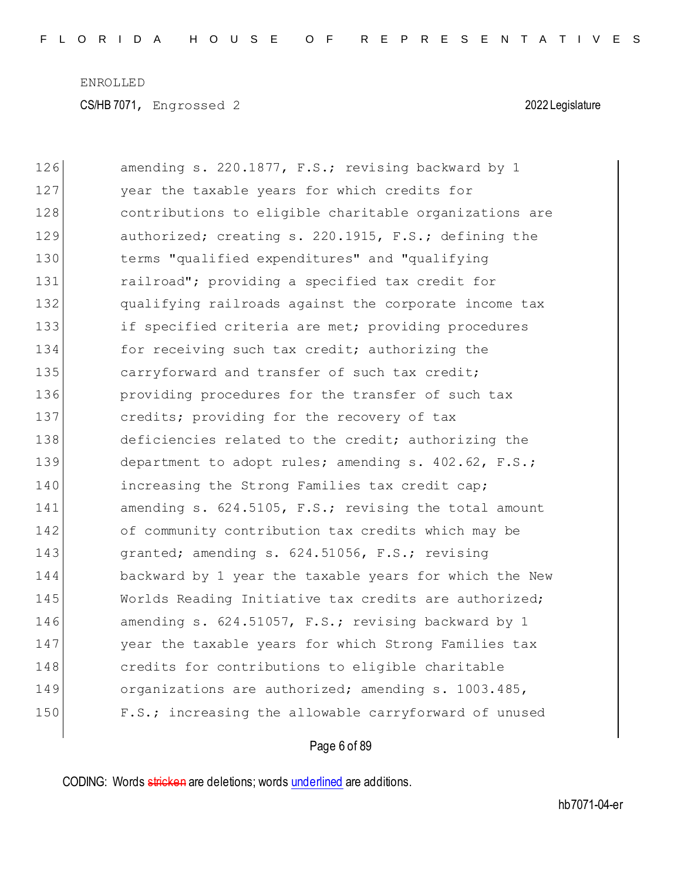| 126 | amending s. 220.1877, F.S.; revising backward by 1     |
|-----|--------------------------------------------------------|
| 127 | year the taxable years for which credits for           |
| 128 | contributions to eligible charitable organizations are |
| 129 | authorized; creating s. 220.1915, F.S.; defining the   |
| 130 | terms "qualified expenditures" and "qualifying         |
| 131 | railroad"; providing a specified tax credit for        |
| 132 | qualifying railroads against the corporate income tax  |
| 133 | if specified criteria are met; providing procedures    |
| 134 | for receiving such tax credit; authorizing the         |
| 135 | carryforward and transfer of such tax credit;          |
| 136 | providing procedures for the transfer of such tax      |
| 137 | credits; providing for the recovery of tax             |
| 138 | deficiencies related to the credit; authorizing the    |
| 139 | department to adopt rules; amending s. 402.62, F.S.;   |
| 140 | increasing the Strong Families tax credit cap;         |
| 141 | amending s. 624.5105, F.S.; revising the total amount  |
| 142 | of community contribution tax credits which may be     |
| 143 | granted; amending s. 624.51056, F.S.; revising         |
| 144 | backward by 1 year the taxable years for which the New |
| 145 | Worlds Reading Initiative tax credits are authorized;  |
| 146 | amending s. 624.51057, F.S.; revising backward by 1    |
| 147 | year the taxable years for which Strong Families tax   |
| 148 | credits for contributions to eligible charitable       |
| 149 | organizations are authorized; amending s. 1003.485,    |
| 150 | F.S.; increasing the allowable carryforward of unused  |
|     |                                                        |

## Page 6 of 89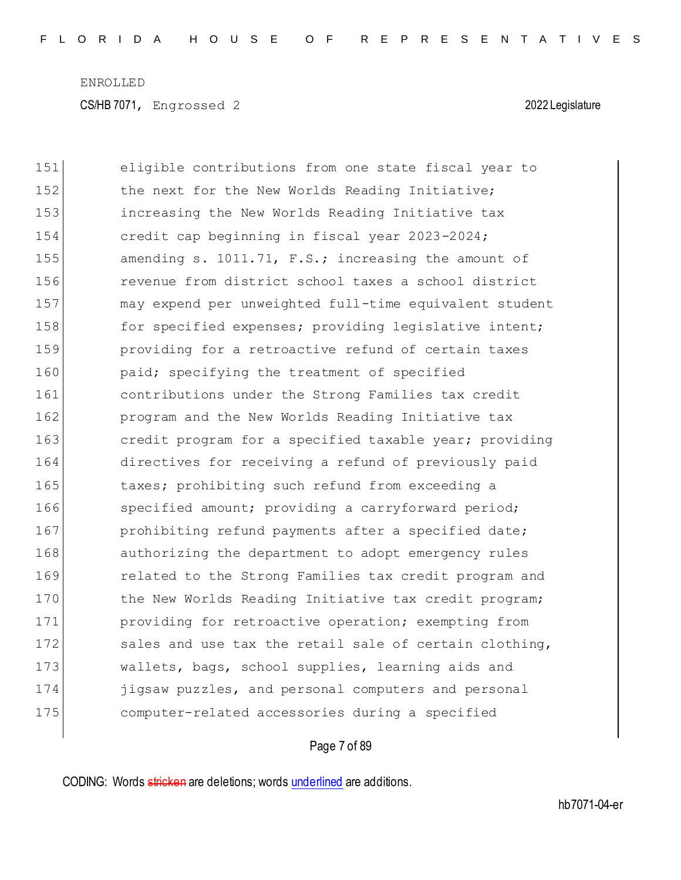| 151 | eligible contributions from one state fiscal year to   |
|-----|--------------------------------------------------------|
| 152 | the next for the New Worlds Reading Initiative;        |
| 153 | increasing the New Worlds Reading Initiative tax       |
| 154 | credit cap beginning in fiscal year 2023-2024;         |
| 155 | amending s. 1011.71, F.S.; increasing the amount of    |
| 156 | revenue from district school taxes a school district   |
| 157 | may expend per unweighted full-time equivalent student |
| 158 | for specified expenses; providing legislative intent;  |
| 159 | providing for a retroactive refund of certain taxes    |
| 160 | paid; specifying the treatment of specified            |
| 161 | contributions under the Strong Families tax credit     |
| 162 | program and the New Worlds Reading Initiative tax      |
| 163 | credit program for a specified taxable year; providing |
| 164 | directives for receiving a refund of previously paid   |
| 165 | taxes; prohibiting such refund from exceeding a        |
| 166 | specified amount; providing a carryforward period;     |
| 167 | prohibiting refund payments after a specified date;    |
| 168 | authorizing the department to adopt emergency rules    |
| 169 | related to the Strong Families tax credit program and  |
| 170 | the New Worlds Reading Initiative tax credit program;  |
| 171 | providing for retroactive operation; exempting from    |
| 172 | sales and use tax the retail sale of certain clothing, |
| 173 | wallets, bags, school supplies, learning aids and      |
| 174 | jigsaw puzzles, and personal computers and personal    |
| 175 | computer-related accessories during a specified        |

Page 7 of 89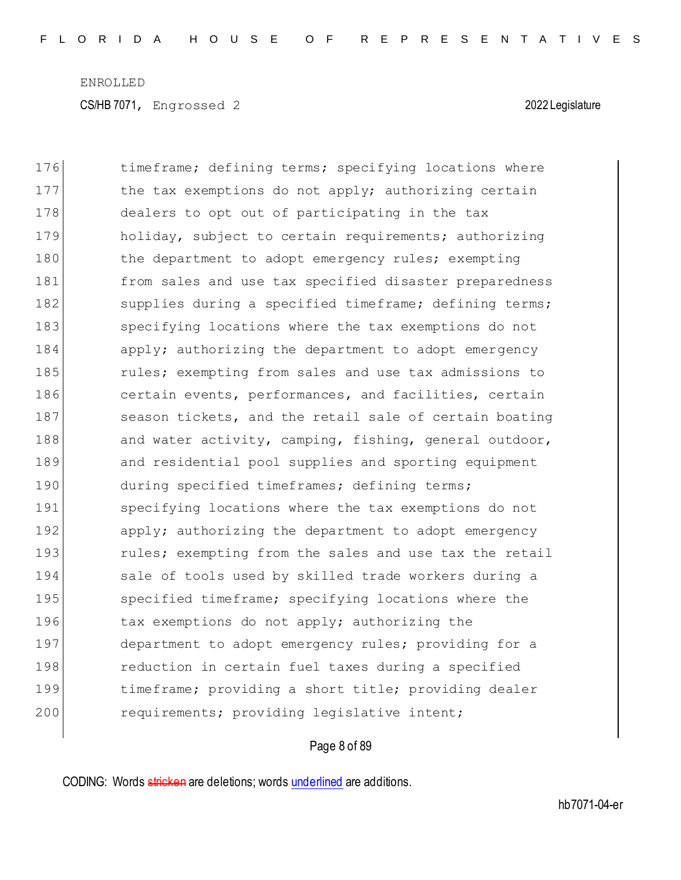| 176 | timeframe; defining terms; specifying locations where  |
|-----|--------------------------------------------------------|
| 177 | the tax exemptions do not apply; authorizing certain   |
| 178 | dealers to opt out of participating in the tax         |
| 179 | holiday, subject to certain requirements; authorizing  |
| 180 | the department to adopt emergency rules; exempting     |
| 181 | from sales and use tax specified disaster preparedness |
| 182 | supplies during a specified timeframe; defining terms; |
| 183 | specifying locations where the tax exemptions do not   |
| 184 | apply; authorizing the department to adopt emergency   |
| 185 | rules; exempting from sales and use tax admissions to  |
| 186 | certain events, performances, and facilities, certain  |
| 187 | season tickets, and the retail sale of certain boating |
| 188 | and water activity, camping, fishing, general outdoor, |
| 189 | and residential pool supplies and sporting equipment   |
| 190 | during specified timeframes; defining terms;           |
| 191 | specifying locations where the tax exemptions do not   |
| 192 | apply; authorizing the department to adopt emergency   |
| 193 | rules; exempting from the sales and use tax the retail |
| 194 | sale of tools used by skilled trade workers during a   |
| 195 | specified timeframe; specifying locations where the    |
| 196 | tax exemptions do not apply; authorizing the           |
| 197 | department to adopt emergency rules; providing for a   |
| 198 | reduction in certain fuel taxes during a specified     |
| 199 | timeframe; providing a short title; providing dealer   |
| 200 | requirements; providing legislative intent;            |

## Page 8 of 89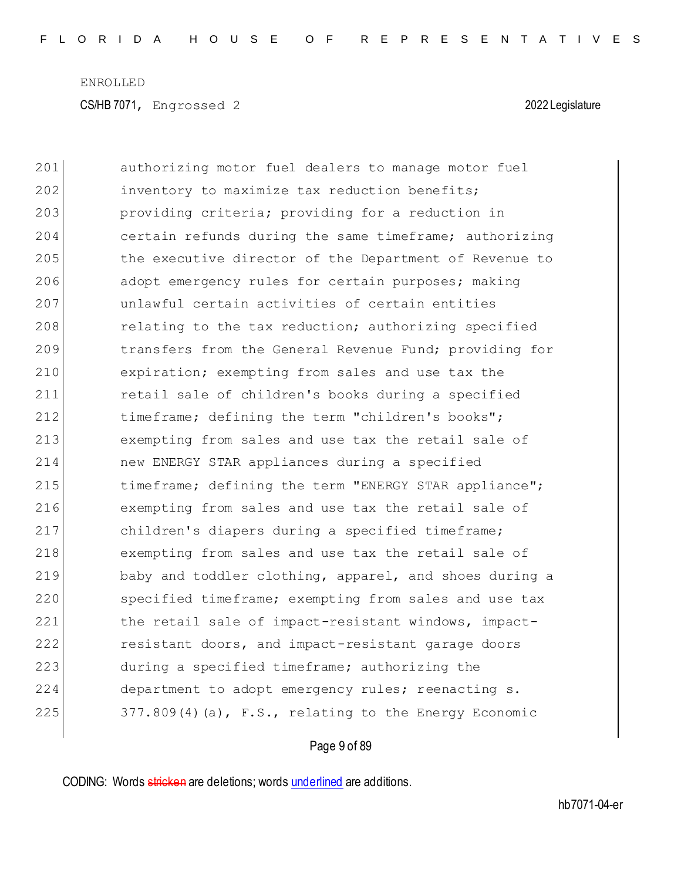| 201 | authorizing motor fuel dealers to manage motor fuel    |
|-----|--------------------------------------------------------|
| 202 | inventory to maximize tax reduction benefits;          |
| 203 | providing criteria; providing for a reduction in       |
| 204 | certain refunds during the same timeframe; authorizing |
| 205 | the executive director of the Department of Revenue to |
| 206 | adopt emergency rules for certain purposes; making     |
| 207 | unlawful certain activities of certain entities        |
| 208 | relating to the tax reduction; authorizing specified   |
| 209 | transfers from the General Revenue Fund; providing for |
| 210 | expiration; exempting from sales and use tax the       |
| 211 | retail sale of children's books during a specified     |
| 212 | timeframe; defining the term "children's books";       |
| 213 | exempting from sales and use tax the retail sale of    |
| 214 | new ENERGY STAR appliances during a specified          |
| 215 | timeframe; defining the term "ENERGY STAR appliance";  |
| 216 | exempting from sales and use tax the retail sale of    |
| 217 | children's diapers during a specified timeframe;       |
| 218 | exempting from sales and use tax the retail sale of    |
| 219 | baby and toddler clothing, apparel, and shoes during a |
| 220 | specified timeframe; exempting from sales and use tax  |
| 221 | the retail sale of impact-resistant windows, impact-   |
| 222 | resistant doors, and impact-resistant garage doors     |
| 223 | during a specified timeframe; authorizing the          |
| 224 | department to adopt emergency rules; reenacting s.     |
| 225 | 377.809(4)(a), F.S., relating to the Energy Economic   |

Page 9 of 89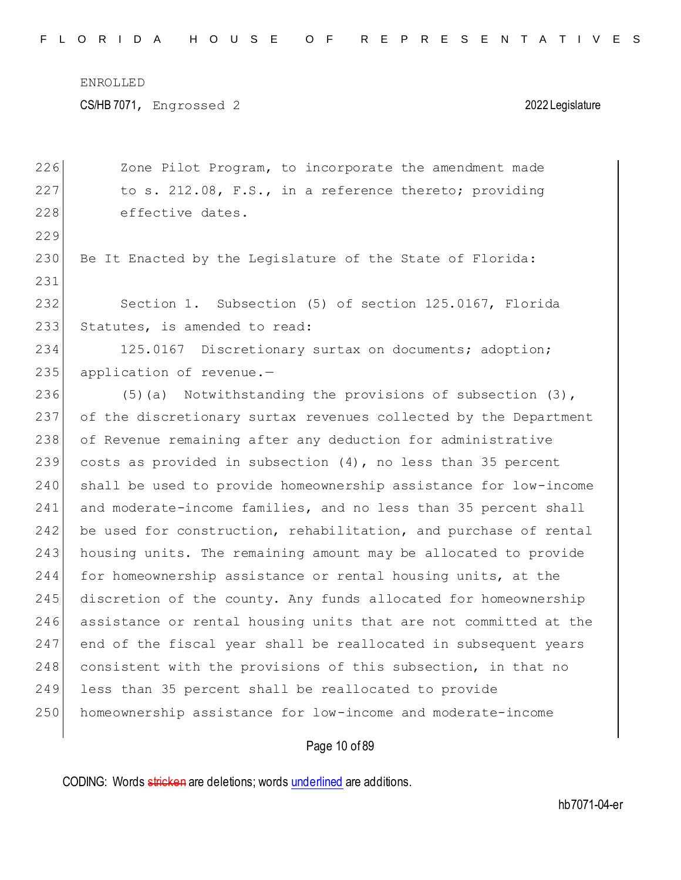CS/HB 7071, Engrossed 2 2022 Legislature

226 Zone Pilot Program, to incorporate the amendment made 227 to s. 212.08, F.S., in a reference thereto; providing 228 effective dates. 229 230 Be It Enacted by the Legislature of the State of Florida: 231 232 Section 1. Subsection (5) of section 125.0167, Florida 233 Statutes, is amended to read: 234 125.0167 Discretionary surtax on documents; adoption; 235 application of revenue. $-$ 236 (5)(a) Notwithstanding the provisions of subsection (3), 237 of the discretionary surtax revenues collected by the Department 238 of Revenue remaining after any deduction for administrative 239 costs as provided in subsection (4), no less than 35 percent 240 shall be used to provide homeownership assistance for low-income 241 and moderate-income families, and no less than 35 percent shall 242 be used for construction, rehabilitation, and purchase of rental 243 housing units. The remaining amount may be allocated to provide 244 for homeownership assistance or rental housing units, at the 245 discretion of the county. Any funds allocated for homeownership 246 assistance or rental housing units that are not committed at the 247 end of the fiscal year shall be reallocated in subsequent years 248 consistent with the provisions of this subsection, in that no 249 less than 35 percent shall be reallocated to provide 250 homeownership assistance for low-income and moderate-income

### Page 10 of 89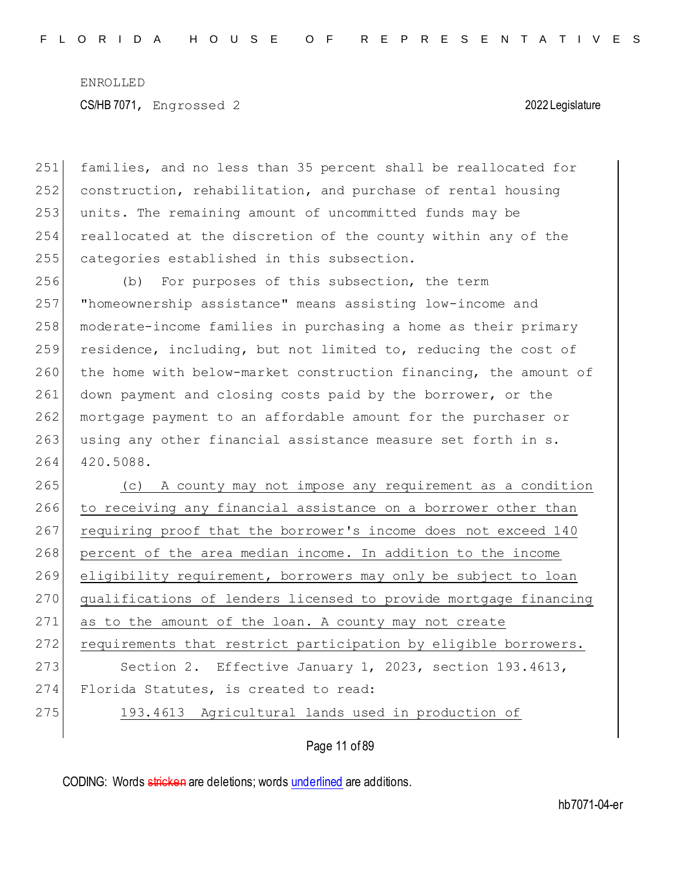families, and no less than 35 percent shall be reallocated for construction, rehabilitation, and purchase of rental housing units. The remaining amount of uncommitted funds may be reallocated at the discretion of the county within any of the categories established in this subsection.

256 (b) For purposes of this subsection, the term 257 "homeownership assistance" means assisting low-income and 258 moderate-income families in purchasing a home as their primary 259 residence, including, but not limited to, reducing the cost of 260 the home with below-market construction financing, the amount of 261 down payment and closing costs paid by the borrower, or the 262 mortgage payment to an affordable amount for the purchaser or 263 using any other financial assistance measure set forth in s. 264 420.5088.

 (c) A county may not impose any requirement as a condition to receiving any financial assistance on a borrower other than 267 requiring proof that the borrower's income does not exceed 140 percent of the area median income. In addition to the income eligibility requirement, borrowers may only be subject to loan qualifications of lenders licensed to provide mortgage financing 271 as to the amount of the loan. A county may not create 272 requirements that restrict participation by eligible borrowers. 273 Section 2. Effective January 1, 2023, section 193.4613, Florida Statutes, is created to read: 193.4613 Agricultural lands used in production of

Page 11 of 89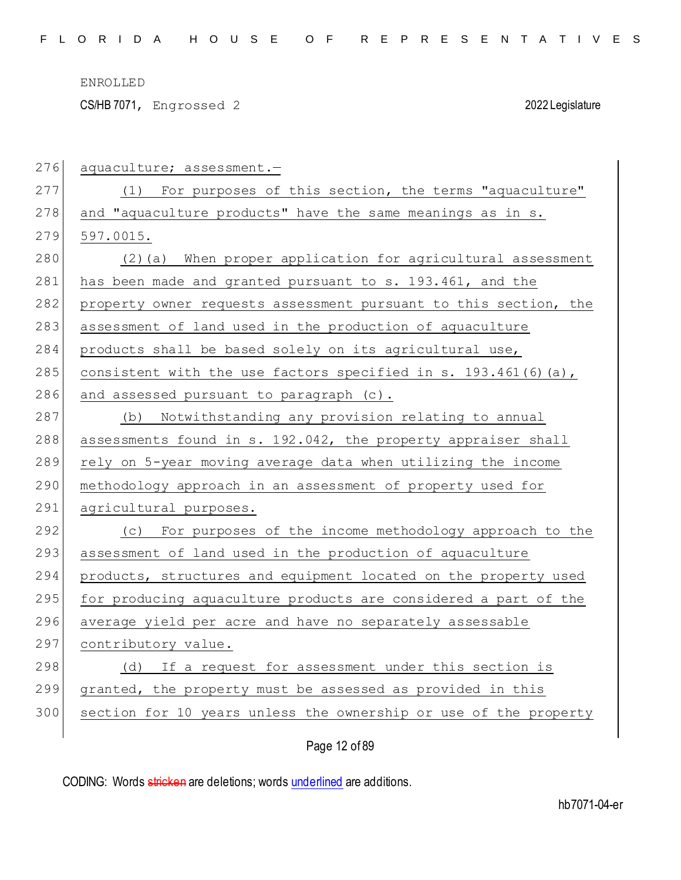CS/HB 7071, Engrossed 2 2022 Legislature

| 276 | aquaculture; assessment.-                                         |
|-----|-------------------------------------------------------------------|
| 277 | (1) For purposes of this section, the terms "aquaculture"         |
| 278 | and "aquaculture products" have the same meanings as in s.        |
| 279 | 597.0015.                                                         |
| 280 | (2)(a) When proper application for agricultural assessment        |
| 281 | has been made and granted pursuant to s. 193.461, and the         |
| 282 | property owner requests assessment pursuant to this section, the  |
| 283 | assessment of land used in the production of aquaculture          |
| 284 | products shall be based solely on its agricultural use,           |
| 285 | consistent with the use factors specified in s. $193.461(6)(a)$ , |
| 286 | and assessed pursuant to paragraph (c).                           |
| 287 | (b) Notwithstanding any provision relating to annual              |
| 288 | assessments found in s. 192.042, the property appraiser shall     |
| 289 | rely on 5-year moving average data when utilizing the income      |
| 290 | methodology approach in an assessment of property used for        |
| 291 | agricultural purposes.                                            |
| 292 | (c) For purposes of the income methodology approach to the        |
| 293 | assessment of land used in the production of aquaculture          |
| 294 | products, structures and equipment located on the property used   |
| 295 | for producing aquaculture products are considered a part of the   |
| 296 | average yield per acre and have no separately assessable          |
| 297 | contributory value.                                               |
| 298 | (d) If a request for assessment under this section is             |
| 299 | granted, the property must be assessed as provided in this        |
| 300 | section for 10 years unless the ownership or use of the property  |
|     |                                                                   |

Page 12 of 89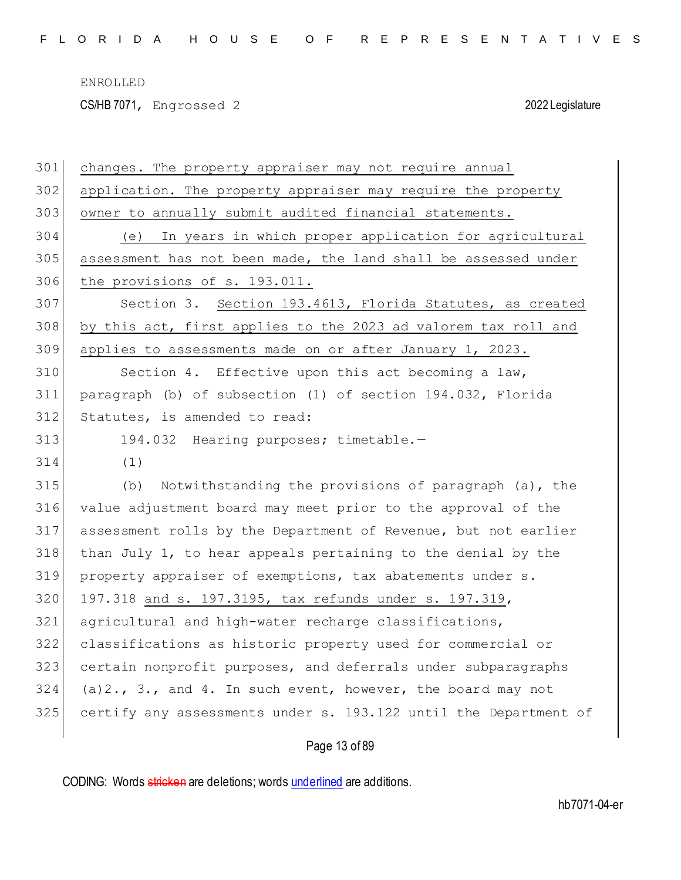CS/HB 7071, Engrossed 2 2022 Legislature

| 301 | changes. The property appraiser may not require annual           |
|-----|------------------------------------------------------------------|
| 302 | application. The property appraiser may require the property     |
| 303 | owner to annually submit audited financial statements.           |
| 304 | (e) In years in which proper application for agricultural        |
| 305 | assessment has not been made, the land shall be assessed under   |
| 306 | the provisions of s. 193.011.                                    |
| 307 | Section 3. Section 193.4613, Florida Statutes, as created        |
| 308 | by this act, first applies to the 2023 ad valorem tax roll and   |
| 309 | applies to assessments made on or after January 1, 2023.         |
| 310 | Section 4. Effective upon this act becoming a law,               |
| 311 | paragraph (b) of subsection (1) of section 194.032, Florida      |
| 312 | Statutes, is amended to read:                                    |
| 313 | 194.032 Hearing purposes; timetable.-                            |
| 314 | (1)                                                              |
| 315 | Notwithstanding the provisions of paragraph (a), the<br>(b)      |
| 316 | value adjustment board may meet prior to the approval of the     |
| 317 | assessment rolls by the Department of Revenue, but not earlier   |
| 318 | than July 1, to hear appeals pertaining to the denial by the     |
| 319 | property appraiser of exemptions, tax abatements under s.        |
| 320 | 197.318 and s. 197.3195, tax refunds under s. 197.319,           |
| 321 | agricultural and high-water recharge classifications,            |
| 322 | classifications as historic property used for commercial or      |
| 323 | certain nonprofit purposes, and deferrals under subparagraphs    |
| 324 | $(a)$ 2., 3., and 4. In such event, however, the board may not   |
| 325 | certify any assessments under s. 193.122 until the Department of |
|     |                                                                  |

# Page 13 of 89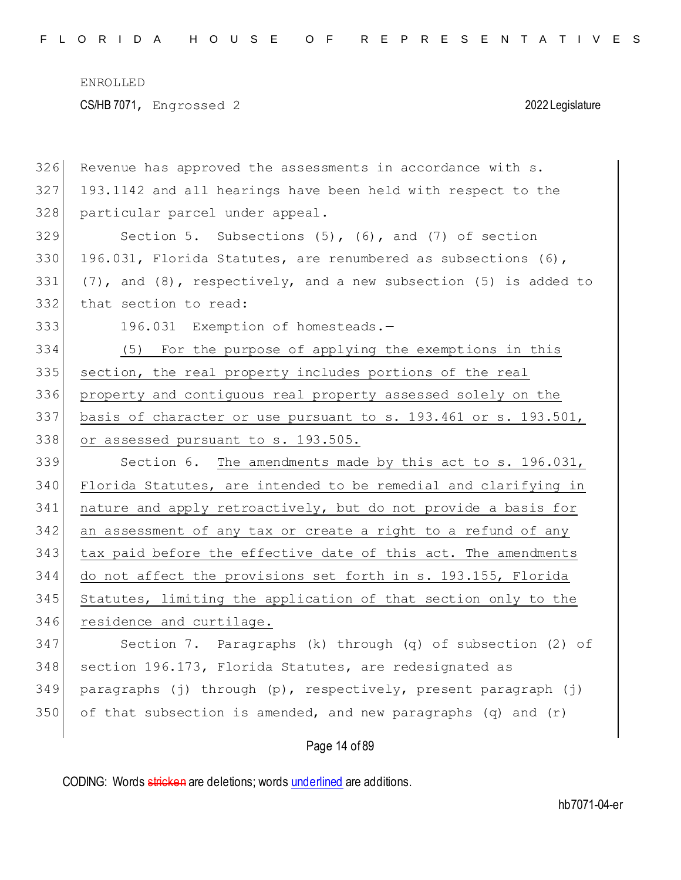| 326 | Revenue has approved the assessments in accordance with s.               |
|-----|--------------------------------------------------------------------------|
| 327 | 193.1142 and all hearings have been held with respect to the             |
| 328 | particular parcel under appeal.                                          |
| 329 | Section 5. Subsections $(5)$ , $(6)$ , and $(7)$ of section              |
| 330 | 196.031, Florida Statutes, are renumbered as subsections (6),            |
| 331 | $(7)$ , and $(8)$ , respectively, and a new subsection $(5)$ is added to |
| 332 | that section to read:                                                    |
| 333 | 196.031 Exemption of homesteads.-                                        |
| 334 | (5) For the purpose of applying the exemptions in this                   |
| 335 | section, the real property includes portions of the real                 |
| 336 | property and contiguous real property assessed solely on the             |
| 337 | basis of character or use pursuant to s. 193.461 or s. 193.501,          |
| 338 | or assessed pursuant to s. 193.505.                                      |
| 339 | Section 6. The amendments made by this act to s. 196.031,                |
| 340 | Florida Statutes, are intended to be remedial and clarifying in          |
| 341 | nature and apply retroactively, but do not provide a basis for           |
| 342 | an assessment of any tax or create a right to a refund of any            |
| 343 | tax paid before the effective date of this act. The amendments           |
| 344 | do not affect the provisions set forth in s. 193.155, Florida            |
| 345 | Statutes, limiting the application of that section only to the           |
| 346 | residence and curtilage.                                                 |
| 347 | Section 7. Paragraphs (k) through (q) of subsection (2) of               |
| 348 | section 196.173, Florida Statutes, are redesignated as                   |
| 349 | paragraphs (j) through (p), respectively, present paragraph (j)          |
| 350 | of that subsection is amended, and new paragraphs $(q)$ and $(r)$        |
|     | Page 14 of 89                                                            |

CODING: Words stricken are deletions; words underlined are additions.

hb7071-04-er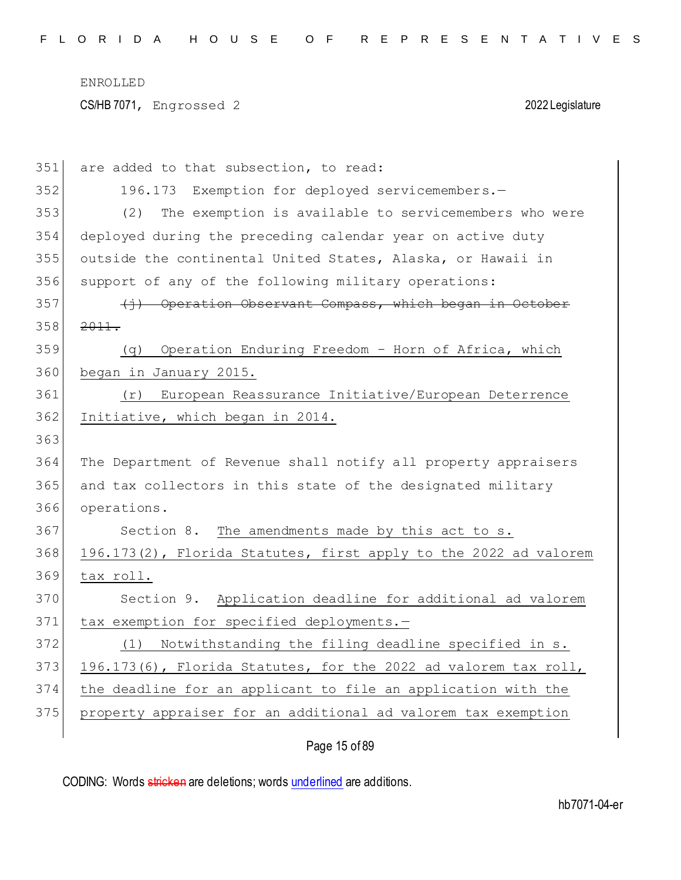| 351 | are added to that subsection, to read:                           |
|-----|------------------------------------------------------------------|
| 352 | 196.173 Exemption for deployed servicemembers.-                  |
| 353 | The exemption is available to servicemembers who were<br>(2)     |
| 354 | deployed during the preceding calendar year on active duty       |
| 355 | outside the continental United States, Alaska, or Hawaii in      |
| 356 | support of any of the following military operations:             |
| 357 | (i) Operation Observant Compass, which began in October          |
| 358 | 2011.                                                            |
| 359 | Operation Enduring Freedom - Horn of Africa, which<br>(q)        |
| 360 | began in January 2015.                                           |
| 361 | European Reassurance Initiative/European Deterrence<br>(r)       |
| 362 | Initiative, which began in 2014.                                 |
| 363 |                                                                  |
| 364 | The Department of Revenue shall notify all property appraisers   |
| 365 | and tax collectors in this state of the designated military      |
| 366 | operations.                                                      |
| 367 | Section 8. The amendments made by this act to s.                 |
| 368 | 196.173(2), Florida Statutes, first apply to the 2022 ad valorem |
| 369 | tax roll.                                                        |
| 370 | Section 9. Application deadline for additional ad valorem        |
| 371 | tax exemption for specified deployments.-                        |
| 372 | Notwithstanding the filing deadline specified in s.<br>(1)       |
| 373 | 196.173(6), Florida Statutes, for the 2022 ad valorem tax roll,  |
| 374 | the deadline for an applicant to file an application with the    |
| 375 | property appraiser for an additional ad valorem tax exemption    |
|     | Page 15 of 89                                                    |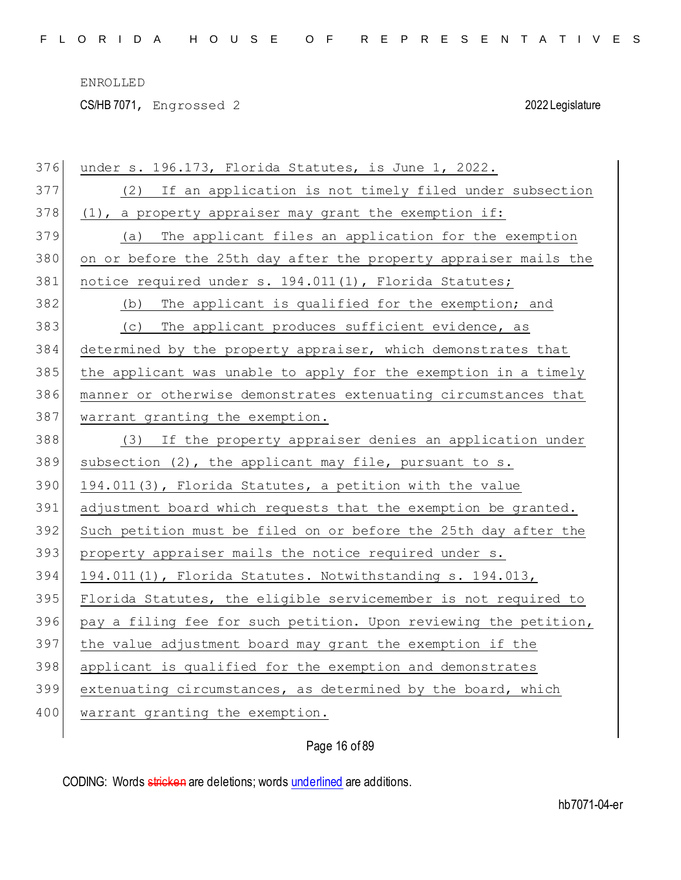CS/HB 7071, Engrossed 2 2022 Legislature

| 376 | under s. 196.173, Florida Statutes, is June 1, 2022.             |
|-----|------------------------------------------------------------------|
| 377 | (2) If an application is not timely filed under subsection       |
| 378 | (1), a property appraiser may grant the exemption if:            |
| 379 | The applicant files an application for the exemption<br>(a)      |
| 380 | on or before the 25th day after the property appraiser mails the |
| 381 | notice required under s. 194.011(1), Florida Statutes;           |
| 382 | (b) The applicant is qualified for the exemption; and            |
| 383 | (c) The applicant produces sufficient evidence, as               |
| 384 | determined by the property appraiser, which demonstrates that    |
| 385 | the applicant was unable to apply for the exemption in a timely  |
| 386 | manner or otherwise demonstrates extenuating circumstances that  |
| 387 | warrant granting the exemption.                                  |
| 388 | (3) If the property appraiser denies an application under        |
| 389 | subsection (2), the applicant may file, pursuant to s.           |
| 390 | 194.011(3), Florida Statutes, a petition with the value          |
| 391 | adjustment board which requests that the exemption be granted.   |
| 392 | Such petition must be filed on or before the 25th day after the  |
| 393 | property appraiser mails the notice required under s.            |
| 394 | 194.011(1), Florida Statutes. Notwithstanding s. 194.013,        |
| 395 | Florida Statutes, the eligible servicemember is not required to  |
| 396 | pay a filing fee for such petition. Upon reviewing the petition, |
| 397 | the value adjustment board may grant the exemption if the        |
| 398 | applicant is qualified for the exemption and demonstrates        |
| 399 | extenuating circumstances, as determined by the board, which     |
| 400 | warrant granting the exemption.                                  |
|     |                                                                  |

Page 16 of 89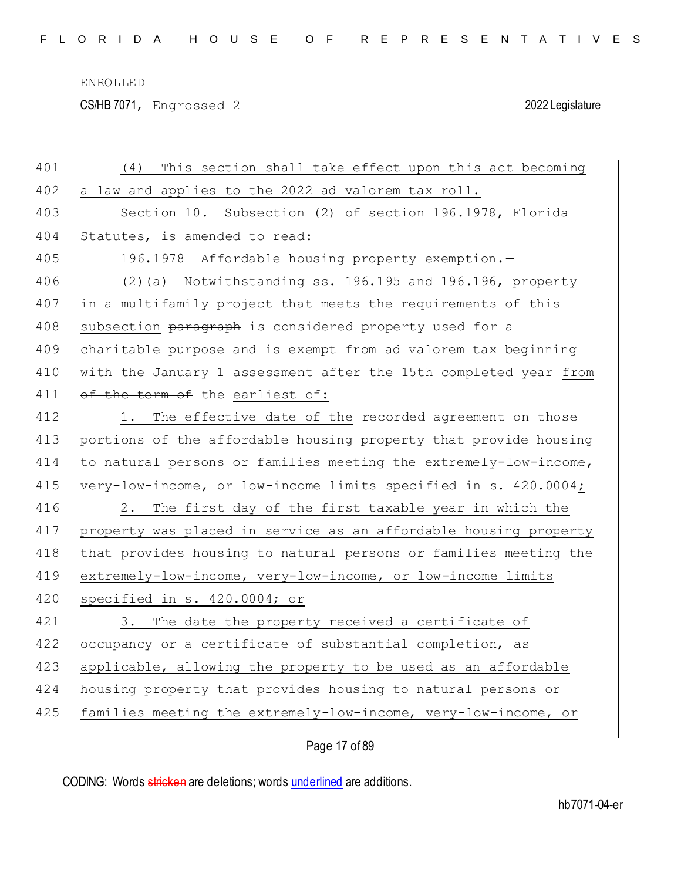CS/HB 7071, Engrossed 2 2022 Legislature

| 401 | This section shall take effect upon this act becoming<br>(4)     |
|-----|------------------------------------------------------------------|
| 402 | a law and applies to the 2022 ad valorem tax roll.               |
| 403 | Section 10. Subsection (2) of section 196.1978, Florida          |
| 404 | Statutes, is amended to read:                                    |
| 405 | 196.1978 Affordable housing property exemption.-                 |
| 406 | (2)(a) Notwithstanding ss. 196.195 and 196.196, property         |
| 407 | in a multifamily project that meets the requirements of this     |
| 408 | subsection paragraph is considered property used for a           |
| 409 | charitable purpose and is exempt from ad valorem tax beginning   |
| 410 | with the January 1 assessment after the 15th completed year from |
| 411 | of the term of the earliest of:                                  |
| 412 | 1. The effective date of the recorded agreement on those         |
| 413 | portions of the affordable housing property that provide housing |
| 414 | to natural persons or families meeting the extremely-low-income, |
| 415 | very-low-income, or low-income limits specified in s. 420.0004;  |
| 416 | 2.<br>The first day of the first taxable year in which the       |
| 417 | property was placed in service as an affordable housing property |
| 418 | that provides housing to natural persons or families meeting the |
| 419 | extremely-low-income, very-low-income, or low-income limits      |
| 420 | specified in s. 420.0004; or                                     |
| 421 | The date the property received a certificate of<br>3.            |
| 422 | occupancy or a certificate of substantial completion, as         |
| 423 | applicable, allowing the property to be used as an affordable    |
| 424 | housing property that provides housing to natural persons or     |
| 425 | families meeting the extremely-low-income, very-low-income, or   |
|     |                                                                  |

Page 17 of 89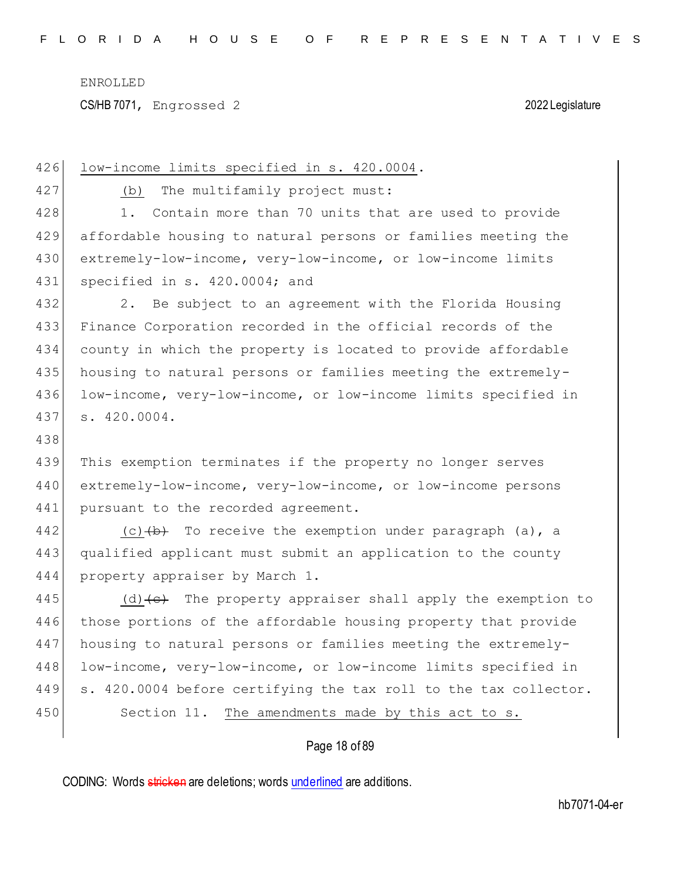CS/HB 7071, Engrossed 2 2022 Legislature

| 426 | low-income limits specified in s. 420.0004.                                       |
|-----|-----------------------------------------------------------------------------------|
| 427 | The multifamily project must:<br>(b)                                              |
| 428 | Contain more than 70 units that are used to provide<br>1.                         |
| 429 | affordable housing to natural persons or families meeting the                     |
| 430 | extremely-low-income, very-low-income, or low-income limits                       |
| 431 | specified in s. 420.0004; and                                                     |
| 432 | Be subject to an agreement with the Florida Housing<br>2.                         |
| 433 | Finance Corporation recorded in the official records of the                       |
| 434 | county in which the property is located to provide affordable                     |
| 435 | housing to natural persons or families meeting the extremely-                     |
| 436 | low-income, very-low-income, or low-income limits specified in                    |
| 437 | s. 420.0004.                                                                      |
| 438 |                                                                                   |
| 439 | This exemption terminates if the property no longer serves                        |
| 440 | extremely-low-income, very-low-income, or low-income persons                      |
| 441 | pursuant to the recorded agreement.                                               |
| 442 | (c) $\left(\frac{b}{c}\right)$ To receive the exemption under paragraph (a), a    |
| 443 | qualified applicant must submit an application to the county                      |
| 444 | property appraiser by March 1.                                                    |
| 445 | (d) $\left\{\epsilon\right\}$ The property appraiser shall apply the exemption to |
| 446 | those portions of the affordable housing property that provide                    |
| 447 | housing to natural persons or families meeting the extremely-                     |
| 448 | low-income, very-low-income, or low-income limits specified in                    |
| 449 | s. 420.0004 before certifying the tax roll to the tax collector.                  |
| 450 | The amendments made by this act to s.<br>Section 11.                              |
|     | Page 18 of 89                                                                     |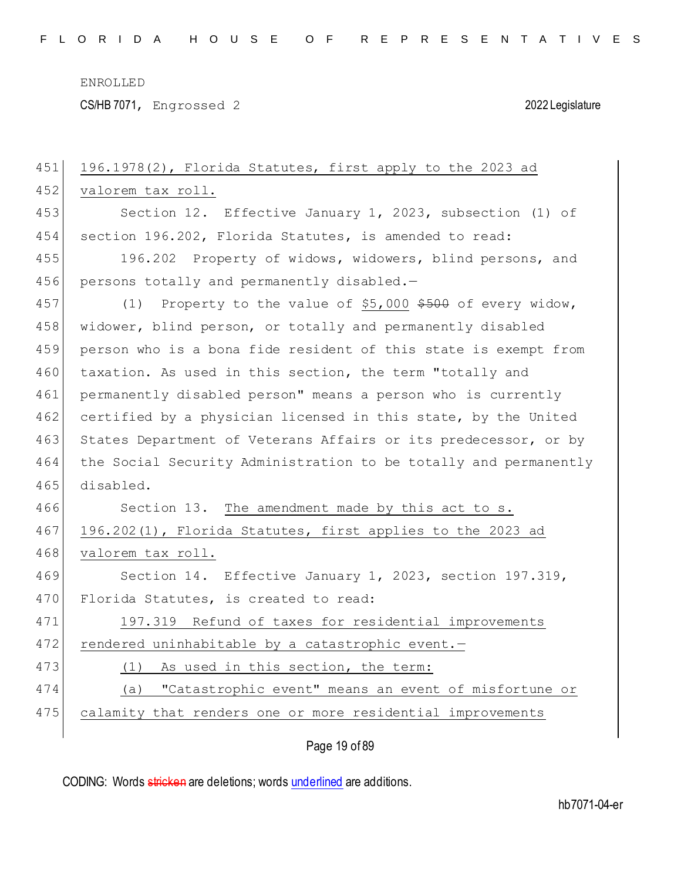CS/HB 7071, Engrossed 2 2022 Legislature

| 451 | 196.1978(2), Florida Statutes, first apply to the 2023 ad        |
|-----|------------------------------------------------------------------|
| 452 | valorem tax roll.                                                |
| 453 | Section 12. Effective January 1, 2023, subsection (1) of         |
| 454 | section 196.202, Florida Statutes, is amended to read:           |
| 455 | 196.202 Property of widows, widowers, blind persons, and         |
| 456 | persons totally and permanently disabled.-                       |
| 457 | Property to the value of \$5,000 \$500 of every widow,<br>(1)    |
| 458 | widower, blind person, or totally and permanently disabled       |
| 459 | person who is a bona fide resident of this state is exempt from  |
| 460 | taxation. As used in this section, the term "totally and         |
| 461 | permanently disabled person" means a person who is currently     |
| 462 | certified by a physician licensed in this state, by the United   |
| 463 | States Department of Veterans Affairs or its predecessor, or by  |
| 464 | the Social Security Administration to be totally and permanently |
| 465 | disabled.                                                        |
| 466 | Section 13. The amendment made by this act to s.                 |
| 467 | 196.202(1), Florida Statutes, first applies to the 2023 ad       |
| 468 | valorem tax roll.                                                |
| 469 | Section 14. Effective January 1, 2023, section 197.319,          |
| 470 | Florida Statutes, is created to read:                            |
| 471 | 197.319 Refund of taxes for residential improvements             |
| 472 | rendered uninhabitable by a catastrophic event.-                 |
| 473 | As used in this section, the term:<br>(1)                        |
| 474 | "Catastrophic event" means an event of misfortune or<br>(a)      |
| 475 | calamity that renders one or more residential improvements       |
|     |                                                                  |

Page 19 of 89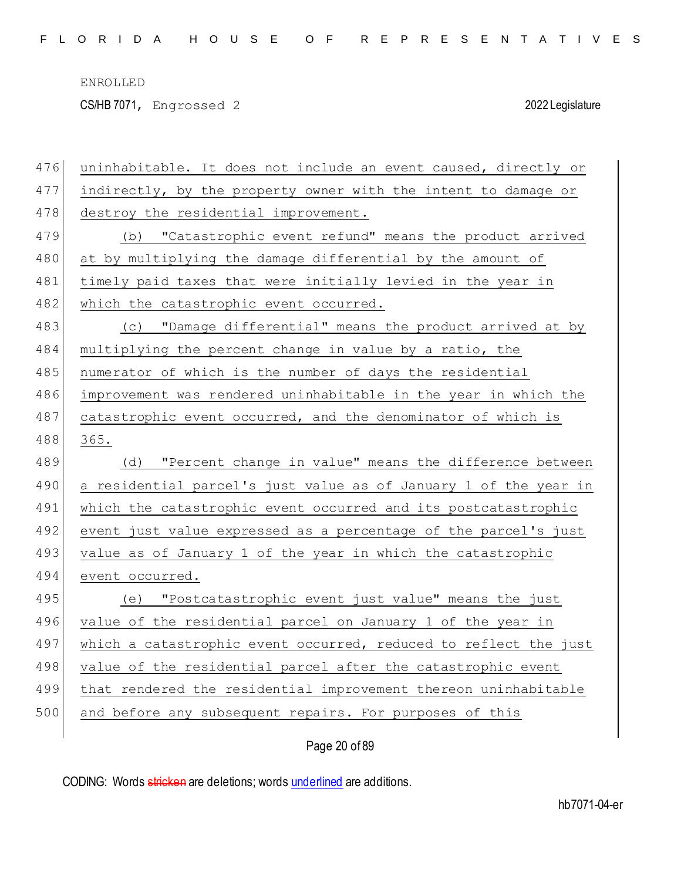CS/HB 7071, Engrossed 2 2022 Legislature

| 476 | uninhabitable. It does not include an event caused, directly or  |
|-----|------------------------------------------------------------------|
| 477 | indirectly, by the property owner with the intent to damage or   |
| 478 | destroy the residential improvement.                             |
| 479 | "Catastrophic event refund" means the product arrived<br>(b)     |
| 480 | at by multiplying the damage differential by the amount of       |
| 481 | timely paid taxes that were initially levied in the year in      |
| 482 | which the catastrophic event occurred.                           |
| 483 | (c) "Damage differential" means the product arrived at by        |
| 484 | multiplying the percent change in value by a ratio, the          |
| 485 | numerator of which is the number of days the residential         |
| 486 | improvement was rendered uninhabitable in the year in which the  |
| 487 | catastrophic event occurred, and the denominator of which is     |
| 488 | 365.                                                             |
|     |                                                                  |
| 489 | "Percent change in value" means the difference between<br>(d)    |
| 490 | a residential parcel's just value as of January 1 of the year in |
| 491 | which the catastrophic event occurred and its postcatastrophic   |
| 492 | event just value expressed as a percentage of the parcel's just  |
| 493 | value as of January 1 of the year in which the catastrophic      |
| 494 | event occurred.                                                  |
| 495 | (e) "Postcatastrophic event just value" means the just           |
| 496 | value of the residential parcel on January 1 of the year in      |
| 497 | which a catastrophic event occurred, reduced to reflect the just |
| 498 | value of the residential parcel after the catastrophic event     |
| 499 | that rendered the residential improvement thereon uninhabitable  |
| 500 | and before any subsequent repairs. For purposes of this          |

Page 20 of 89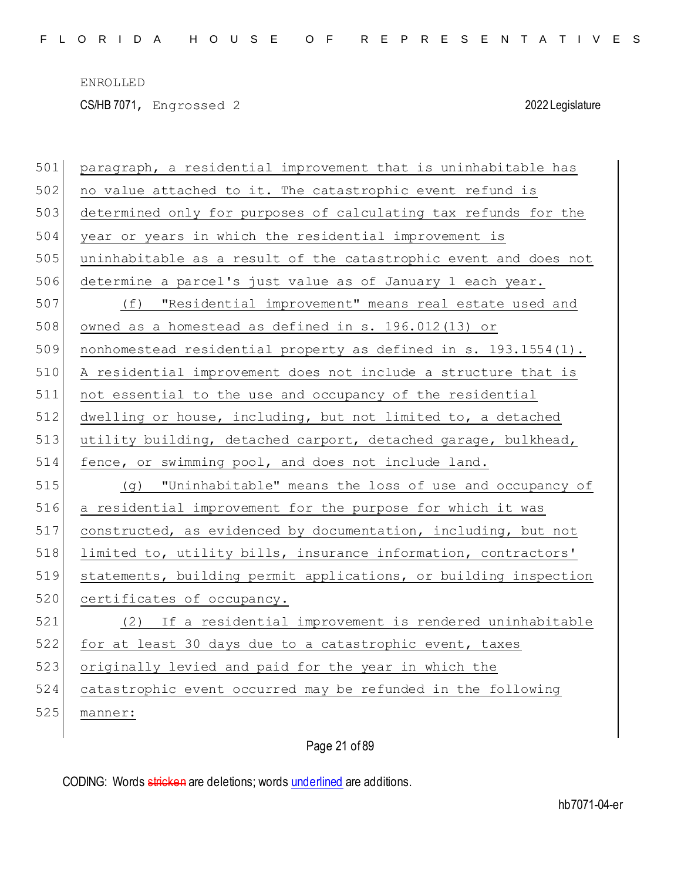CS/HB 7071, Engrossed 2 2022 Legislature

| 501 | paragraph, a residential improvement that is uninhabitable has   |
|-----|------------------------------------------------------------------|
| 502 | no value attached to it. The catastrophic event refund is        |
| 503 | determined only for purposes of calculating tax refunds for the  |
| 504 | year or years in which the residential improvement is            |
| 505 | uninhabitable as a result of the catastrophic event and does not |
| 506 | determine a parcel's just value as of January 1 each year.       |
| 507 | (f) "Residential improvement" means real estate used and         |
| 508 | owned as a homestead as defined in s. 196.012(13) or             |
| 509 | nonhomestead residential property as defined in s. 193.1554(1).  |
| 510 | A residential improvement does not include a structure that is   |
| 511 | not essential to the use and occupancy of the residential        |
| 512 | dwelling or house, including, but not limited to, a detached     |
| 513 | utility building, detached carport, detached garage, bulkhead,   |
| 514 | fence, or swimming pool, and does not include land.              |
|     |                                                                  |
| 515 | (g) "Uninhabitable" means the loss of use and occupancy of       |
| 516 | a residential improvement for the purpose for which it was       |
| 517 | constructed, as evidenced by documentation, including, but not   |
| 518 | limited to, utility bills, insurance information, contractors'   |
| 519 | statements, building permit applications, or building inspection |
| 520 | certificates of occupancy.                                       |
| 521 | (2) If a residential improvement is rendered uninhabitable       |
| 522 | for at least 30 days due to a catastrophic event, taxes          |
| 523 | originally levied and paid for the year in which the             |
| 524 | catastrophic event occurred may be refunded in the following     |
| 525 | manner:                                                          |

Page 21 of 89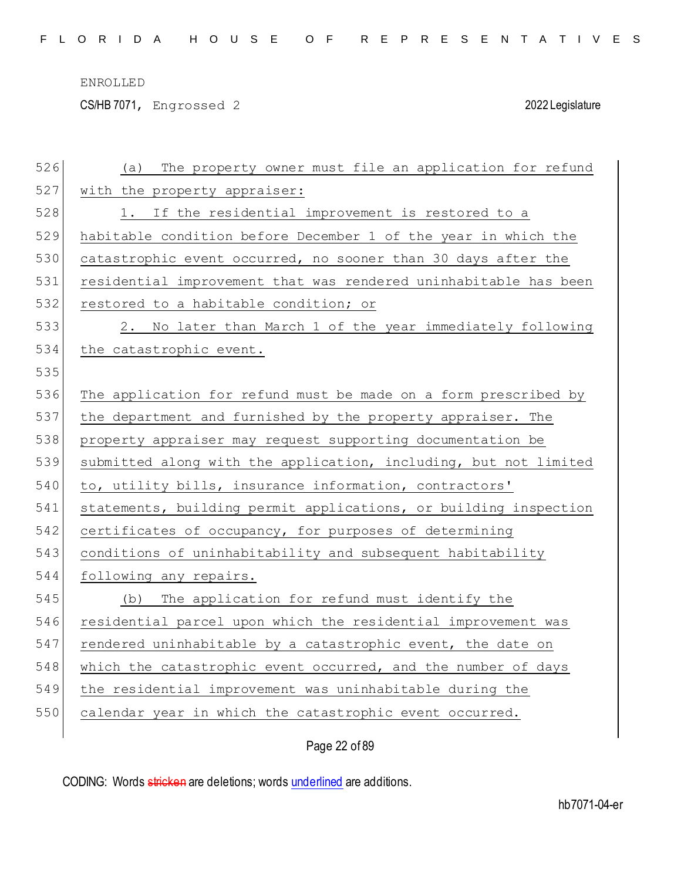CS/HB 7071, Engrossed 2 2022 Legislature

| 526 | The property owner must file an application for refund<br>(a)    |
|-----|------------------------------------------------------------------|
| 527 | with the property appraiser:                                     |
| 528 | 1. If the residential improvement is restored to a               |
| 529 | habitable condition before December 1 of the year in which the   |
| 530 | catastrophic event occurred, no sooner than 30 days after the    |
| 531 | residential improvement that was rendered uninhabitable has been |
| 532 | restored to a habitable condition; or                            |
| 533 | 2. No later than March 1 of the year immediately following       |
| 534 | the catastrophic event.                                          |
| 535 |                                                                  |
| 536 | The application for refund must be made on a form prescribed by  |
| 537 | the department and furnished by the property appraiser. The      |
| 538 | property appraiser may request supporting documentation be       |
| 539 | submitted along with the application, including, but not limited |
| 540 | to, utility bills, insurance information, contractors'           |
| 541 | statements, building permit applications, or building inspection |
| 542 | certificates of occupancy, for purposes of determining           |
| 543 | conditions of uninhabitability and subsequent habitability       |
| 544 | following any repairs.                                           |
| 545 | The application for refund must identify the<br>(b)              |
| 546 | residential parcel upon which the residential improvement was    |
| 547 | rendered uninhabitable by a catastrophic event, the date on      |
| 548 | which the catastrophic event occurred, and the number of days    |
| 549 | the residential improvement was uninhabitable during the         |
| 550 | calendar year in which the catastrophic event occurred.          |
|     |                                                                  |

Page 22 of 89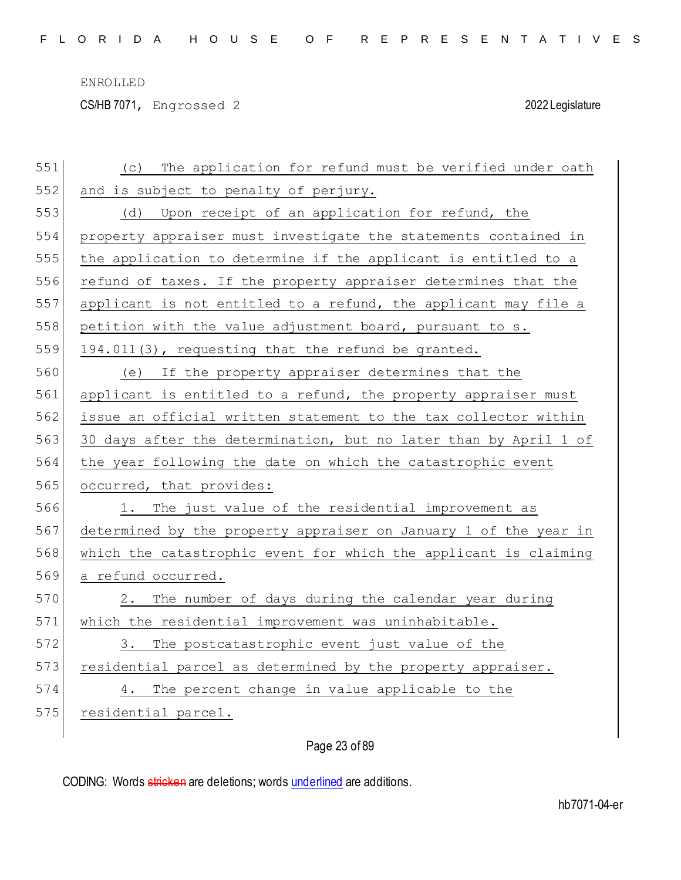CS/HB 7071, Engrossed 2 2022 Legislature

| 551 | The application for refund must be verified under oath<br>(C)    |
|-----|------------------------------------------------------------------|
| 552 | and is subject to penalty of perjury.                            |
| 553 | (d) Upon receipt of an application for refund, the               |
| 554 | property appraiser must investigate the statements contained in  |
| 555 | the application to determine if the applicant is entitled to a   |
| 556 | refund of taxes. If the property appraiser determines that the   |
| 557 | applicant is not entitled to a refund, the applicant may file a  |
| 558 | petition with the value adjustment board, pursuant to s.         |
| 559 | 194.011(3), requesting that the refund be granted.               |
| 560 | If the property appraiser determines that the<br>(e)             |
| 561 | applicant is entitled to a refund, the property appraiser must   |
| 562 | issue an official written statement to the tax collector within  |
| 563 | 30 days after the determination, but no later than by April 1 of |
| 564 | the year following the date on which the catastrophic event      |
|     | occurred, that provides:                                         |
| 565 |                                                                  |
| 566 | The just value of the residential improvement as<br>1.           |
| 567 | determined by the property appraiser on January 1 of the year in |
| 568 | which the catastrophic event for which the applicant is claiming |
| 569 | a refund occurred.                                               |
| 570 | The number of days during the calendar year during<br>2.         |
| 571 | which the residential improvement was uninhabitable.             |
| 572 | The postcatastrophic event just value of the<br>3.               |
| 573 | residential parcel as determined by the property appraiser.      |
| 574 | The percent change in value applicable to the<br>4.              |
| 575 | residential parcel.                                              |

Page 23 of 89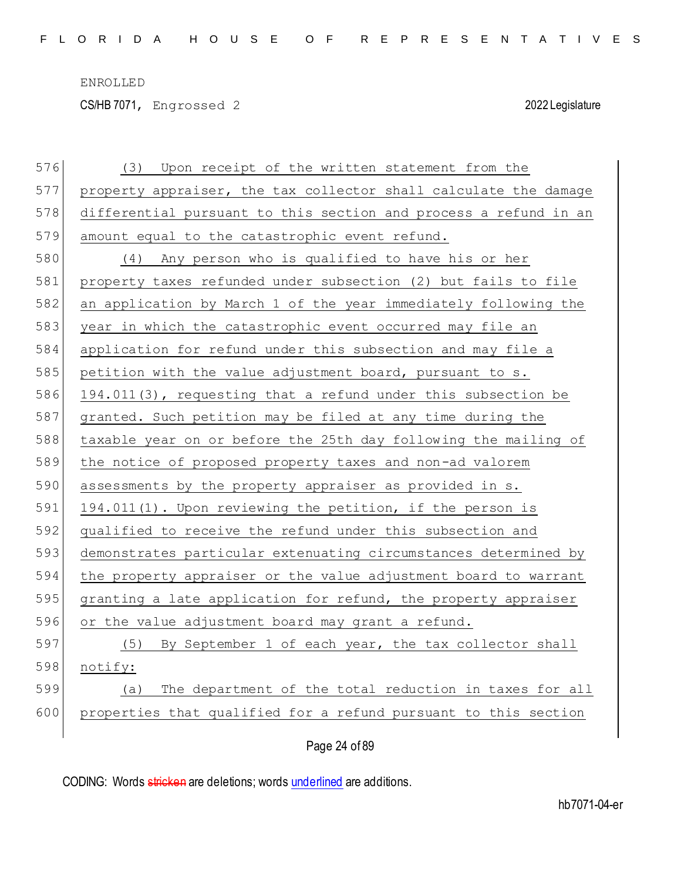CS/HB 7071, Engrossed 2 2022 Legislature

| 576 | Upon receipt of the written statement from the<br>(3)            |
|-----|------------------------------------------------------------------|
| 577 | property appraiser, the tax collector shall calculate the damage |
| 578 | differential pursuant to this section and process a refund in an |
| 579 | amount equal to the catastrophic event refund.                   |
| 580 | (4) Any person who is qualified to have his or her               |
| 581 | property taxes refunded under subsection (2) but fails to file   |
| 582 | an application by March 1 of the year immediately following the  |
| 583 | year in which the catastrophic event occurred may file an        |
| 584 | application for refund under this subsection and may file a      |
| 585 | petition with the value adjustment board, pursuant to s.         |
| 586 | 194.011(3), requesting that a refund under this subsection be    |
| 587 | granted. Such petition may be filed at any time during the       |
| 588 | taxable year on or before the 25th day following the mailing of  |
| 589 | the notice of proposed property taxes and non-ad valorem         |
| 590 | assessments by the property appraiser as provided in s.          |
| 591 | 194.011(1). Upon reviewing the petition, if the person is        |
| 592 | qualified to receive the refund under this subsection and        |
| 593 | demonstrates particular extenuating circumstances determined by  |
| 594 | the property appraiser or the value adjustment board to warrant  |
| 595 | granting a late application for refund, the property appraiser   |
| 596 | or the value adjustment board may grant a refund.                |
| 597 | (5) By September 1 of each year, the tax collector shall         |
| 598 | notify:                                                          |
| 599 | The department of the total reduction in taxes for all<br>(a)    |
| 600 | properties that qualified for a refund pursuant to this section  |
|     |                                                                  |

Page 24 of 89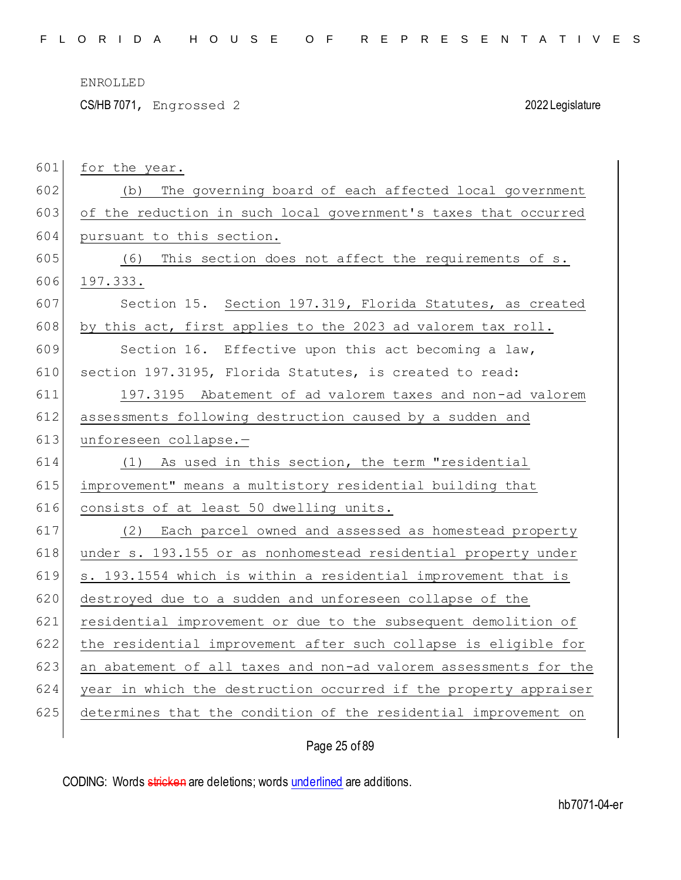CS/HB 7071, Engrossed 2 2022 Legislature

| 601 | for the year.                                                    |
|-----|------------------------------------------------------------------|
| 602 | The governing board of each affected local government<br>(b)     |
| 603 | of the reduction in such local government's taxes that occurred  |
| 604 | pursuant to this section.                                        |
| 605 | This section does not affect the requirements of s.<br>(6)       |
| 606 | 197.333.                                                         |
| 607 | Section 15. Section 197.319, Florida Statutes, as created        |
| 608 | by this act, first applies to the 2023 ad valorem tax roll.      |
| 609 | Section 16. Effective upon this act becoming a law,              |
| 610 | section 197.3195, Florida Statutes, is created to read:          |
| 611 | 197.3195 Abatement of ad valorem taxes and non-ad valorem        |
| 612 | assessments following destruction caused by a sudden and         |
| 613 | unforeseen collapse.-                                            |
| 614 | (1) As used in this section, the term "residential               |
| 615 | improvement" means a multistory residential building that        |
| 616 | consists of at least 50 dwelling units.                          |
| 617 | (2) Each parcel owned and assessed as homestead property         |
| 618 | under s. 193.155 or as nonhomestead residential property under   |
| 619 | s. 193.1554 which is within a residential improvement that is    |
| 620 | destroyed due to a sudden and unforeseen collapse of the         |
| 621 | residential improvement or due to the subsequent demolition of   |
| 622 | the residential improvement after such collapse is eligible for  |
| 623 | an abatement of all taxes and non-ad valorem assessments for the |
| 624 | year in which the destruction occurred if the property appraiser |
| 625 | determines that the condition of the residential improvement on  |
|     |                                                                  |

## Page 25 of 89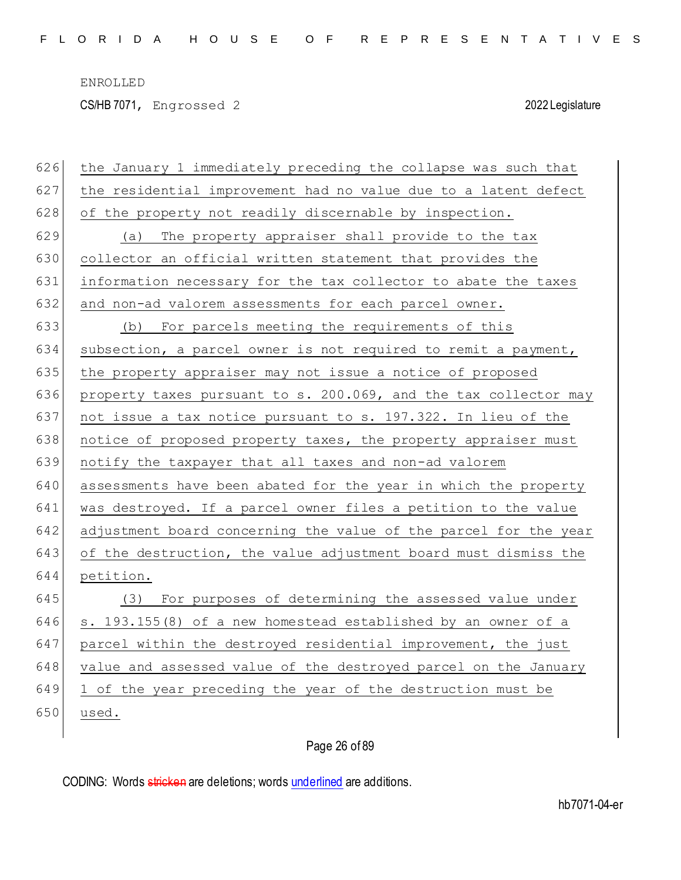CS/HB 7071, Engrossed 2 2022 Legislature

| 626 | the January 1 immediately preceding the collapse was such that   |
|-----|------------------------------------------------------------------|
| 627 | the residential improvement had no value due to a latent defect  |
| 628 | of the property not readily discernable by inspection.           |
| 629 | The property appraiser shall provide to the tax<br>(a)           |
| 630 | collector an official written statement that provides the        |
| 631 | information necessary for the tax collector to abate the taxes   |
| 632 | and non-ad valorem assessments for each parcel owner.            |
| 633 | (b) For parcels meeting the requirements of this                 |
| 634 | subsection, a parcel owner is not required to remit a payment,   |
| 635 | the property appraiser may not issue a notice of proposed        |
| 636 | property taxes pursuant to s. 200.069, and the tax collector may |
| 637 | not issue a tax notice pursuant to s. 197.322. In lieu of the    |
| 638 | notice of proposed property taxes, the property appraiser must   |
| 639 | notify the taxpayer that all taxes and non-ad valorem            |
| 640 | assessments have been abated for the year in which the property  |
| 641 | was destroyed. If a parcel owner files a petition to the value   |
| 642 | adjustment board concerning the value of the parcel for the year |
| 643 | of the destruction, the value adjustment board must dismiss the  |
| 644 | petition.                                                        |
| 645 | For purposes of determining the assessed value under<br>(3)      |
| 646 | s. 193.155(8) of a new homestead established by an owner of a    |
| 647 | parcel within the destroyed residential improvement, the just    |
| 648 | value and assessed value of the destroyed parcel on the January  |
| 649 | 1 of the year preceding the year of the destruction must be      |
| 650 | used.                                                            |
|     |                                                                  |

# Page 26 of 89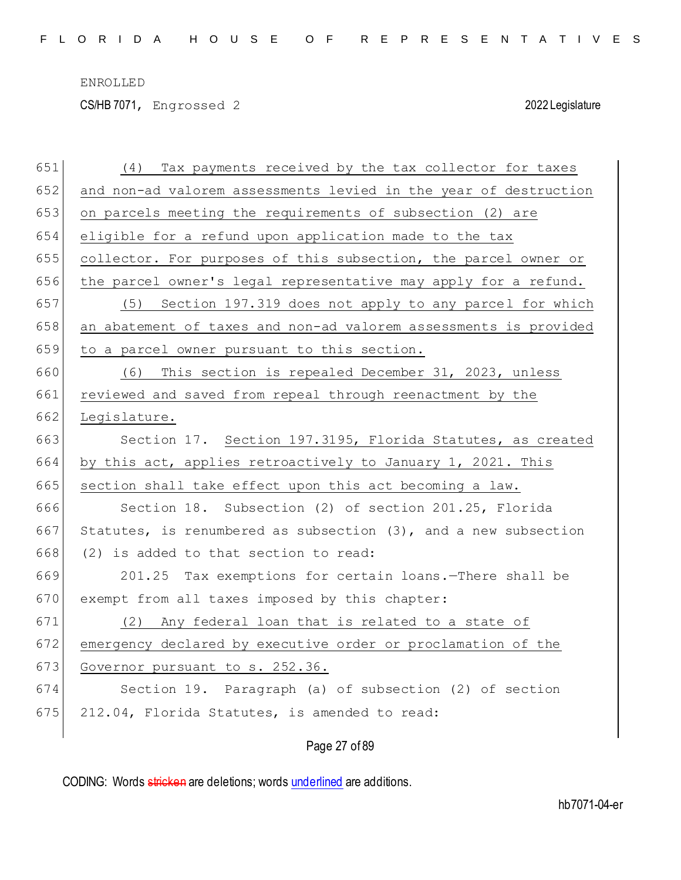CS/HB 7071, Engrossed 2 2022 Legislature

| 651 | Tax payments received by the tax collector for taxes<br>(4)        |
|-----|--------------------------------------------------------------------|
| 652 | and non-ad valorem assessments levied in the year of destruction   |
| 653 | on parcels meeting the requirements of subsection (2) are          |
| 654 | eligible for a refund upon application made to the tax             |
| 655 | collector. For purposes of this subsection, the parcel owner or    |
| 656 | the parcel owner's legal representative may apply for a refund.    |
| 657 | (5) Section 197.319 does not apply to any parcel for which         |
| 658 | an abatement of taxes and non-ad valorem assessments is provided   |
| 659 | to a parcel owner pursuant to this section.                        |
| 660 | This section is repealed December 31, 2023, unless<br>(6)          |
| 661 | reviewed and saved from repeal through reenactment by the          |
| 662 | Legislature.                                                       |
| 663 | Section 17. Section 197.3195, Florida Statutes, as created         |
| 664 | by this act, applies retroactively to January 1, 2021. This        |
| 665 | section shall take effect upon this act becoming a law.            |
| 666 | Section 18. Subsection (2) of section 201.25, Florida              |
| 667 | Statutes, is renumbered as subsection $(3)$ , and a new subsection |
| 668 | (2) is added to that section to read:                              |
| 669 | 201.25 Tax exemptions for certain loans. There shall be            |
| 670 | exempt from all taxes imposed by this chapter:                     |
| 671 | (2) Any federal loan that is related to a state of                 |
| 672 | emergency declared by executive order or proclamation of the       |
| 673 | Governor pursuant to s. 252.36.                                    |
| 674 | Section 19. Paragraph (a) of subsection (2) of section             |
| 675 | 212.04, Florida Statutes, is amended to read:                      |
|     | Page 27 of 89                                                      |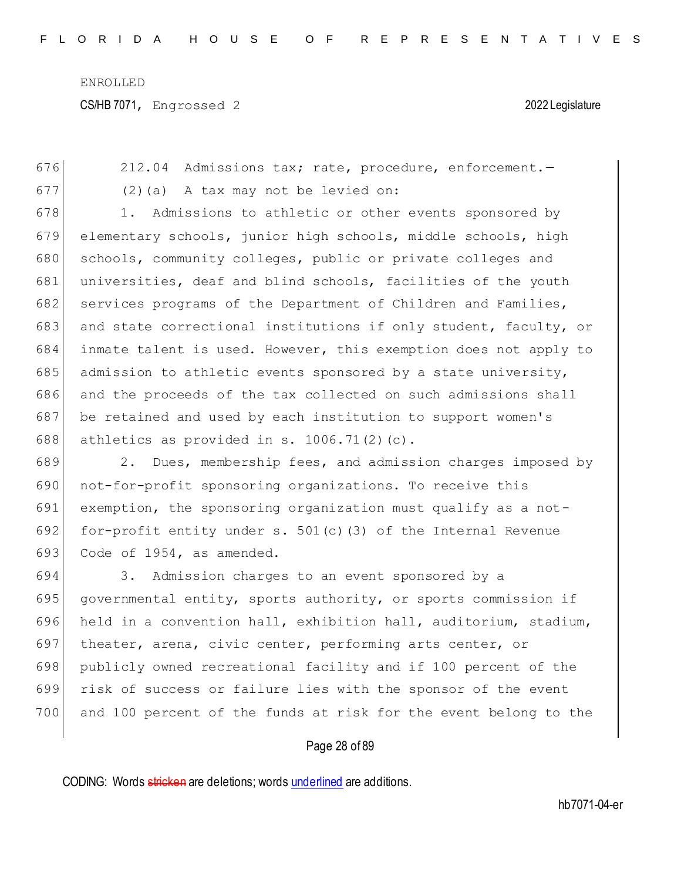676 212.04 Admissions tax; rate, procedure, enforcement.  $677$  (2)(a) A tax may not be levied on: 678 1. Admissions to athletic or other events sponsored by 679 elementary schools, junior high schools, middle schools, high 680 schools, community colleges, public or private colleges and 681 universities, deaf and blind schools, facilities of the youth 682 services programs of the Department of Children and Families, 683 and state correctional institutions if only student, faculty, or 684 inmate talent is used. However, this exemption does not apply to 685 admission to athletic events sponsored by a state university, 686 and the proceeds of the tax collected on such admissions shall 687 be retained and used by each institution to support women's 688 athletics as provided in s. 1006.71(2)(c).

689 2. Dues, membership fees, and admission charges imposed by 690 not-for-profit sponsoring organizations. To receive this 691 exemption, the sponsoring organization must qualify as a not-692 for-profit entity under s.  $501(c)$  (3) of the Internal Revenue 693 Code of  $1954$ , as amended.

694 3. Admission charges to an event sponsored by a 695 governmental entity, sports authority, or sports commission if 696 held in a convention hall, exhibition hall, auditorium, stadium, 697 theater, arena, civic center, performing arts center, or 698 publicly owned recreational facility and if 100 percent of the 699 risk of success or failure lies with the sponsor of the event 700 and 100 percent of the funds at risk for the event belong to the

### Page 28 of 89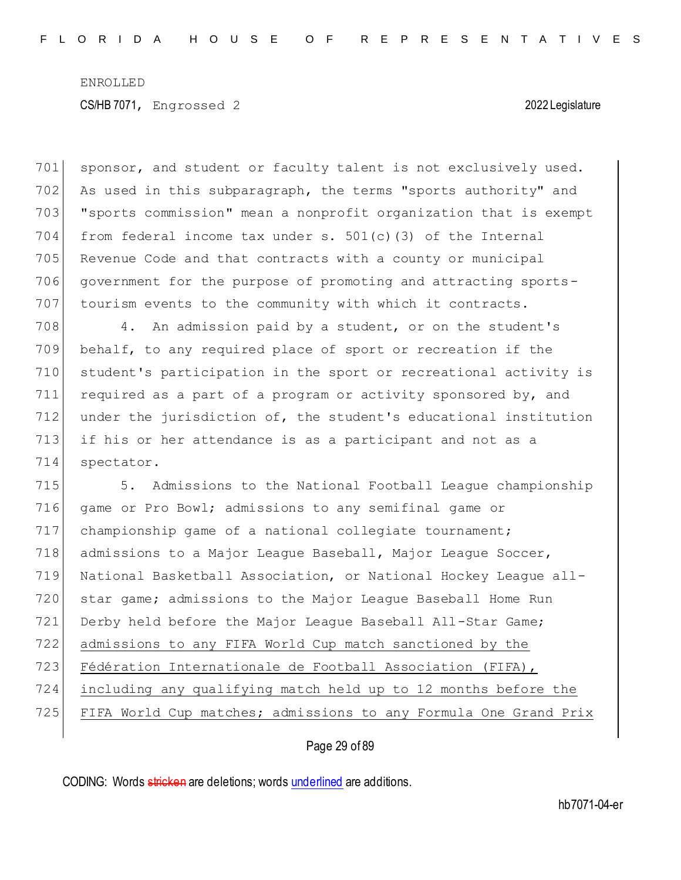701 sponsor, and student or faculty talent is not exclusively used. 702 As used in this subparagraph, the terms "sports authority" and 703 "sports commission" mean a nonprofit organization that is exempt 704 from federal income tax under s.  $501(c)$  (3) of the Internal 705 Revenue Code and that contracts with a county or municipal 706 government for the purpose of promoting and attracting sports-707 tourism events to the community with which it contracts.

708 4. An admission paid by a student, or on the student's behalf, to any required place of sport or recreation if the student's participation in the sport or recreational activity is required as a part of a program or activity sponsored by, and under the jurisdiction of, the student's educational institution if his or her attendance is as a participant and not as a spectator.

715 5. Admissions to the National Football League championship 716 game or Pro Bowl; admissions to any semifinal game or 717 championship game of a national collegiate tournament; 718 admissions to a Major League Baseball, Major League Soccer, 719 National Basketball Association, or National Hockey League all-720 star game; admissions to the Major League Baseball Home Run 721 Derby held before the Major League Baseball All-Star Game; 722 admissions to any FIFA World Cup match sanctioned by the 723 Fédération Internationale de Football Association (FIFA), 724 including any qualifying match held up to 12 months before the 725 FIFA World Cup matches; admissions to any Formula One Grand Prix

### Page 29 of 89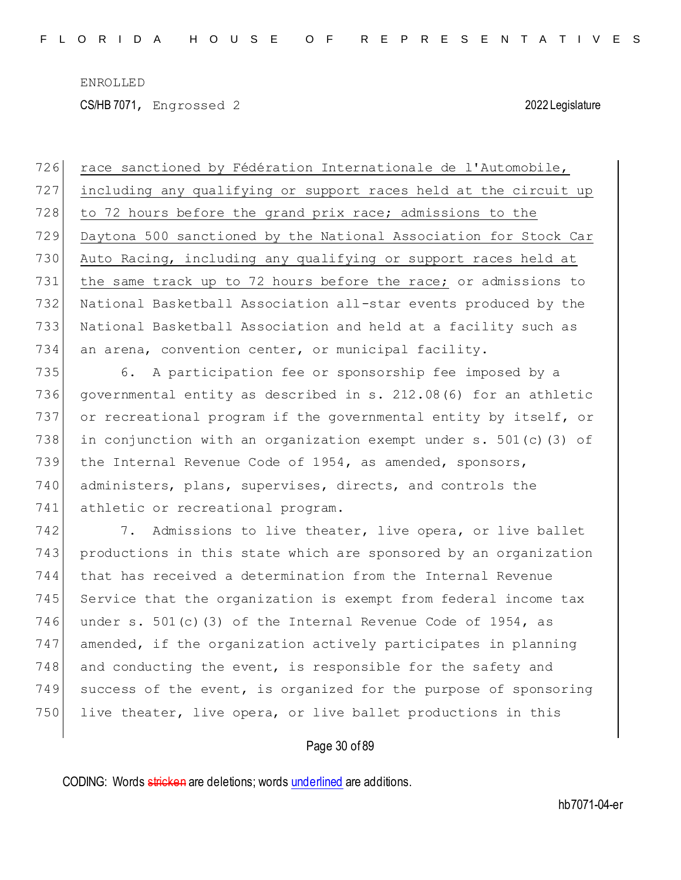CS/HB 7071, Engrossed 2 2022 Legislature

726 race sanctioned by Fédération Internationale de l'Automobile, including any qualifying or support races held at the circuit up 728 to 72 hours before the grand prix race; admissions to the Daytona 500 sanctioned by the National Association for Stock Car Auto Racing, including any qualifying or support races held at the same track up to 72 hours before the race; or admissions to National Basketball Association all-star events produced by the National Basketball Association and held at a facility such as an arena, convention center, or municipal facility.

735 6. A participation fee or sponsorship fee imposed by a 736 governmental entity as described in s. 212.08(6) for an athletic 737 or recreational program if the governmental entity by itself, or 738 in conjunction with an organization exempt under  $s. 501(c)$  (3) of 739 the Internal Revenue Code of 1954, as amended, sponsors, 740 administers, plans, supervises, directs, and controls the 741 athletic or recreational program.

742 7. Admissions to live theater, live opera, or live ballet 743 productions in this state which are sponsored by an organization 744 that has received a determination from the Internal Revenue 745 Service that the organization is exempt from federal income tax 746 under s.  $501(c)$  (3) of the Internal Revenue Code of 1954, as 747 amended, if the organization actively participates in planning 748 and conducting the event, is responsible for the safety and 749 success of the event, is organized for the purpose of sponsoring 750 live theater, live opera, or live ballet productions in this

### Page 30 of 89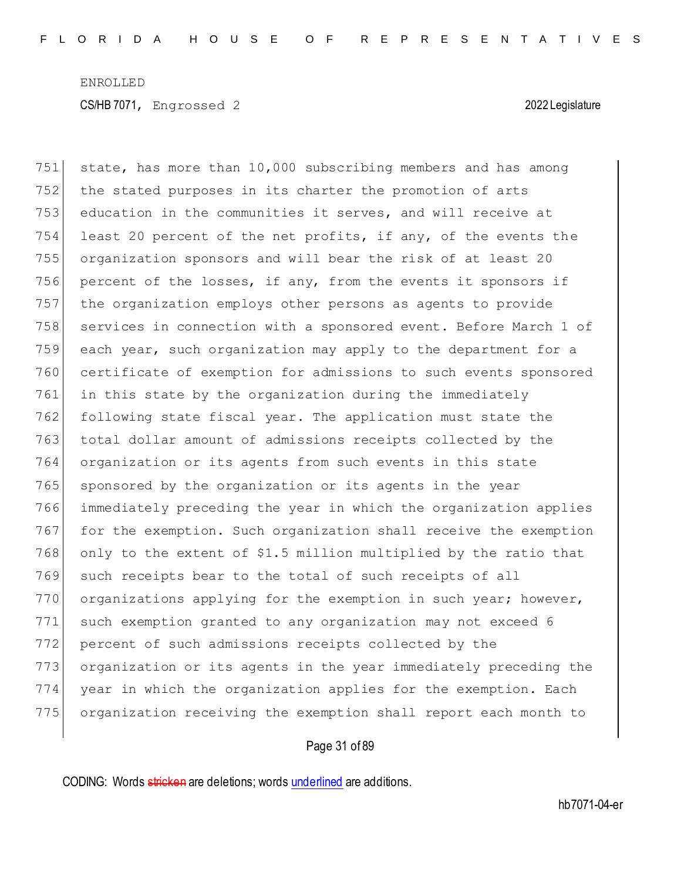751 state, has more than  $10,000$  subscribing members and has among 752 the stated purposes in its charter the promotion of arts education in the communities it serves, and will receive at least 20 percent of the net profits, if any, of the events the organization sponsors and will bear the risk of at least 20 percent of the losses, if any, from the events it sponsors if the organization employs other persons as agents to provide 758 services in connection with a sponsored event. Before March 1 of each year, such organization may apply to the department for a certificate of exemption for admissions to such events sponsored in this state by the organization during the immediately following state fiscal year. The application must state the total dollar amount of admissions receipts collected by the organization or its agents from such events in this state 765 sponsored by the organization or its agents in the year immediately preceding the year in which the organization applies 767 for the exemption. Such organization shall receive the exemption 768 only to the extent of \$1.5 million multiplied by the ratio that 769 such receipts bear to the total of such receipts of all 770 organizations applying for the exemption in such year; however, such exemption granted to any organization may not exceed 6 percent of such admissions receipts collected by the organization or its agents in the year immediately preceding the year in which the organization applies for the exemption. Each organization receiving the exemption shall report each month to

### Page 31 of 89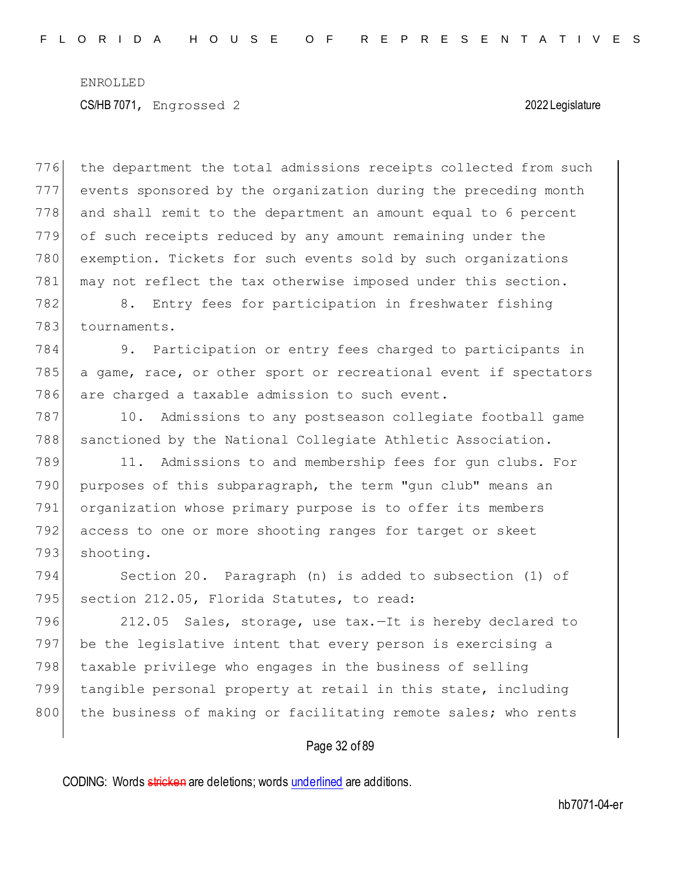776 the department the total admissions receipts collected from such events sponsored by the organization during the preceding month and shall remit to the department an amount equal to 6 percent of such receipts reduced by any amount remaining under the exemption. Tickets for such events sold by such organizations 781 may not reflect the tax otherwise imposed under this section.

782 8. Entry fees for participation in freshwater fishing 783 tournaments.

784 9. Participation or entry fees charged to participants in 785 a game, race, or other sport or recreational event if spectators 786 are charged a taxable admission to such event.

787 10. Admissions to any postseason collegiate football game 788 sanctioned by the National Collegiate Athletic Association.

789 11. Admissions to and membership fees for gun clubs. For 790 purposes of this subparagraph, the term "gun club" means an 791 organization whose primary purpose is to offer its members 792 access to one or more shooting ranges for target or skeet 793 shooting.

794 Section 20. Paragraph (n) is added to subsection (1) of 795 section 212.05, Florida Statutes, to read:

796 212.05 Sales, storage, use tax.-It is hereby declared to 797 be the legislative intent that every person is exercising a 798 taxable privilege who engages in the business of selling 799 tangible personal property at retail in this state, including 800 the business of making or facilitating remote sales; who rents

### Page 32 of 89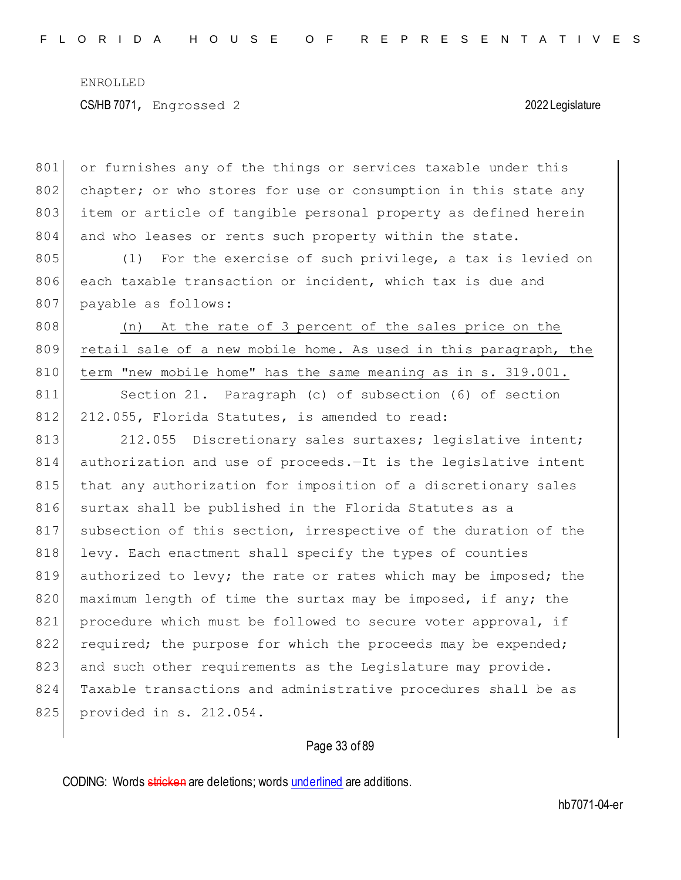801 or furnishes any of the things or services taxable under this 802 chapter; or who stores for use or consumption in this state any 803 item or article of tangible personal property as defined herein 804 and who leases or rents such property within the state.

805 (1) For the exercise of such privilege, a tax is levied on 806 each taxable transaction or incident, which tax is due and 807 payable as follows:

808 (n) At the rate of 3 percent of the sales price on the 809 retail sale of a new mobile home. As used in this paragraph, the 810 term "new mobile home" has the same meaning as in s. 319.001.

811 Section 21. Paragraph (c) of subsection (6) of section 812 212.055, Florida Statutes, is amended to read:

813 212.055 Discretionary sales surtaxes; legislative intent; 814 authorization and use of proceeds.—It is the legislative intent 815 that any authorization for imposition of a discretionary sales 816 surtax shall be published in the Florida Statutes as a 817 subsection of this section, irrespective of the duration of the 818 levy. Each enactment shall specify the types of counties 819 authorized to levy; the rate or rates which may be imposed; the 820 maximum length of time the surtax may be imposed, if any; the 821 procedure which must be followed to secure voter approval, if 822 required; the purpose for which the proceeds may be expended; 823 and such other requirements as the Legislature may provide. 824 Taxable transactions and administrative procedures shall be as 825 provided in s. 212.054.

### Page 33 of 89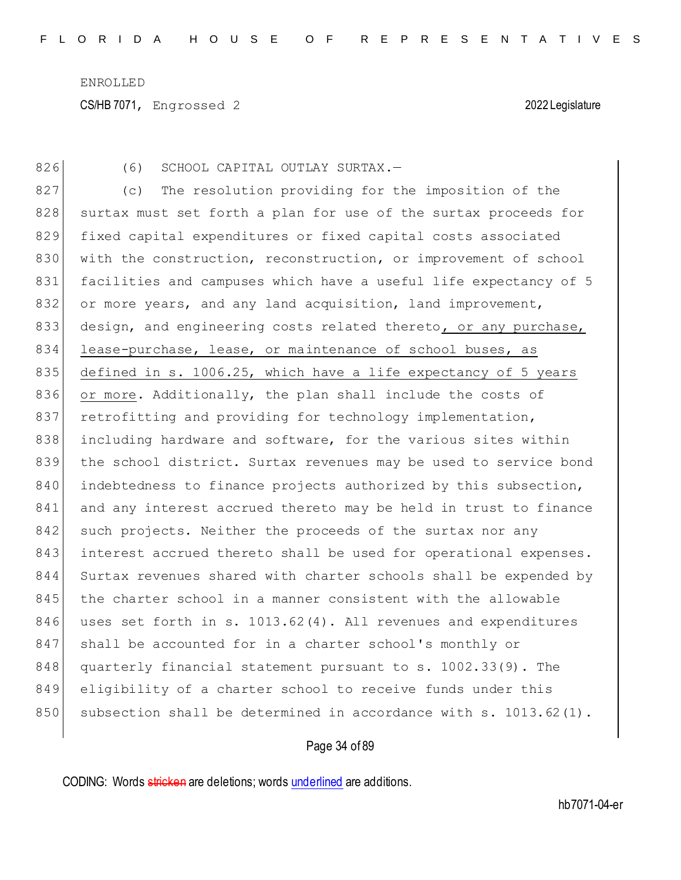CS/HB 7071, Engrossed 2 2022 Legislature

826 (6) SCHOOL CAPITAL OUTLAY SURTAX.-

827 (c) The resolution providing for the imposition of the 828 surtax must set forth a plan for use of the surtax proceeds for 829 fixed capital expenditures or fixed capital costs associated 830 with the construction, reconstruction, or improvement of school 831 facilities and campuses which have a useful life expectancy of 5 832 or more years, and any land acquisition, land improvement, 833 design, and engineering costs related thereto, or any purchase, 834 lease-purchase, lease, or maintenance of school buses, as 835 defined in s. 1006.25, which have a life expectancy of 5 years 836 or more. Additionally, the plan shall include the costs of 837 retrofitting and providing for technology implementation, 838 including hardware and software, for the various sites within 839 the school district. Surtax revenues may be used to service bond 840 indebtedness to finance projects authorized by this subsection, 841 and any interest accrued thereto may be held in trust to finance 842 such projects. Neither the proceeds of the surtax nor any 843 interest accrued thereto shall be used for operational expenses. 844 Surtax revenues shared with charter schools shall be expended by 845 the charter school in a manner consistent with the allowable 846 uses set forth in s. 1013.62(4). All revenues and expenditures 847 shall be accounted for in a charter school's monthly or 848 quarterly financial statement pursuant to s. 1002.33(9). The 849 eligibility of a charter school to receive funds under this 850 subsection shall be determined in accordance with s. 1013.62(1).

### Page 34 of 89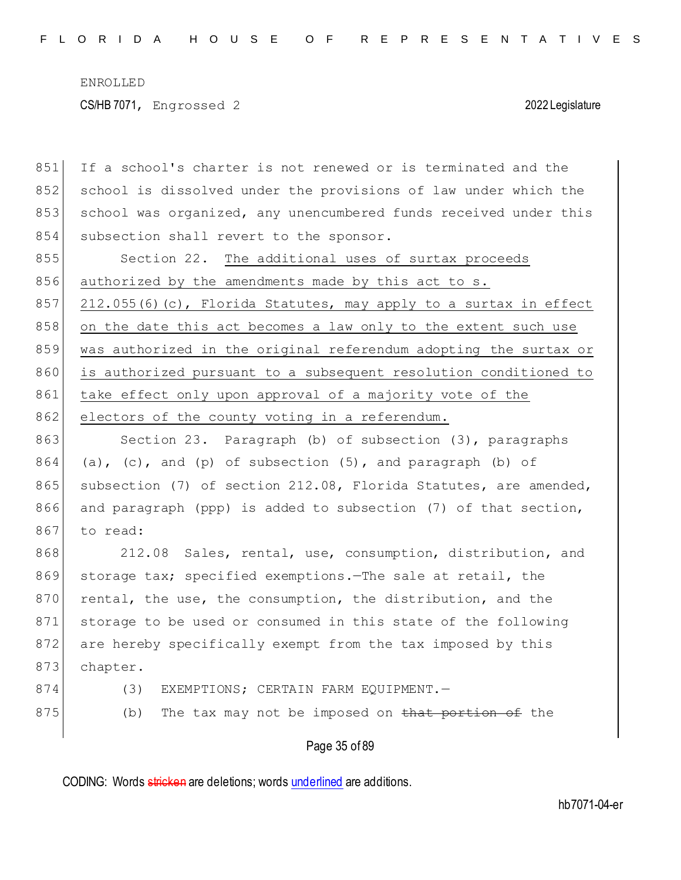851 If a school's charter is not renewed or is terminated and the 852 school is dissolved under the provisions of law under which the 853 school was organized, any unencumbered funds received under this 854 subsection shall revert to the sponsor.

855 Section 22. The additional uses of surtax proceeds 856 authorized by the amendments made by this act to s. 857 212.055(6)(c), Florida Statutes, may apply to a surtax in effect 858 on the date this act becomes a law only to the extent such use 859 was authorized in the original referendum adopting the surtax or 860 is authorized pursuant to a subsequent resolution conditioned to 861 take effect only upon approval of a majority vote of the 862 electors of the county voting in a referendum.

863 Section 23. Paragraph (b) of subsection (3), paragraphs  $864$  (a), (c), and (p) of subsection  $(5)$ , and paragraph (b) of 865 subsection (7) of section 212.08, Florida Statutes, are amended, 866 and paragraph (ppp) is added to subsection (7) of that section, 867 to read:

868 212.08 Sales, rental, use, consumption, distribution, and 869 storage tax; specified exemptions.—The sale at retail, the 870 rental, the use, the consumption, the distribution, and the 871 storage to be used or consumed in this state of the following 872 are hereby specifically exempt from the tax imposed by this 873 chapter.

- 874 (3) EXEMPTIONS; CERTAIN FARM EQUIPMENT.
- 875 (b) The tax may not be imposed on that portion of the

Page 35 of 89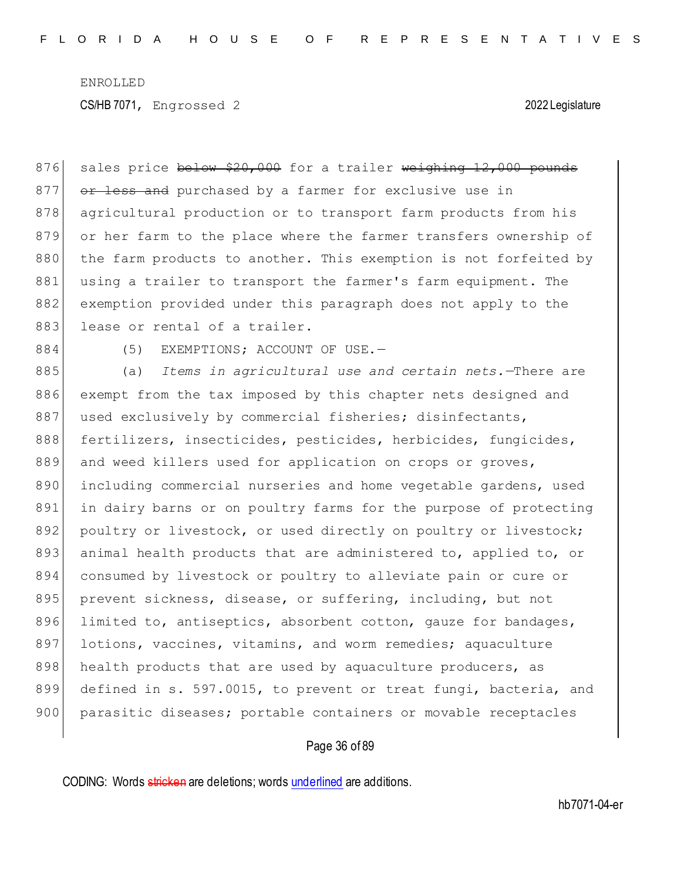876 sales price below \$20,000 for a trailer weighing 12,000 pounds 877 or less and purchased by a farmer for exclusive use in 878 agricultural production or to transport farm products from his 879 or her farm to the place where the farmer transfers ownership of 880 the farm products to another. This exemption is not forfeited by 881 using a trailer to transport the farmer's farm equipment. The 882 exemption provided under this paragraph does not apply to the 883 lease or rental of a trailer.

884 (5) EXEMPTIONS; ACCOUNT OF USE.

885 (a) *Items in agricultural use and certain nets.*—There are 886 exempt from the tax imposed by this chapter nets designed and 887 used exclusively by commercial fisheries; disinfectants, 888 fertilizers, insecticides, pesticides, herbicides, fungicides, 889 and weed killers used for application on crops or groves, 890 including commercial nurseries and home vegetable gardens, used 891 in dairy barns or on poultry farms for the purpose of protecting 892 poultry or livestock, or used directly on poultry or livestock; 893 animal health products that are administered to, applied to, or 894 consumed by livestock or poultry to alleviate pain or cure or 895 prevent sickness, disease, or suffering, including, but not 896 limited to, antiseptics, absorbent cotton, gauze for bandages, 897 lotions, vaccines, vitamins, and worm remedies; aquaculture 898 health products that are used by aquaculture producers, as 899 defined in s. 597.0015, to prevent or treat fungi, bacteria, and 900 parasitic diseases; portable containers or movable receptacles

### Page 36 of 89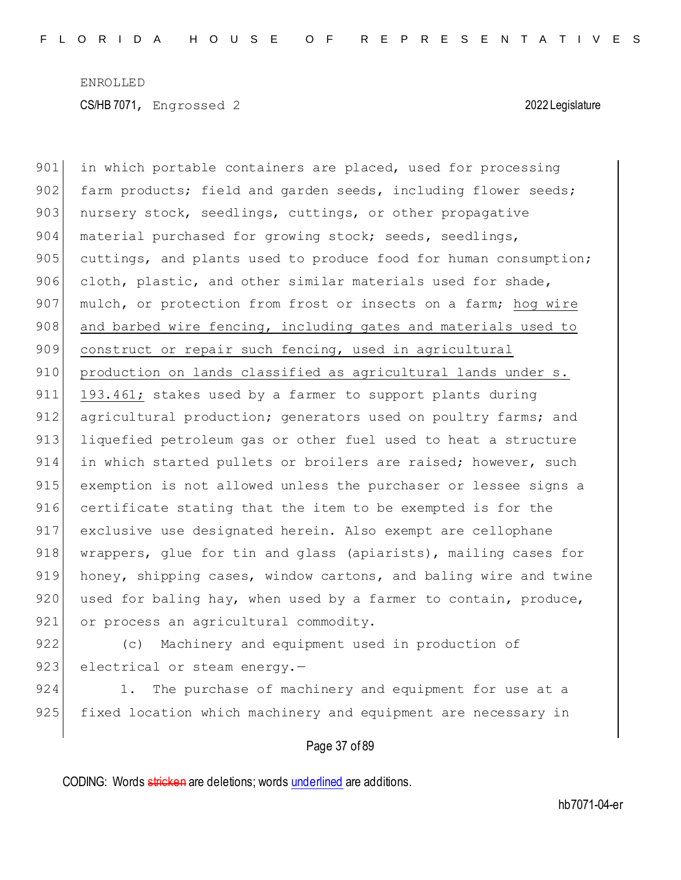901 in which portable containers are placed, used for processing 902 farm products; field and garden seeds, including flower seeds; 903 nursery stock, seedlings, cuttings, or other propagative 904 material purchased for growing stock; seeds, seedlings, 905 cuttings, and plants used to produce food for human consumption; 906 cloth, plastic, and other similar materials used for shade, 907 mulch, or protection from frost or insects on a farm; hog wire 908 and barbed wire fencing, including gates and materials used to 909 construct or repair such fencing, used in agricultural 910 production on lands classified as agricultural lands under s. 911 193.461; stakes used by a farmer to support plants during 912 agricultural production; generators used on poultry farms; and 913 liquefied petroleum gas or other fuel used to heat a structure 914 in which started pullets or broilers are raised; however, such 915 exemption is not allowed unless the purchaser or lessee signs a 916 certificate stating that the item to be exempted is for the 917 exclusive use designated herein. Also exempt are cellophane 918 | wrappers, glue for tin and glass (apiarists), mailing cases for 919 honey, shipping cases, window cartons, and baling wire and twine 920 used for baling hay, when used by a farmer to contain, produce, 921 or process an agricultural commodity.

922 (c) Machinery and equipment used in production of 923 electrical or steam energy. $-$ 

924 1. The purchase of machinery and equipment for use at a 925 fixed location which machinery and equipment are necessary in

### Page 37 of 89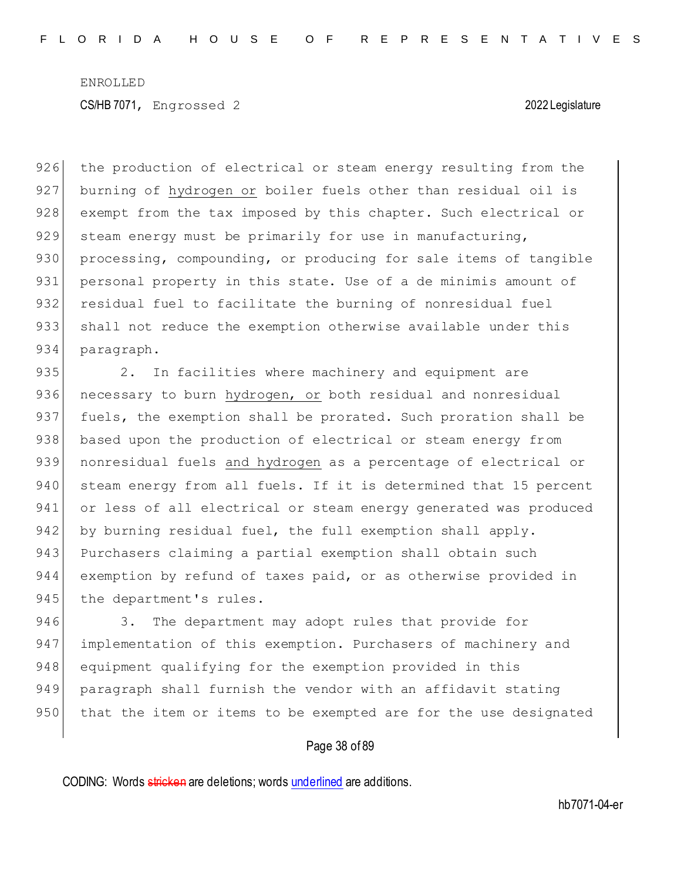926 the production of electrical or steam energy resulting from the 927 burning of hydrogen or boiler fuels other than residual oil is 928 exempt from the tax imposed by this chapter. Such electrical or 929 steam energy must be primarily for use in manufacturing, 930 processing, compounding, or producing for sale items of tangible 931 personal property in this state. Use of a de minimis amount of 932 residual fuel to facilitate the burning of nonresidual fuel 933 shall not reduce the exemption otherwise available under this 934 paragraph.

935 2. In facilities where machinery and equipment are 936 necessary to burn hydrogen, or both residual and nonresidual 937 fuels, the exemption shall be prorated. Such proration shall be 938 based upon the production of electrical or steam energy from 939 nonresidual fuels and hydrogen as a percentage of electrical or 940 steam energy from all fuels. If it is determined that 15 percent 941 or less of all electrical or steam energy generated was produced 942 by burning residual fuel, the full exemption shall apply. 943 Purchasers claiming a partial exemption shall obtain such 944 exemption by refund of taxes paid, or as otherwise provided in 945 the department's rules.

946 3. The department may adopt rules that provide for 947 implementation of this exemption. Purchasers of machinery and 948 equipment qualifying for the exemption provided in this 949 paragraph shall furnish the vendor with an affidavit stating 950 that the item or items to be exempted are for the use designated

### Page 38 of 89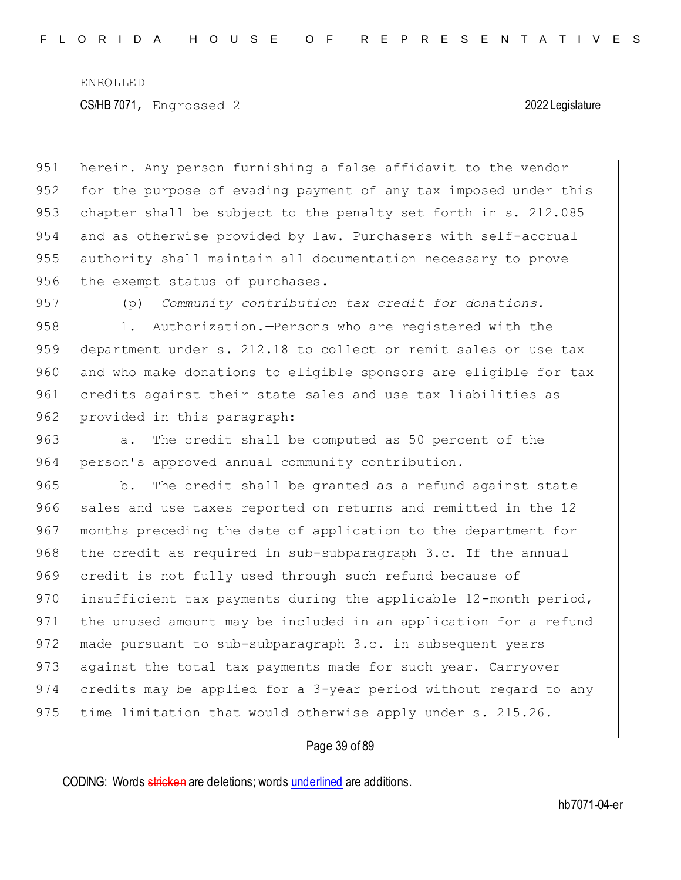951 herein. Any person furnishing a false affidavit to the vendor 952 for the purpose of evading payment of any tax imposed under this 953 chapter shall be subject to the penalty set forth in s. 212.085 954 and as otherwise provided by law. Purchasers with self-accrual 955 authority shall maintain all documentation necessary to prove 956 the exempt status of purchases.

957 (p) *Community contribution tax credit for donations.*—

958 1. Authorization.—Persons who are registered with the 959 department under s. 212.18 to collect or remit sales or use tax 960 and who make donations to eligible sponsors are eligible for tax 961 credits against their state sales and use tax liabilities as 962 provided in this paragraph:

963 a. The credit shall be computed as 50 percent of the 964 person's approved annual community contribution.

965 b. The credit shall be granted as a refund against state 966 sales and use taxes reported on returns and remitted in the 12 967 months preceding the date of application to the department for 968 the credit as required in sub-subparagraph 3.c. If the annual 969 credit is not fully used through such refund because of 970 insufficient tax payments during the applicable 12-month period, 971 the unused amount may be included in an application for a refund 972 made pursuant to sub-subparagraph 3.c. in subsequent years 973 against the total tax payments made for such year. Carryover 974 credits may be applied for a 3-year period without regard to any 975 time limitation that would otherwise apply under  $s. 215.26$ .

### Page 39 of 89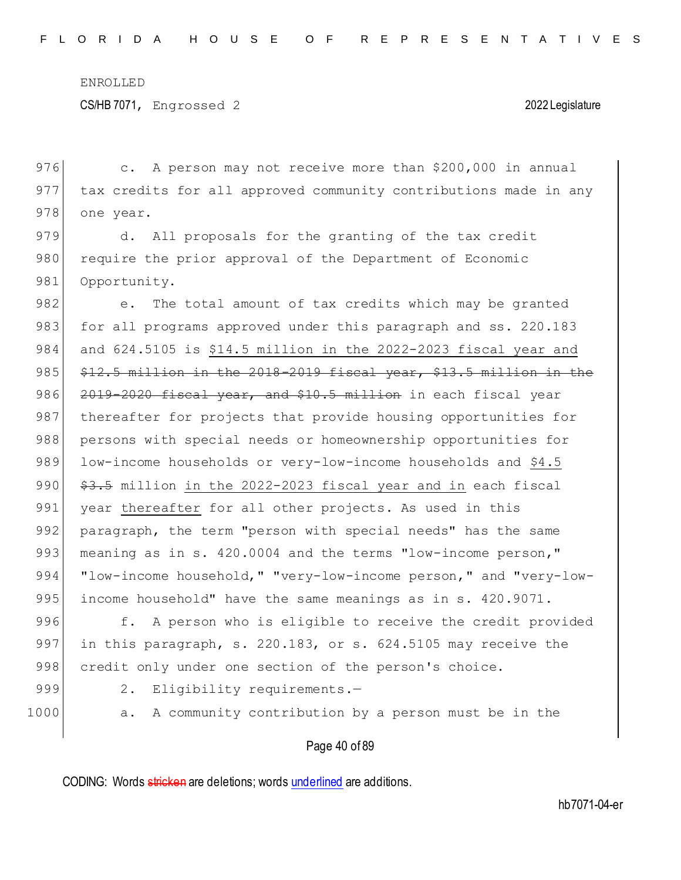CS/HB 7071, Engrossed 2 2022 Legislature

976 c. A person may not receive more than \$200,000 in annual 977 tax credits for all approved community contributions made in any 978 one year.

979 d. All proposals for the granting of the tax credit 980 require the prior approval of the Department of Economic 981 Opportunity.

982 e. The total amount of tax credits which may be granted 983 for all programs approved under this paragraph and ss. 220.183 984 and 624.5105 is \$14.5 million in the 2022-2023 fiscal year and 985  $$12.5$  million in the 2018-2019 fiscal year, \$13.5 million in the 986 2019-2020 fiscal year, and \$10.5 million in each fiscal year 987 thereafter for projects that provide housing opportunities for 988 persons with special needs or homeownership opportunities for 989 low-income households or very-low-income households and \$4.5 990 \$3.5 million in the 2022-2023 fiscal year and in each fiscal 991 year thereafter for all other projects. As used in this 992 paragraph, the term "person with special needs" has the same 993 meaning as in s. 420.0004 and the terms "low-income person," 994 "low-income household," "very-low-income person," and "very-low-995 income household" have the same meanings as in s. 420.9071. 996 f. A person who is eligible to receive the credit provided 997 in this paragraph, s. 220.183, or s. 624.5105 may receive the

- 
- 
- 999 2. Eligibility requirements.-

998 credit only under one section of the person's choice.

1000 a. A community contribution by a person must be in the

### Page 40 of 89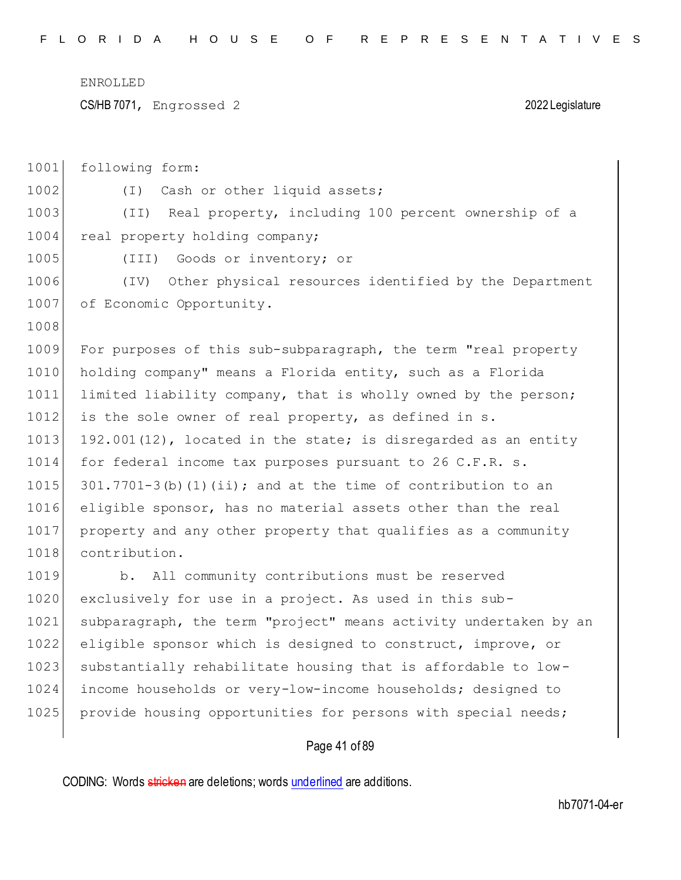CS/HB 7071, Engrossed 2 2022 Legislature

| 1001 | following form:                                                  |
|------|------------------------------------------------------------------|
| 1002 | (I) Cash or other liquid assets;                                 |
| 1003 | (II) Real property, including 100 percent ownership of a         |
| 1004 | real property holding company;                                   |
| 1005 | Goods or inventory; or<br>(III)                                  |
| 1006 | Other physical resources identified by the Department<br>(TV)    |
| 1007 | of Economic Opportunity.                                         |
| 1008 |                                                                  |
| 1009 | For purposes of this sub-subparagraph, the term "real property   |
| 1010 | holding company" means a Florida entity, such as a Florida       |
| 1011 | limited liability company, that is wholly owned by the person;   |
| 1012 | is the sole owner of real property, as defined in s.             |
| 1013 | 192.001(12), located in the state; is disregarded as an entity   |
| 1014 | for federal income tax purposes pursuant to 26 C.F.R. s.         |
| 1015 | $301.7701-3$ (b) (1) (ii); and at the time of contribution to an |
| 1016 | eligible sponsor, has no material assets other than the real     |
| 1017 | property and any other property that qualifies as a community    |
| 1018 | contribution.                                                    |
| 1019 | b. All community contributions must be reserved                  |
| 1020 | exclusively for use in a project. As used in this sub-           |
| 1021 | subparagraph, the term "project" means activity undertaken by an |
| 1022 | eligible sponsor which is designed to construct, improve, or     |
| 1023 | substantially rehabilitate housing that is affordable to low-    |
| 1024 | income households or very-low-income households; designed to     |
| 1025 | provide housing opportunities for persons with special needs;    |
|      |                                                                  |

# Page 41 of 89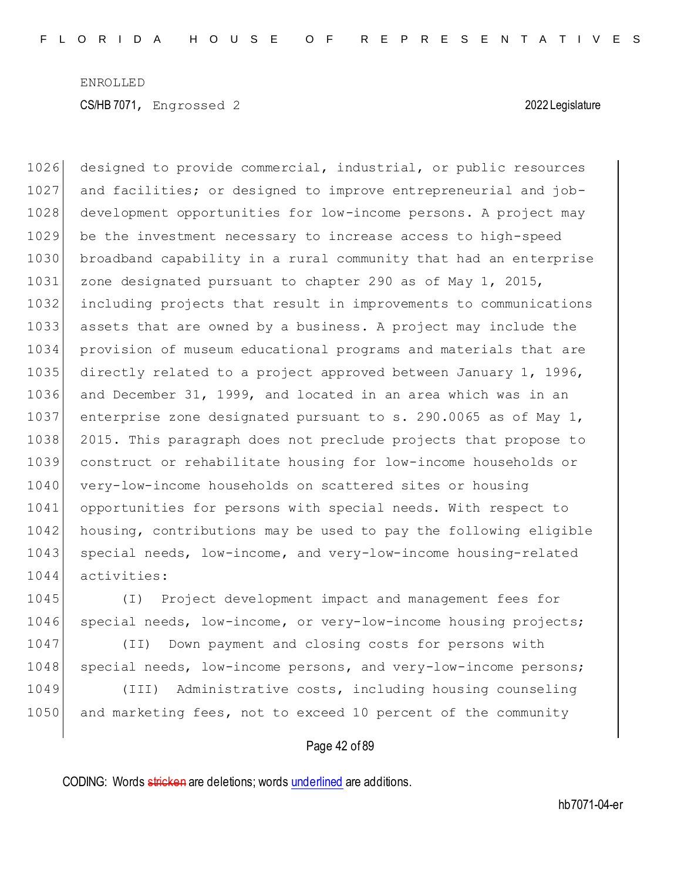1026 designed to provide commercial, industrial, or public resources and facilities; or designed to improve entrepreneurial and job- development opportunities for low-income persons. A project may be the investment necessary to increase access to high-speed broadband capability in a rural community that had an enterprise 1031 zone designated pursuant to chapter 290 as of May 1, 2015, including projects that result in improvements to communications assets that are owned by a business. A project may include the provision of museum educational programs and materials that are directly related to a project approved between January 1, 1996, and December 31, 1999, and located in an area which was in an 1037 enterprise zone designated pursuant to s. 290.0065 as of May 1, 2015. This paragraph does not preclude projects that propose to construct or rehabilitate housing for low-income households or 1040 very-low-income households on scattered sites or housing opportunities for persons with special needs. With respect to housing, contributions may be used to pay the following eligible 1043 special needs, low-income, and very-low-income housing-related activities:

1045 (I) Project development impact and management fees for 1046 special needs, low-income, or very-low-income housing projects;

1047 (II) Down payment and closing costs for persons with 1048 special needs, low-income persons, and very-low-income persons;

1049 (III) Administrative costs, including housing counseling 1050 and marketing fees, not to exceed 10 percent of the community

### Page 42 of 89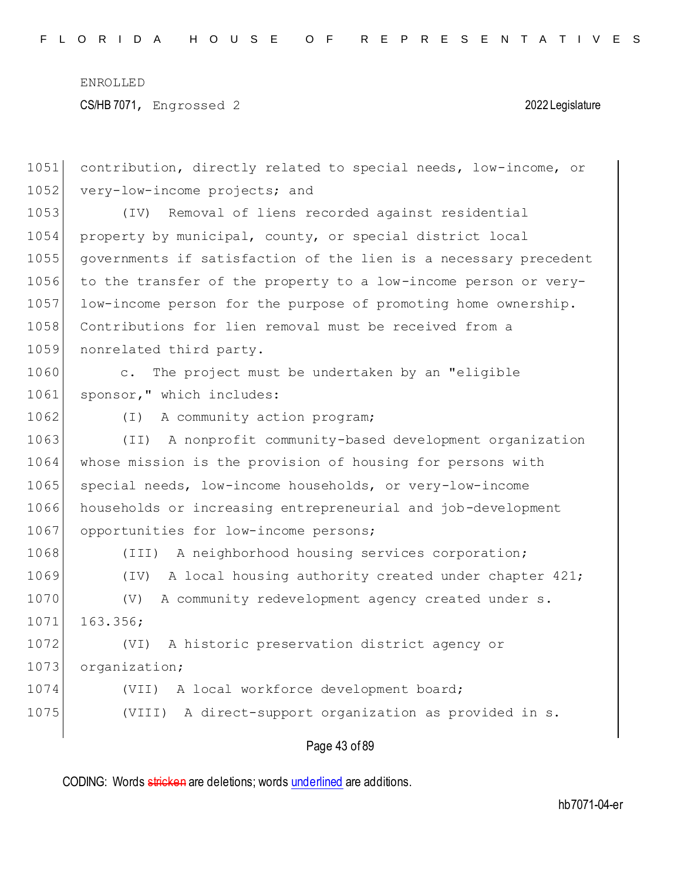| 1051 | contribution, directly related to special needs, low-income, or       |
|------|-----------------------------------------------------------------------|
| 1052 | very-low-income projects; and                                         |
| 1053 | Removal of liens recorded against residential<br>(TV)                 |
| 1054 | property by municipal, county, or special district local              |
| 1055 | governments if satisfaction of the lien is a necessary precedent      |
| 1056 | to the transfer of the property to a low-income person or very-       |
| 1057 | low-income person for the purpose of promoting home ownership.        |
| 1058 | Contributions for lien removal must be received from a                |
| 1059 | nonrelated third party.                                               |
| 1060 | The project must be undertaken by an "eligible<br>$\mathsf{C}$ .      |
| 1061 | sponsor," which includes:                                             |
| 1062 | A community action program;<br>( I )                                  |
| 1063 | A nonprofit community-based development organization<br>(TI)          |
| 1064 | whose mission is the provision of housing for persons with            |
| 1065 | special needs, low-income households, or very-low-income              |
| 1066 | households or increasing entrepreneurial and job-development          |
| 1067 | opportunities for low-income persons;                                 |
| 1068 | A neighborhood housing services corporation;<br>$(\text{III})$        |
| 1069 | A local housing authority created under chapter 421;<br>$(\text{IV})$ |
| 1070 | A community redevelopment agency created under s.<br>$(\nabla)$       |
| 1071 | 163.356;                                                              |
| 1072 | A historic preservation district agency or<br>(VI)                    |
| 1073 | organization;                                                         |
| 1074 | (VII) A local workforce development board;                            |
| 1075 | A direct-support organization as provided in s.<br>(VIII)             |
|      |                                                                       |

# Page 43 of 89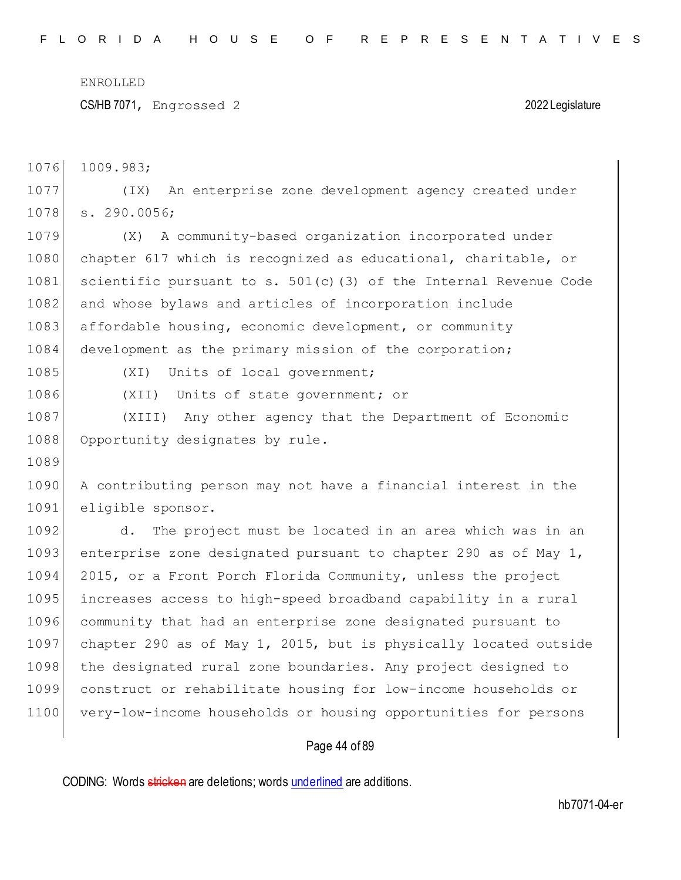CS/HB 7071, Engrossed 2 2022 Legislature

1076 1009.983;

1077 (IX) An enterprise zone development agency created under 1078 s. 290.0056;

1079 (X) A community-based organization incorporated under 1080 chapter 617 which is recognized as educational, charitable, or 1081 scientific pursuant to s.  $501(c)$  (3) of the Internal Revenue Code 1082 and whose bylaws and articles of incorporation include 1083 affordable housing, economic development, or community 1084 development as the primary mission of the corporation;

1089

1085 (XI) Units of local government;

1086 (XII) Units of state government; or

1087 (XIII) Any other agency that the Department of Economic 1088 Opportunity designates by rule.

1090 A contributing person may not have a financial interest in the 1091 eligible sponsor.

1092 d. The project must be located in an area which was in an 1093 enterprise zone designated pursuant to chapter 290 as of May 1, 1094 2015, or a Front Porch Florida Community, unless the project 1095 increases access to high-speed broadband capability in a rural 1096 community that had an enterprise zone designated pursuant to 1097 chapter 290 as of May 1, 2015, but is physically located outside 1098 the designated rural zone boundaries. Any project designed to 1099 construct or rehabilitate housing for low-income households or 1100 very-low-income households or housing opportunities for persons

### Page 44 of 89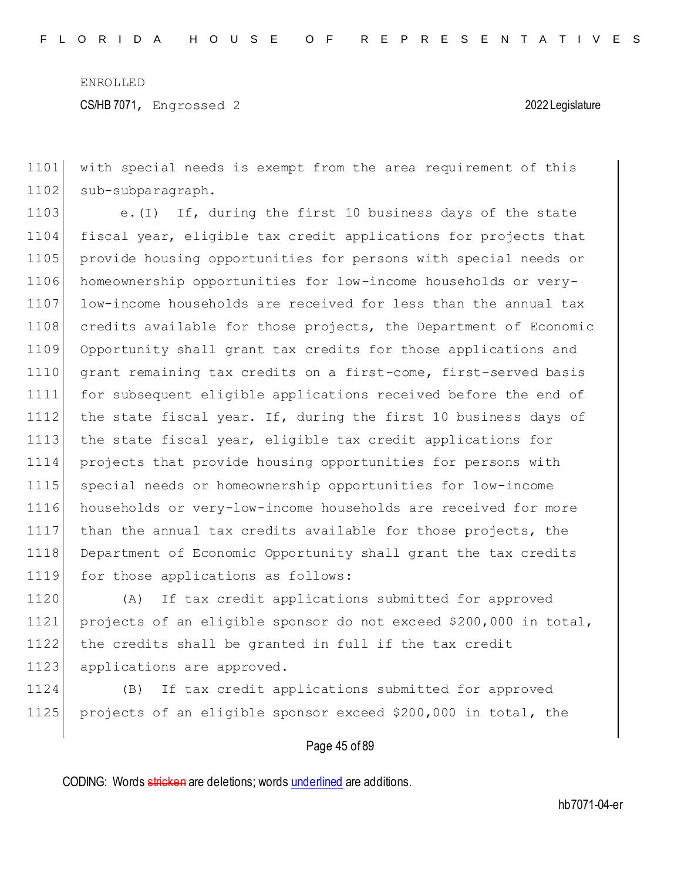1101 with special needs is exempt from the area requirement of this 1102 sub-subparagraph.

1103 e.(I) If, during the first 10 business days of the state 1104 fiscal year, eligible tax credit applications for projects that 1105 provide housing opportunities for persons with special needs or 1106 homeownership opportunities for low-income households or very-1107 low-income households are received for less than the annual tax 1108 credits available for those projects, the Department of Economic 1109 Opportunity shall grant tax credits for those applications and 1110 grant remaining tax credits on a first-come, first-served basis 1111 for subsequent eligible applications received before the end of 1112 the state fiscal year. If, during the first 10 business days of 1113 the state fiscal year, eligible tax credit applications for 1114 projects that provide housing opportunities for persons with 1115 special needs or homeownership opportunities for low-income 1116 households or very-low-income households are received for more 1117 than the annual tax credits available for those projects, the 1118 Department of Economic Opportunity shall grant the tax credits 1119 for those applications as follows:

 (A) If tax credit applications submitted for approved projects of an eligible sponsor do not exceed \$200,000 in total, the credits shall be granted in full if the tax credit 1123 applications are approved.

1124 (B) If tax credit applications submitted for approved 1125 projects of an eligible sponsor exceed \$200,000 in total, the

### Page 45 of 89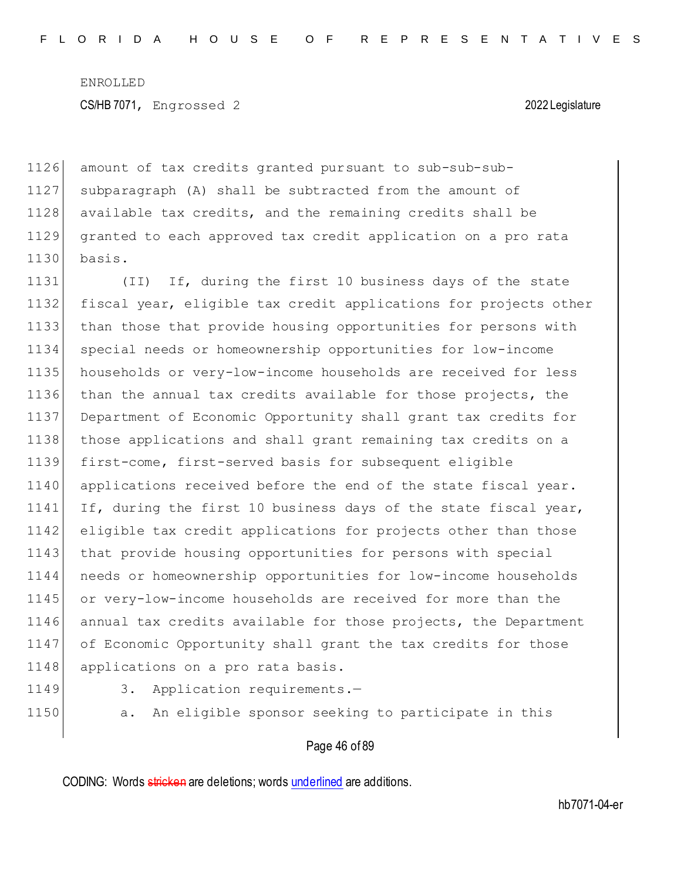1126 amount of tax credits granted pursuant to sub-sub-sub-1127 subparagraph (A) shall be subtracted from the amount of 1128 available tax credits, and the remaining credits shall be 1129 granted to each approved tax credit application on a pro rata 1130 basis.

1131 (II) If, during the first 10 business days of the state fiscal year, eligible tax credit applications for projects other than those that provide housing opportunities for persons with special needs or homeownership opportunities for low-income households or very-low-income households are received for less than the annual tax credits available for those projects, the Department of Economic Opportunity shall grant tax credits for those applications and shall grant remaining tax credits on a first-come, first-served basis for subsequent eligible applications received before the end of the state fiscal year. 1141 If, during the first 10 business days of the state fiscal year, eligible tax credit applications for projects other than those 1143 that provide housing opportunities for persons with special needs or homeownership opportunities for low-income households or very-low-income households are received for more than the 1146 annual tax credits available for those projects, the Department of Economic Opportunity shall grant the tax credits for those 1148 applications on a pro rata basis.

- 
- 1149 3. Application requirements.-
- 

1150 a. An eligible sponsor seeking to participate in this

### Page 46 of 89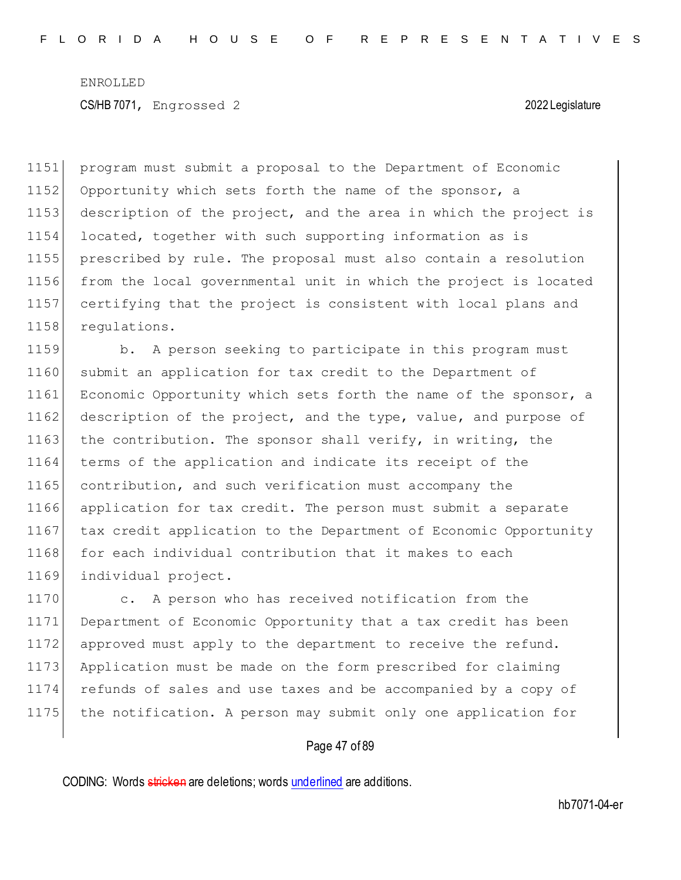program must submit a proposal to the Department of Economic 1152 Opportunity which sets forth the name of the sponsor, a description of the project, and the area in which the project is located, together with such supporting information as is prescribed by rule. The proposal must also contain a resolution from the local governmental unit in which the project is located certifying that the project is consistent with local plans and 1158 requiations.

1159 b. A person seeking to participate in this program must 1160 submit an application for tax credit to the Department of 1161 Economic Opportunity which sets forth the name of the sponsor, a 1162 description of the project, and the type, value, and purpose of 1163 the contribution. The sponsor shall verify, in writing, the 1164 terms of the application and indicate its receipt of the 1165 contribution, and such verification must accompany the 1166 application for tax credit. The person must submit a separate 1167 tax credit application to the Department of Economic Opportunity 1168 for each individual contribution that it makes to each 1169 individual project.

1170 c. A person who has received notification from the 1171 Department of Economic Opportunity that a tax credit has been 1172 approved must apply to the department to receive the refund. 1173 Application must be made on the form prescribed for claiming 1174 refunds of sales and use taxes and be accompanied by a copy of 1175 the notification. A person may submit only one application for

### Page 47 of 89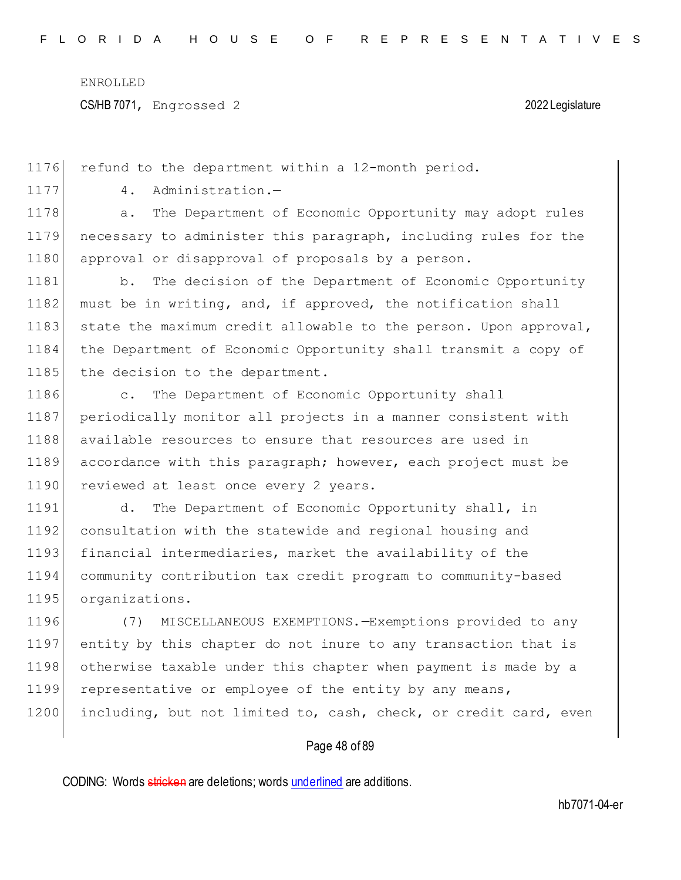CS/HB 7071, Engrossed 2 2022 Legislature

1176 refund to the department within a 12-month period. 1177 4. Administration.-1178 a. The Department of Economic Opportunity may adopt rules 1179 necessary to administer this paragraph, including rules for the 1180 approval or disapproval of proposals by a person. 1181 b. The decision of the Department of Economic Opportunity 1182 must be in writing, and, if approved, the notification shall 1183 state the maximum credit allowable to the person. Upon approval, 1184 the Department of Economic Opportunity shall transmit a copy of 1185 the decision to the department. 1186 c. The Department of Economic Opportunity shall 1187 periodically monitor all projects in a manner consistent with 1188 available resources to ensure that resources are used in 1189 accordance with this paragraph; however, each project must be 1190 reviewed at least once every 2 years. 1191 d. The Department of Economic Opportunity shall, in 1192 consultation with the statewide and regional housing and 1193 financial intermediaries, market the availability of the 1194 community contribution tax credit program to community-based 1195 organizations. 1196 (7) MISCELLANEOUS EXEMPTIONS.—Exemptions provided to any 1197 entity by this chapter do not inure to any transaction that is 1198 otherwise taxable under this chapter when payment is made by a 1199 representative or employee of the entity by any means,

1200 including, but not limited to, cash, check, or credit card, even

### Page 48 of 89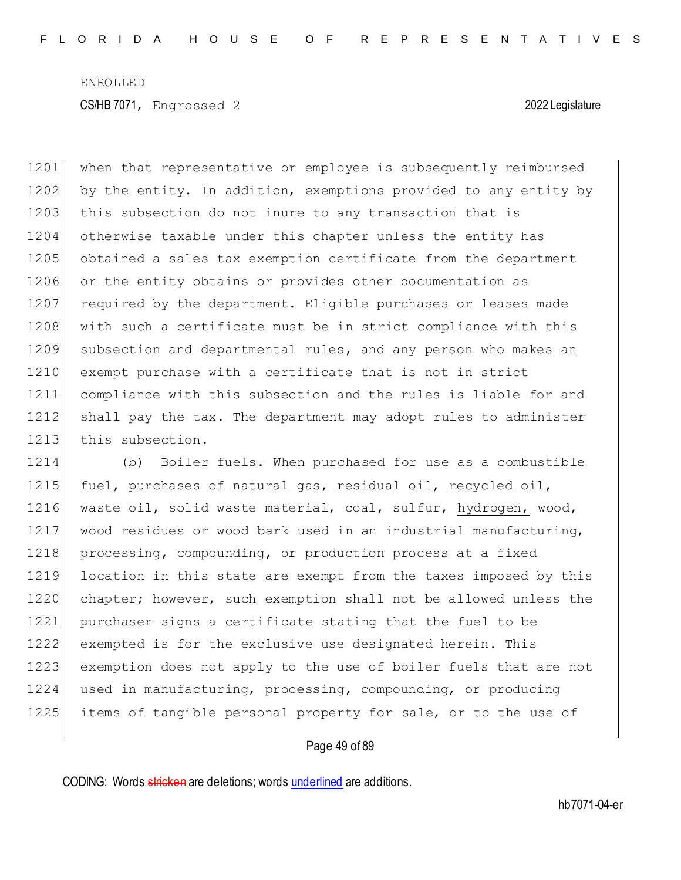1201 when that representative or employee is subsequently reimbursed 1202 by the entity. In addition, exemptions provided to any entity by 1203 this subsection do not inure to any transaction that is 1204 otherwise taxable under this chapter unless the entity has 1205 obtained a sales tax exemption certificate from the department 1206 or the entity obtains or provides other documentation as 1207 required by the department. Eligible purchases or leases made 1208 with such a certificate must be in strict compliance with this 1209 subsection and departmental rules, and any person who makes an 1210 exempt purchase with a certificate that is not in strict 1211 compliance with this subsection and the rules is liable for and 1212 shall pay the tax. The department may adopt rules to administer 1213 this subsection.

1214 (b) Boiler fuels.—When purchased for use as a combustible 1215 fuel, purchases of natural gas, residual oil, recycled oil, 1216 waste oil, solid waste material, coal, sulfur, hydrogen, wood, 1217 wood residues or wood bark used in an industrial manufacturing, 1218 processing, compounding, or production process at a fixed 1219 location in this state are exempt from the taxes imposed by this 1220 chapter; however, such exemption shall not be allowed unless the 1221 purchaser signs a certificate stating that the fuel to be 1222 exempted is for the exclusive use designated herein. This 1223 exemption does not apply to the use of boiler fuels that are not 1224 used in manufacturing, processing, compounding, or producing 1225 items of tangible personal property for sale, or to the use of

### Page 49 of 89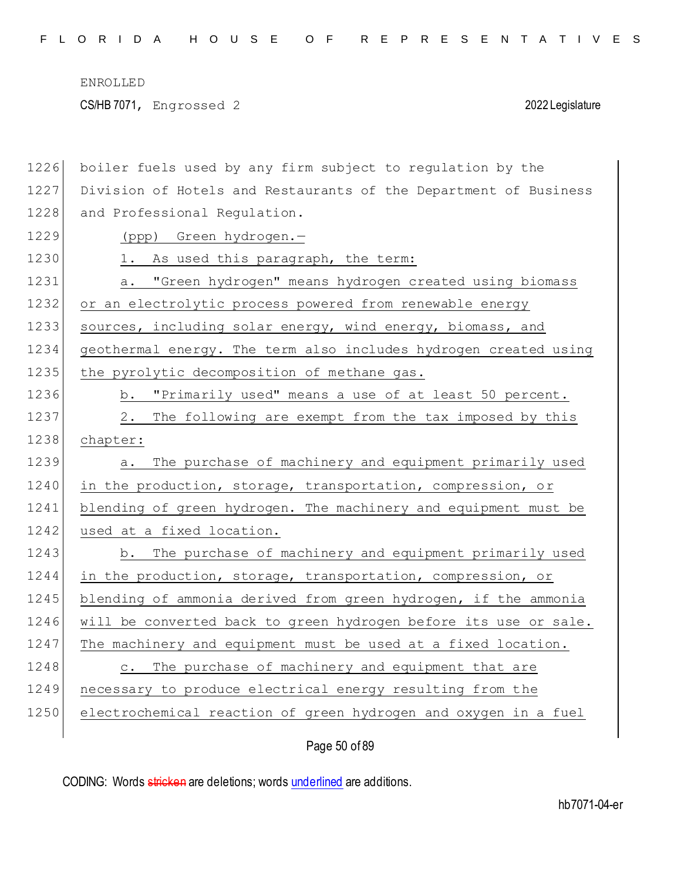CS/HB 7071, Engrossed 2 2022 Legislature

| 1226 | boiler fuels used by any firm subject to regulation by the       |
|------|------------------------------------------------------------------|
| 1227 | Division of Hotels and Restaurants of the Department of Business |
| 1228 | and Professional Regulation.                                     |
| 1229 | (ppp) Green hydrogen.-                                           |
| 1230 | 1. As used this paragraph, the term:                             |
| 1231 | "Green hydrogen" means hydrogen created using biomass<br>а.      |
| 1232 | or an electrolytic process powered from renewable energy         |
| 1233 | sources, including solar energy, wind energy, biomass, and       |
| 1234 | geothermal energy. The term also includes hydrogen created using |
| 1235 | the pyrolytic decomposition of methane gas.                      |
| 1236 | "Primarily used" means a use of at least 50 percent.<br>b.       |
| 1237 | The following are exempt from the tax imposed by this<br>2.      |
| 1238 | chapter:                                                         |
| 1239 | The purchase of machinery and equipment primarily used<br>а.     |
| 1240 | in the production, storage, transportation, compression, or      |
| 1241 | blending of green hydrogen. The machinery and equipment must be  |
| 1242 | used at a fixed location.                                        |
| 1243 | The purchase of machinery and equipment primarily used<br>b.     |
| 1244 | in the production, storage, transportation, compression, or      |
| 1245 | blending of ammonia derived from green hydrogen, if the ammonia  |
| 1246 | will be converted back to green hydrogen before its use or sale. |
| 1247 | The machinery and equipment must be used at a fixed location.    |
| 1248 | c. The purchase of machinery and equipment that are              |
| 1249 | necessary to produce electrical energy resulting from the        |
| 1250 | electrochemical reaction of green hydrogen and oxygen in a fuel  |
|      |                                                                  |

Page 50 of 89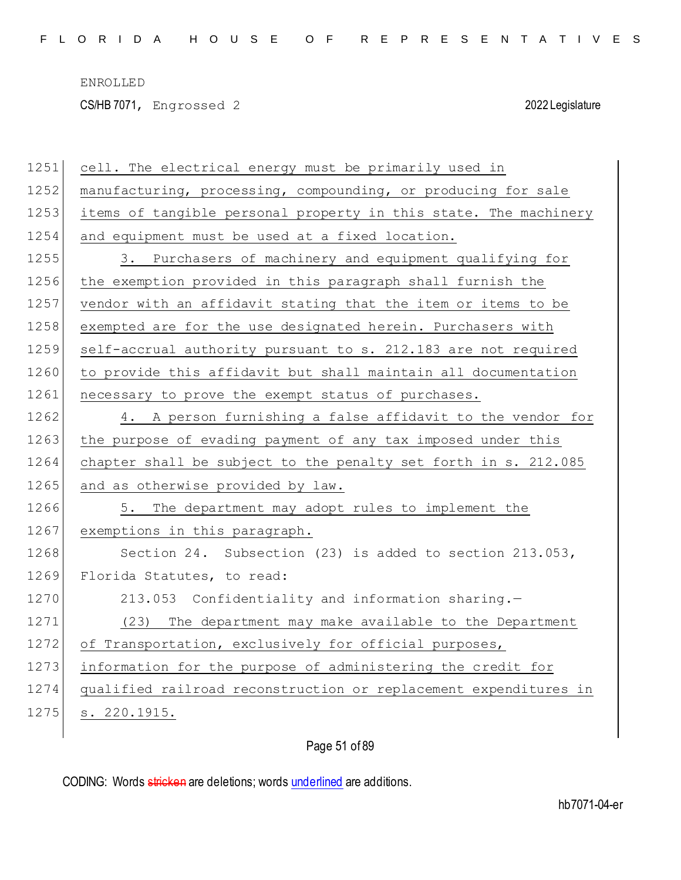CS/HB 7071, Engrossed 2 2022 Legislature

| 1251 | cell. The electrical energy must be primarily used in            |
|------|------------------------------------------------------------------|
| 1252 | manufacturing, processing, compounding, or producing for sale    |
| 1253 | items of tangible personal property in this state. The machinery |
| 1254 | and equipment must be used at a fixed location.                  |
| 1255 | 3. Purchasers of machinery and equipment qualifying for          |
| 1256 | the exemption provided in this paragraph shall furnish the       |
| 1257 | vendor with an affidavit stating that the item or items to be    |
| 1258 | exempted are for the use designated herein. Purchasers with      |
| 1259 | self-accrual authority pursuant to s. 212.183 are not required   |
| 1260 | to provide this affidavit but shall maintain all documentation   |
| 1261 | necessary to prove the exempt status of purchases.               |
| 1262 | 4. A person furnishing a false affidavit to the vendor for       |
| 1263 | the purpose of evading payment of any tax imposed under this     |
| 1264 | chapter shall be subject to the penalty set forth in s. 212.085  |
| 1265 | and as otherwise provided by law.                                |
| 1266 | 5. The department may adopt rules to implement the               |
| 1267 | exemptions in this paragraph.                                    |
| 1268 | Section 24. Subsection (23) is added to section 213.053,         |
| 1269 | Florida Statutes, to read:                                       |
| 1270 | 213.053 Confidentiality and information sharing.-                |
| 1271 | (23) The department may make available to the Department         |
| 1272 | of Transportation, exclusively for official purposes,            |
| 1273 | information for the purpose of administering the credit for      |
| 1274 | qualified railroad reconstruction or replacement expenditures in |
| 1275 | s. 220.1915.                                                     |
|      |                                                                  |

Page 51 of 89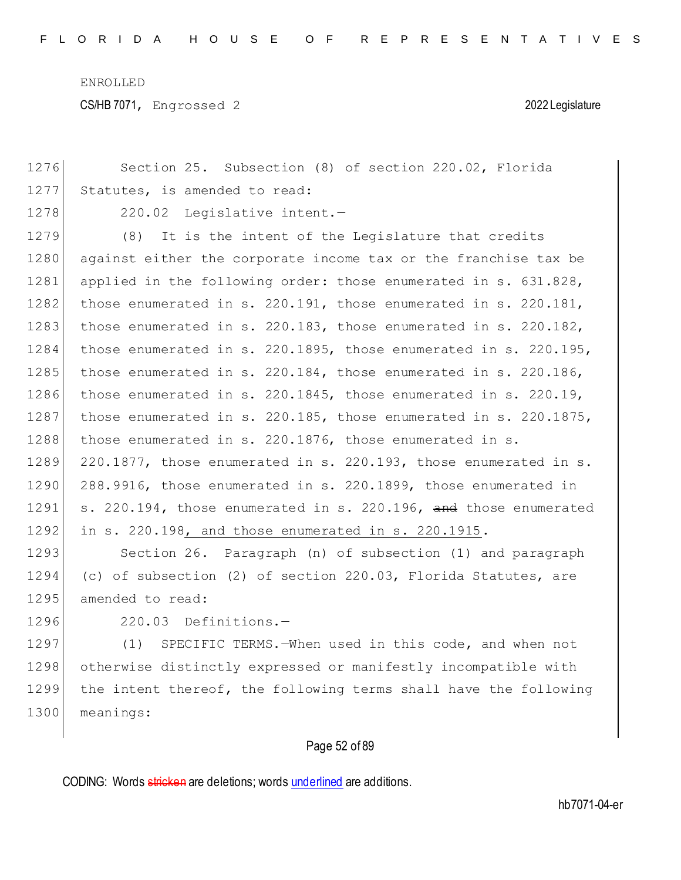CS/HB 7071, Engrossed 2 2022 Legislature

| 1276 | Section 25. Subsection (8) of section 220.02, Florida                 |
|------|-----------------------------------------------------------------------|
| 1277 | Statutes, is amended to read:                                         |
| 1278 | 220.02 Legislative intent.-                                           |
| 1279 | It is the intent of the Legislature that credits<br>(8)               |
| 1280 | against either the corporate income tax or the franchise tax be       |
| 1281 | applied in the following order: those enumerated in s. 631.828,       |
| 1282 | those enumerated in s. $220.191$ , those enumerated in s. $220.181$ , |
| 1283 | those enumerated in s. 220.183, those enumerated in s. 220.182,       |
| 1284 | those enumerated in s. 220.1895, those enumerated in s. 220.195,      |
| 1285 | those enumerated in s. 220.184, those enumerated in s. 220.186,       |
| 1286 | those enumerated in s. 220.1845, those enumerated in s. 220.19,       |
| 1287 | those enumerated in s. 220.185, those enumerated in s. 220.1875,      |
| 1288 | those enumerated in s. 220.1876, those enumerated in s.               |
| 1289 | 220.1877, those enumerated in s. 220.193, those enumerated in s.      |
| 1290 | 288.9916, those enumerated in s. 220.1899, those enumerated in        |
| 1291 | s. 220.194, those enumerated in s. 220.196, and those enumerated      |
| 1292 | in s. 220.198, and those enumerated in s. 220.1915.                   |
| 1293 | Section 26. Paragraph (n) of subsection (1) and paragraph             |
| 1294 | (c) of subsection (2) of section 220.03, Florida Statutes, are        |
| 1295 | amended to read:                                                      |
| 1296 | 220.03 Definitions.-                                                  |
| 1297 | SPECIFIC TERMS.-When used in this code, and when not<br>(1)           |
| 1298 | otherwise distinctly expressed or manifestly incompatible with        |
| 1299 | the intent thereof, the following terms shall have the following      |
| 1300 | meanings:                                                             |
|      |                                                                       |

## Page 52 of 89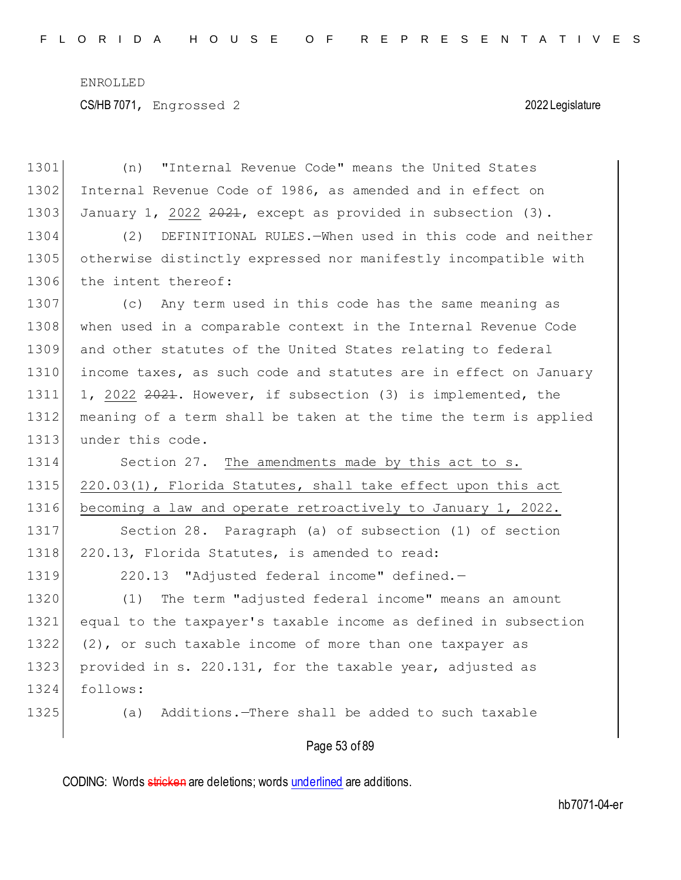| 1301 | (n) "Internal Revenue Code" means the United States              |
|------|------------------------------------------------------------------|
| 1302 | Internal Revenue Code of 1986, as amended and in effect on       |
| 1303 | January 1, 2022 $2022$ , except as provided in subsection (3).   |
| 1304 | DEFINITIONAL RULES. - When used in this code and neither<br>(2)  |
| 1305 | otherwise distinctly expressed nor manifestly incompatible with  |
| 1306 | the intent thereof:                                              |
| 1307 | (c) Any term used in this code has the same meaning as           |
| 1308 | when used in a comparable context in the Internal Revenue Code   |
| 1309 | and other statutes of the United States relating to federal      |
| 1310 | income taxes, as such code and statutes are in effect on January |
| 1311 | 1, 2022 2021. However, if subsection (3) is implemented, the     |
| 1312 | meaning of a term shall be taken at the time the term is applied |
| 1313 | under this code.                                                 |
| 1314 | Section 27. The amendments made by this act to s.                |
| 1315 | 220.03(1), Florida Statutes, shall take effect upon this act     |
| 1316 | becoming a law and operate retroactively to January 1, 2022.     |
| 1317 | Section 28. Paragraph (a) of subsection (1) of section           |
| 1318 | 220.13, Florida Statutes, is amended to read:                    |
| 1319 | 220.13 "Adjusted federal income" defined.-                       |
| 1320 | (1) The term "adjusted federal income" means an amount           |
| 1321 | equal to the taxpayer's taxable income as defined in subsection  |
| 1322 | (2), or such taxable income of more than one taxpayer as         |
| 1323 | provided in s. 220.131, for the taxable year, adjusted as        |
| 1324 | follows:                                                         |
| 1325 | Additions. - There shall be added to such taxable<br>(a)         |
|      | Page 53 of 89                                                    |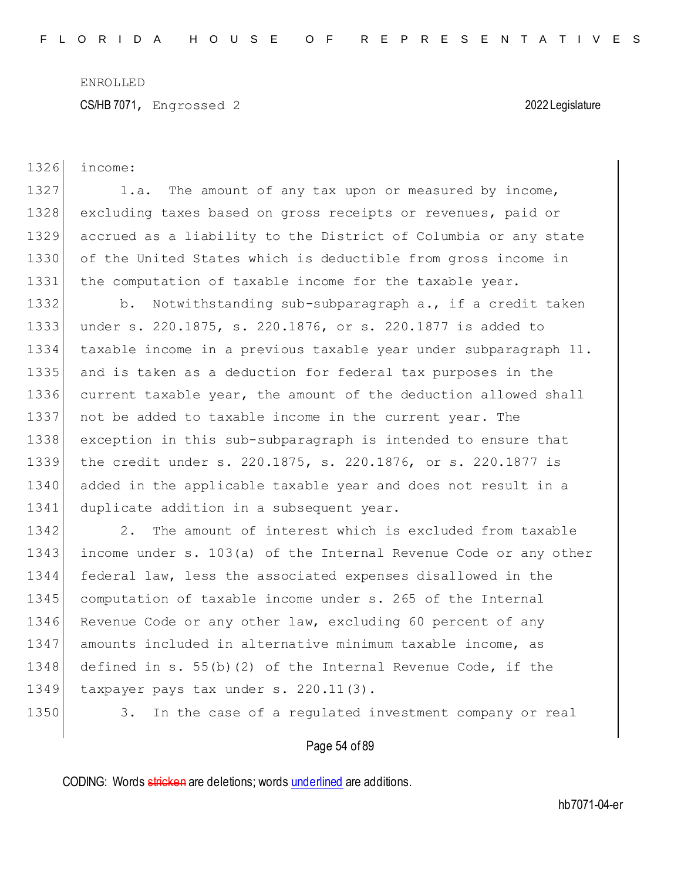CS/HB 7071, Engrossed 2 2022 Legislature

| 1326 | income:                                                          |
|------|------------------------------------------------------------------|
| 1327 | The amount of any tax upon or measured by income,<br>1.a.        |
| 1328 | excluding taxes based on gross receipts or revenues, paid or     |
| 1329 | accrued as a liability to the District of Columbia or any state  |
| 1330 | of the United States which is deductible from gross income in    |
| 1331 | the computation of taxable income for the taxable year.          |
| 1332 | Notwithstanding sub-subparagraph a., if a credit taken<br>b.     |
| 1333 | under s. 220.1875, s. 220.1876, or s. 220.1877 is added to       |
| 1334 | taxable income in a previous taxable year under subparagraph 11. |
| 1335 | and is taken as a deduction for federal tax purposes in the      |
| 1336 | current taxable year, the amount of the deduction allowed shall  |
| 1337 | not be added to taxable income in the current year. The          |
| 1338 | exception in this sub-subparagraph is intended to ensure that    |
| 1339 | the credit under s. 220.1875, s. 220.1876, or s. 220.1877 is     |
| 1340 | added in the applicable taxable year and does not result in a    |
| 1341 | duplicate addition in a subsequent year.                         |
| 1342 | The amount of interest which is excluded from taxable<br>2.      |
| 1343 | income under s. 103(a) of the Internal Revenue Code or any other |
| 1344 | federal law, less the associated expenses disallowed in the      |
| 1345 | computation of taxable income under s. 265 of the Internal       |
| 1346 | Revenue Code or any other law, excluding 60 percent of any       |
| 1347 | amounts included in alternative minimum taxable income, as       |
| 1348 | defined in s. $55(b)(2)$ of the Internal Revenue Code, if the    |
| 1349 | taxpayer pays tax under s. 220.11(3).                            |
| 1350 | In the case of a regulated investment company or real<br>3.      |
|      |                                                                  |

Page 54 of 89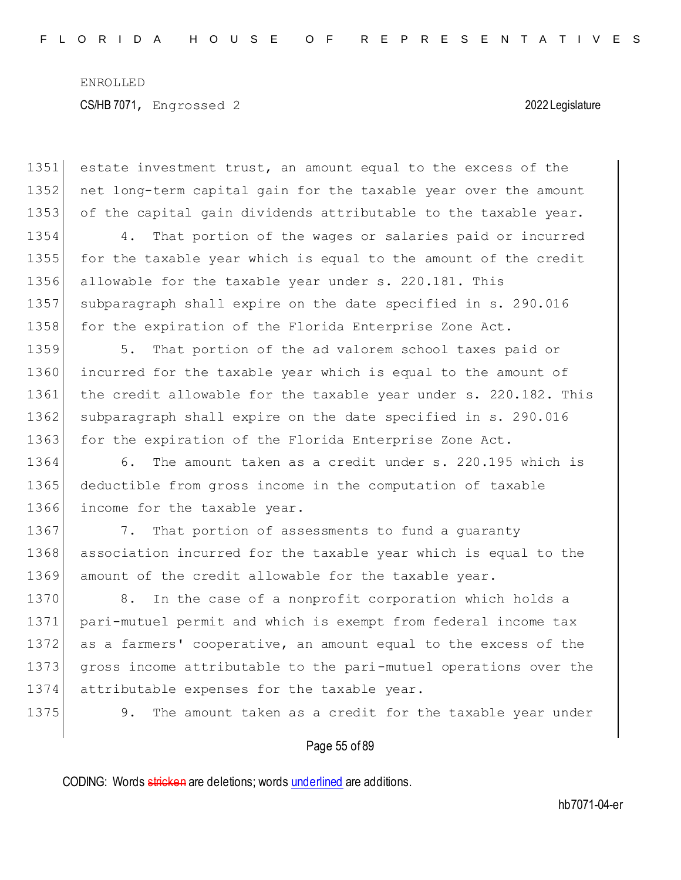1351 estate investment trust, an amount equal to the excess of the 1352 net long-term capital gain for the taxable year over the amount 1353 of the capital gain dividends attributable to the taxable year. 1354 4. That portion of the wages or salaries paid or incurred 1355 for the taxable year which is equal to the amount of the credit 1356 allowable for the taxable year under s. 220.181. This 1357 subparagraph shall expire on the date specified in s. 290.016 1358 for the expiration of the Florida Enterprise Zone Act. 1359 5. That portion of the ad valorem school taxes paid or 1360 incurred for the taxable year which is equal to the amount of 1361 the credit allowable for the taxable year under s. 220.182. This 1362 subparagraph shall expire on the date specified in s. 290.016 1363 for the expiration of the Florida Enterprise Zone Act. 1364 6. The amount taken as a credit under s. 220.195 which is 1365 deductible from gross income in the computation of taxable 1366 income for the taxable year. 1367 7. That portion of assessments to fund a guaranty 1368 association incurred for the taxable year which is equal to the 1369 amount of the credit allowable for the taxable year. 1370 8. In the case of a nonprofit corporation which holds a 1371 pari-mutuel permit and which is exempt from federal income tax 1372 as a farmers' cooperative, an amount equal to the excess of the 1373 gross income attributable to the pari-mutuel operations over the 1374 attributable expenses for the taxable year. 1375 9. The amount taken as a credit for the taxable year under

Page 55 of 89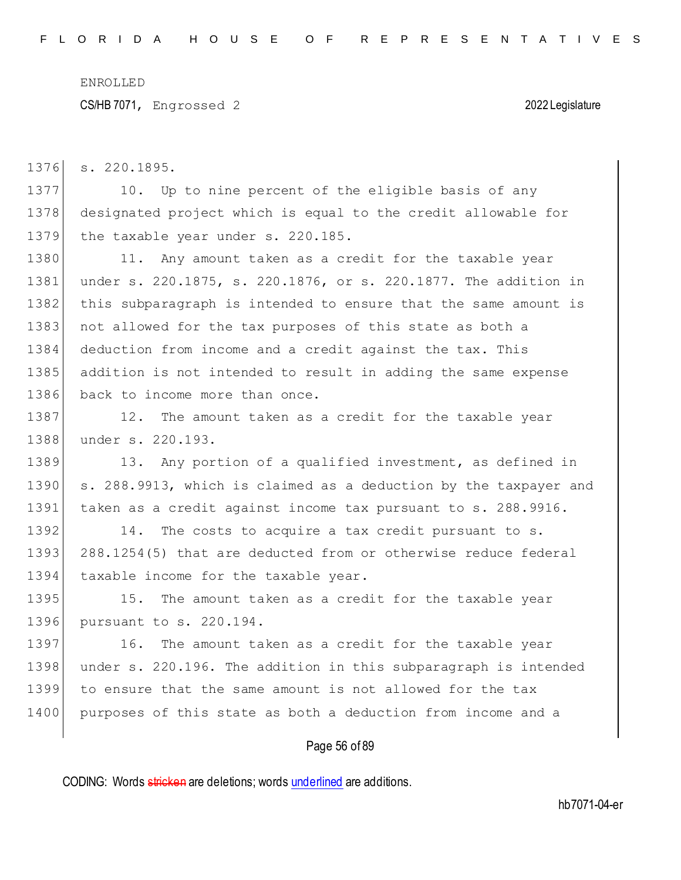CS/HB 7071, Engrossed 2 2022 Legislature

1376 s. 220.1895.

1377 10. Up to nine percent of the eligible basis of any 1378 designated project which is equal to the credit allowable for 1379 the taxable year under s. 220.185.

1380 11. Any amount taken as a credit for the taxable year 1381 under s. 220.1875, s. 220.1876, or s. 220.1877. The addition in 1382 this subparagraph is intended to ensure that the same amount is 1383 not allowed for the tax purposes of this state as both a 1384 deduction from income and a credit against the tax. This 1385 addition is not intended to result in adding the same expense 1386 back to income more than once.

1387 12. The amount taken as a credit for the taxable year 1388 under s. 220.193.

1389 13. Any portion of a qualified investment, as defined in 1390 s. 288.9913, which is claimed as a deduction by the taxpayer and 1391 taken as a credit against income tax pursuant to s. 288.9916.

1392 14. The costs to acquire a tax credit pursuant to s. 1393 288.1254(5) that are deducted from or otherwise reduce federal 1394 taxable income for the taxable year.

1395 15. The amount taken as a credit for the taxable year 1396 pursuant to s. 220.194.

1397 16. The amount taken as a credit for the taxable year 1398 under s. 220.196. The addition in this subparagraph is intended 1399 to ensure that the same amount is not allowed for the tax 1400 purposes of this state as both a deduction from income and a

### Page 56 of 89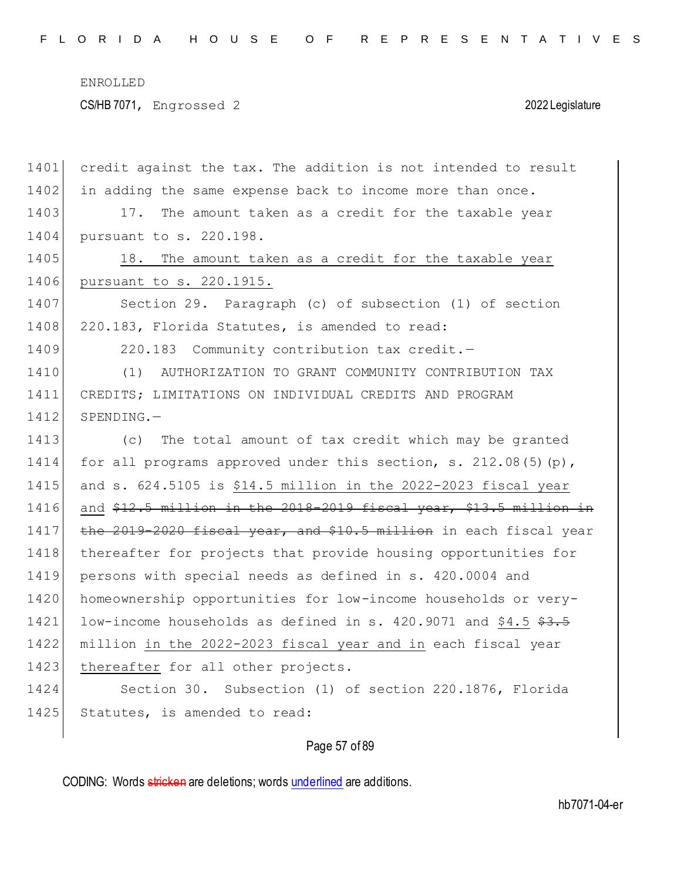| 1401 | credit against the tax. The addition is not intended to result     |
|------|--------------------------------------------------------------------|
| 1402 | in adding the same expense back to income more than once.          |
| 1403 | 17. The amount taken as a credit for the taxable year              |
| 1404 | pursuant to s. 220.198.                                            |
| 1405 | 18. The amount taken as a credit for the taxable year              |
| 1406 | pursuant to s. 220.1915.                                           |
| 1407 | Section 29. Paragraph (c) of subsection (1) of section             |
| 1408 | 220.183, Florida Statutes, is amended to read:                     |
| 1409 | 220.183 Community contribution tax credit.-                        |
| 1410 | (1)<br>AUTHORIZATION TO GRANT COMMUNITY CONTRIBUTION TAX           |
| 1411 | CREDITS; LIMITATIONS ON INDIVIDUAL CREDITS AND PROGRAM             |
| 1412 | $SPENDING. -$                                                      |
| 1413 | The total amount of tax credit which may be granted<br>(C)         |
| 1414 | for all programs approved under this section, s. $212.08(5)(p)$ ,  |
| 1415 | and s. 624.5105 is \$14.5 million in the 2022-2023 fiscal year     |
| 1416 | and \$12.5 million in the 2018-2019 fiscal year, \$13.5 million in |
| 1417 | the 2019-2020 fiscal year, and \$10.5 million in each fiscal year  |
| 1418 | thereafter for projects that provide housing opportunities for     |
| 1419 | persons with special needs as defined in s. 420.0004 and           |
| 1420 | homeownership opportunities for low-income households or very-     |
| 1421 | low-income households as defined in s. 420.9071 and \$4.5 \$3.5    |
| 1422 | million in the 2022-2023 fiscal year and in each fiscal year       |
| 1423 | thereafter for all other projects.                                 |
| 1424 | Section 30. Subsection (1) of section 220.1876, Florida            |
| 1425 | Statutes, is amended to read:                                      |
|      |                                                                    |

## Page 57 of 89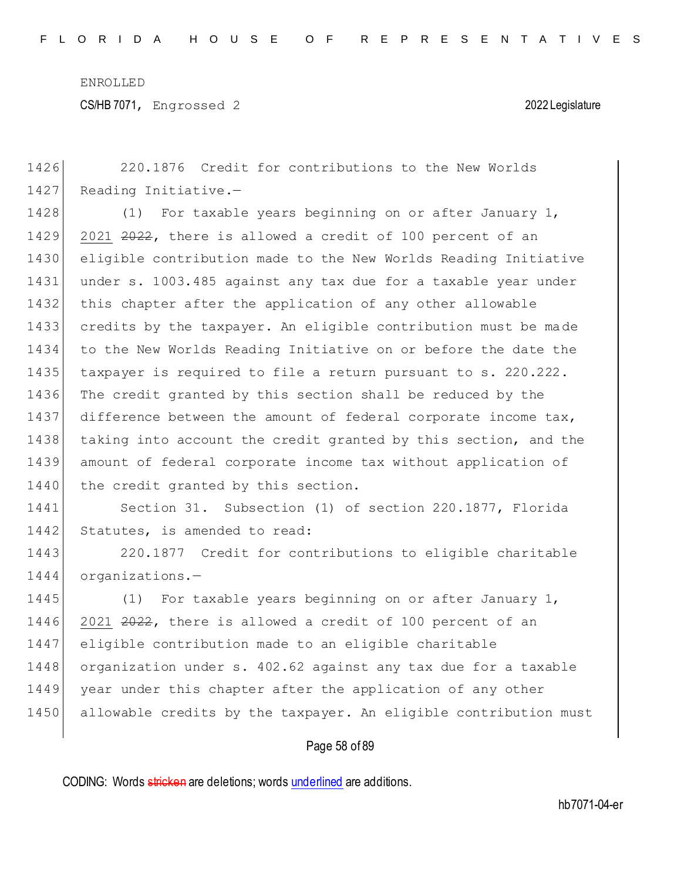| 1426 | 220.1876 Credit for contributions to the New Worlds              |
|------|------------------------------------------------------------------|
| 1427 | Reading Initiative.-                                             |
| 1428 | (1) For taxable years beginning on or after January 1,           |
| 1429 | 2021 2022, there is allowed a credit of 100 percent of an        |
| 1430 | eligible contribution made to the New Worlds Reading Initiative  |
| 1431 | under s. 1003.485 against any tax due for a taxable year under   |
| 1432 | this chapter after the application of any other allowable        |
| 1433 | credits by the taxpayer. An eligible contribution must be made   |
| 1434 | to the New Worlds Reading Initiative on or before the date the   |
| 1435 | taxpayer is required to file a return pursuant to s. 220.222.    |
| 1436 | The credit granted by this section shall be reduced by the       |
| 1437 | difference between the amount of federal corporate income tax,   |
| 1438 | taking into account the credit granted by this section, and the  |
| 1439 | amount of federal corporate income tax without application of    |
| 1440 | the credit granted by this section.                              |
| 1441 | Section 31. Subsection (1) of section 220.1877, Florida          |
| 1442 | Statutes, is amended to read:                                    |
| 1443 | 220.1877 Credit for contributions to eligible charitable         |
| 1444 | organizations.-                                                  |
| 1445 | (1) For taxable years beginning on or after January 1,           |
| 1446 | 2021 2022, there is allowed a credit of 100 percent of an        |
| 1447 | eligible contribution made to an eligible charitable             |
| 1448 | organization under s. 402.62 against any tax due for a taxable   |
| 1449 | year under this chapter after the application of any other       |
| 1450 | allowable credits by the taxpayer. An eligible contribution must |
|      |                                                                  |

# Page 58 of 89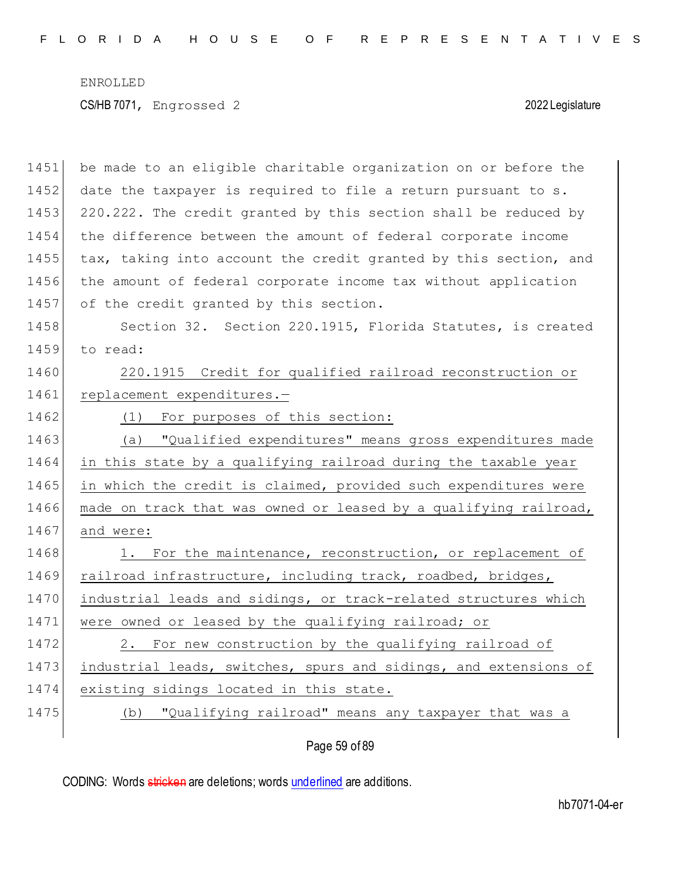1451 be made to an eligible charitable organization on or before the 1452 date the taxpayer is required to file a return pursuant to s. 1453 220.222. The credit granted by this section shall be reduced by 1454 the difference between the amount of federal corporate income 1455 tax, taking into account the credit granted by this section, and 1456 the amount of federal corporate income tax without application 1457 of the credit granted by this section. 1458 Section 32. Section 220.1915, Florida Statutes, is created 1459 to read: 1460 220.1915 Credit for qualified railroad reconstruction or 1461 replacement expenditures.-1462 (1) For purposes of this section: 1463 (a) "Qualified expenditures" means gross expenditures made 1464 in this state by a qualifying railroad during the taxable year 1465 in which the credit is claimed, provided such expenditures were 1466 made on track that was owned or leased by a qualifying railroad, 1467 and were: 1468 1. For the maintenance, reconstruction, or replacement of 1469 railroad infrastructure, including track, roadbed, bridges, 1470 industrial leads and sidings, or track-related structures which 1471 were owned or leased by the qualifying railroad; or 1472 2. For new construction by the qualifying railroad of 1473 industrial leads, switches, spurs and sidings, and extensions of 1474 existing sidings located in this state. 1475 (b) "Qualifying railroad" means any taxpayer that was a

Page 59 of 89

CODING: Words stricken are deletions; words underlined are additions.

hb7071-04-er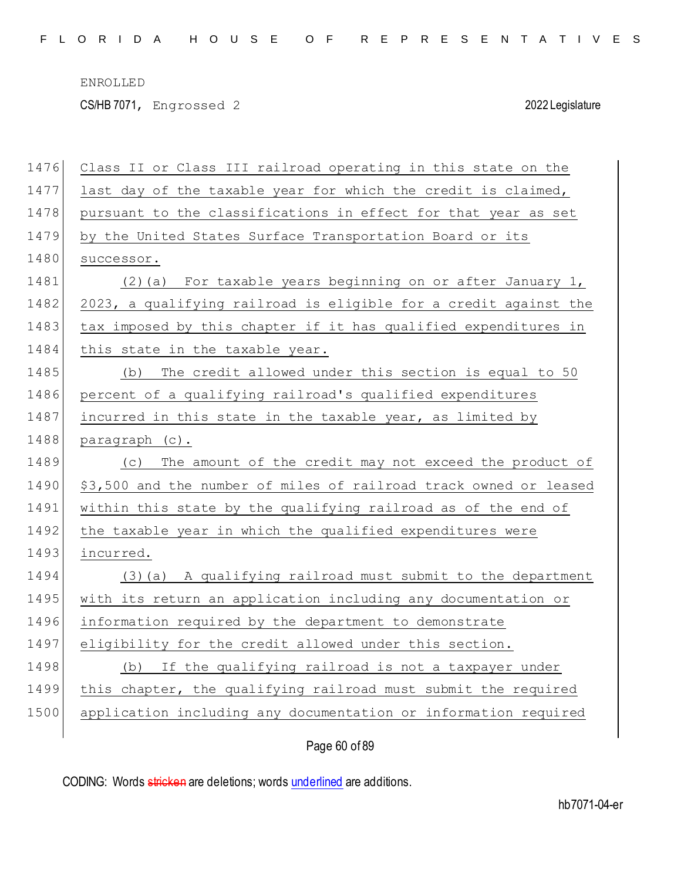CS/HB 7071, Engrossed 2 2022 Legislature

| 1476 | Class II or Class III railroad operating in this state on the     |
|------|-------------------------------------------------------------------|
| 1477 | last day of the taxable year for which the credit is claimed,     |
| 1478 | pursuant to the classifications in effect for that year as set    |
| 1479 | by the United States Surface Transportation Board or its          |
| 1480 | successor.                                                        |
| 1481 | (2) (a) For taxable years beginning on or after January 1,        |
| 1482 | 2023, a qualifying railroad is eligible for a credit against the  |
| 1483 | tax imposed by this chapter if it has qualified expenditures in   |
| 1484 | this state in the taxable year.                                   |
| 1485 | The credit allowed under this section is equal to 50<br>(b)       |
| 1486 | percent of a qualifying railroad's qualified expenditures         |
| 1487 | incurred in this state in the taxable year, as limited by         |
| 1488 | paragraph (c).                                                    |
| 1489 | The amount of the credit may not exceed the product of<br>(C)     |
| 1490 | \$3,500 and the number of miles of railroad track owned or leased |
| 1491 | within this state by the qualifying railroad as of the end of     |
| 1492 | the taxable year in which the qualified expenditures were         |
| 1493 | incurred.                                                         |
| 1494 | (3) (a) A qualifying railroad must submit to the department       |
| 1495 | with its return an application including any documentation or     |
| 1496 | information required by the department to demonstrate             |
| 1497 | eligibility for the credit allowed under this section.            |
| 1498 | If the qualifying railroad is not a taxpayer under<br>(b)         |
| 1499 | this chapter, the qualifying railroad must submit the required    |
| 1500 | application including any documentation or information required   |
|      |                                                                   |

Page 60 of 89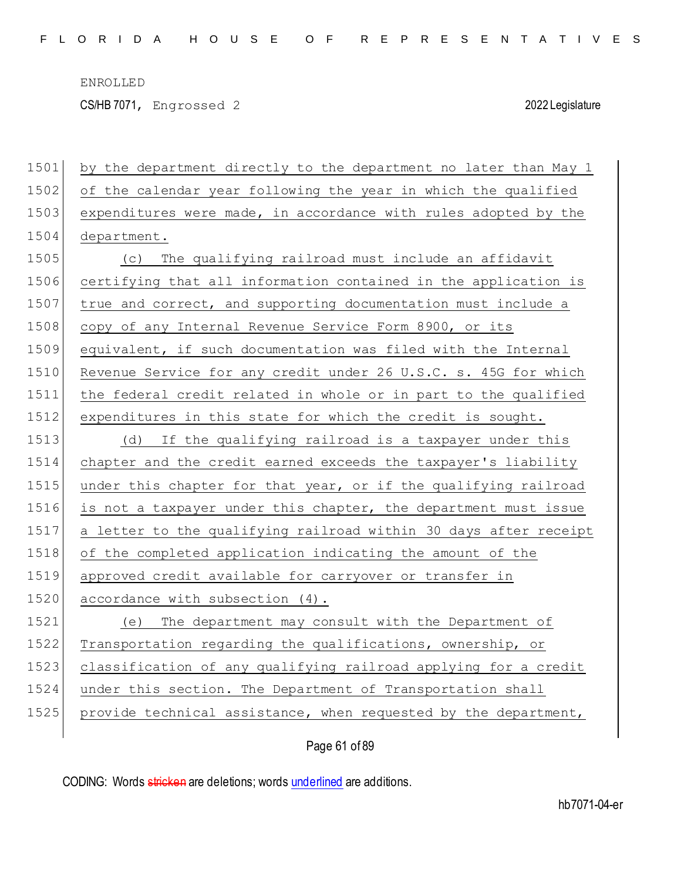CS/HB 7071, Engrossed 2 2022 Legislature

| 1501 | by the department directly to the department no later than May 1 |
|------|------------------------------------------------------------------|
| 1502 | of the calendar year following the year in which the qualified   |
| 1503 | expenditures were made, in accordance with rules adopted by the  |
| 1504 | department.                                                      |
| 1505 | (c) The qualifying railroad must include an affidavit            |
| 1506 | certifying that all information contained in the application is  |
| 1507 | true and correct, and supporting documentation must include a    |
| 1508 | copy of any Internal Revenue Service Form 8900, or its           |
| 1509 | equivalent, if such documentation was filed with the Internal    |
| 1510 | Revenue Service for any credit under 26 U.S.C. s. 45G for which  |
| 1511 | the federal credit related in whole or in part to the qualified  |
| 1512 | expenditures in this state for which the credit is sought.       |
| 1513 | If the qualifying railroad is a taxpayer under this<br>(d)       |
| 1514 | chapter and the credit earned exceeds the taxpayer's liability   |
| 1515 | under this chapter for that year, or if the qualifying railroad  |
| 1516 | is not a taxpayer under this chapter, the department must issue  |
| 1517 | a letter to the qualifying railroad within 30 days after receipt |
| 1518 | of the completed application indicating the amount of the        |
| 1519 | approved credit available for carryover or transfer in           |
| 1520 | accordance with subsection (4).                                  |
| 1521 | (e) The department may consult with the Department of            |
| 1522 | Transportation regarding the qualifications, ownership, or       |
| 1523 | classification of any qualifying railroad applying for a credit  |
| 1524 | under this section. The Department of Transportation shall       |
| 1525 | provide technical assistance, when requested by the department,  |
|      |                                                                  |

Page 61 of 89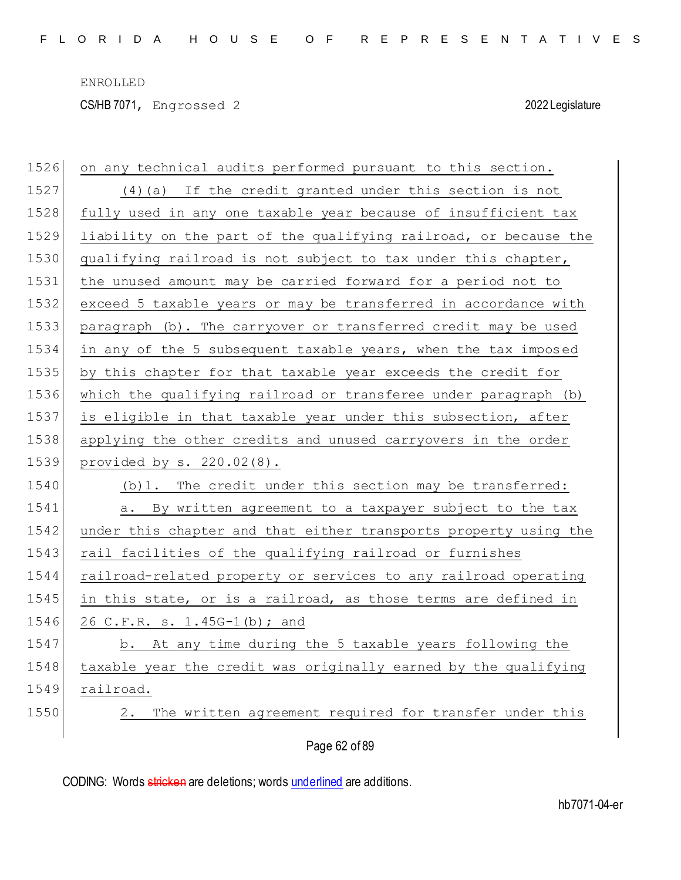CS/HB 7071, Engrossed 2 2022 Legislature

| 1526 | on any technical audits performed pursuant to this section.      |
|------|------------------------------------------------------------------|
| 1527 | (4) (a) If the credit granted under this section is not          |
| 1528 | fully used in any one taxable year because of insufficient tax   |
| 1529 | liability on the part of the qualifying railroad, or because the |
| 1530 | qualifying railroad is not subject to tax under this chapter,    |
| 1531 | the unused amount may be carried forward for a period not to     |
| 1532 | exceed 5 taxable years or may be transferred in accordance with  |
| 1533 | paragraph (b). The carryover or transferred credit may be used   |
| 1534 | in any of the 5 subsequent taxable years, when the tax imposed   |
| 1535 | by this chapter for that taxable year exceeds the credit for     |
| 1536 | which the qualifying railroad or transferee under paragraph (b)  |
| 1537 | is eligible in that taxable year under this subsection, after    |
| 1538 | applying the other credits and unused carryovers in the order    |
|      |                                                                  |
| 1539 | provided by $s. 220.02(8)$ .                                     |
| 1540 | (b) 1. The credit under this section may be transferred:         |
| 1541 | a. By written agreement to a taxpayer subject to the tax         |
| 1542 | under this chapter and that either transports property using the |
| 1543 | rail facilities of the qualifying railroad or furnishes          |
| 1544 | railroad-related property or services to any railroad operating  |
| 1545 | in this state, or is a railroad, as those terms are defined in   |
| 1546 | 26 C.F.R. s. 1.45G-1(b); and                                     |
| 1547 | b. At any time during the 5 taxable years following the          |
| 1548 | taxable year the credit was originally earned by the qualifying  |
| 1549 | railroad.                                                        |
| 1550 | The written agreement required for transfer under this<br>2.     |

Page 62 of 89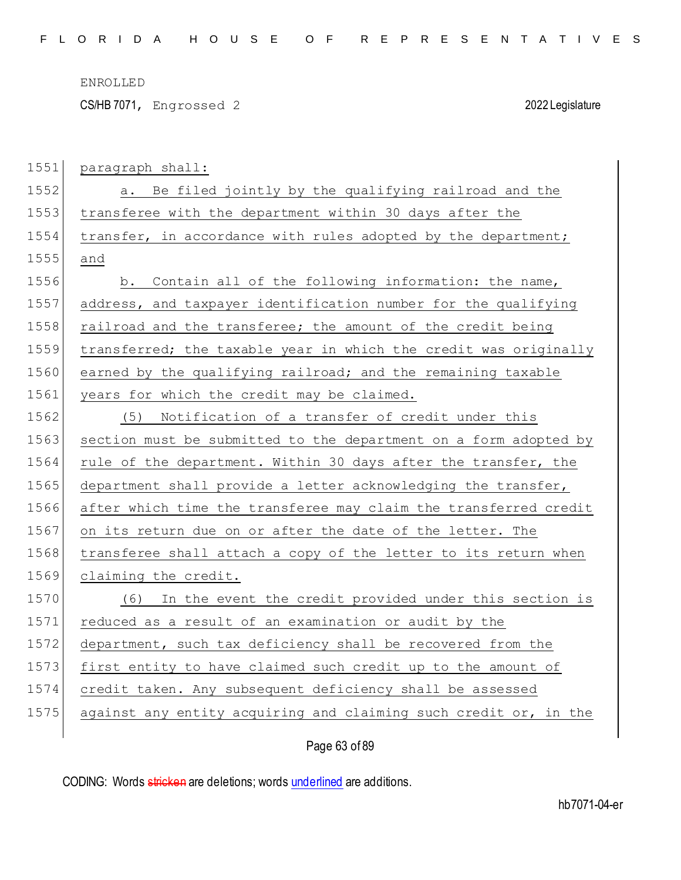CS/HB 7071, Engrossed 2 2022 Legislature

| 1551 | paragraph shall:                                                 |
|------|------------------------------------------------------------------|
| 1552 | a. Be filed jointly by the qualifying railroad and the           |
| 1553 | transferee with the department within 30 days after the          |
| 1554 | transfer, in accordance with rules adopted by the department;    |
| 1555 | and                                                              |
| 1556 | Contain all of the following information: the name,<br>b.        |
| 1557 | address, and taxpayer identification number for the qualifying   |
| 1558 | railroad and the transferee; the amount of the credit being      |
| 1559 | transferred; the taxable year in which the credit was originally |
| 1560 | earned by the qualifying railroad; and the remaining taxable     |
| 1561 | years for which the credit may be claimed.                       |
| 1562 | Notification of a transfer of credit under this<br>(5)           |
| 1563 | section must be submitted to the department on a form adopted by |
| 1564 | rule of the department. Within 30 days after the transfer, the   |
| 1565 | department shall provide a letter acknowledging the transfer,    |
| 1566 | after which time the transferee may claim the transferred credit |
| 1567 | on its return due on or after the date of the letter. The        |
| 1568 | transferee shall attach a copy of the letter to its return when  |
| 1569 | claiming the credit.                                             |
| 1570 | In the event the credit provided under this section is<br>(6)    |
| 1571 | reduced as a result of an examination or audit by the            |
| 1572 | department, such tax deficiency shall be recovered from the      |
| 1573 | first entity to have claimed such credit up to the amount of     |
| 1574 | credit taken. Any subsequent deficiency shall be assessed        |
| 1575 | against any entity acquiring and claiming such credit or, in the |
|      |                                                                  |

Page 63 of 89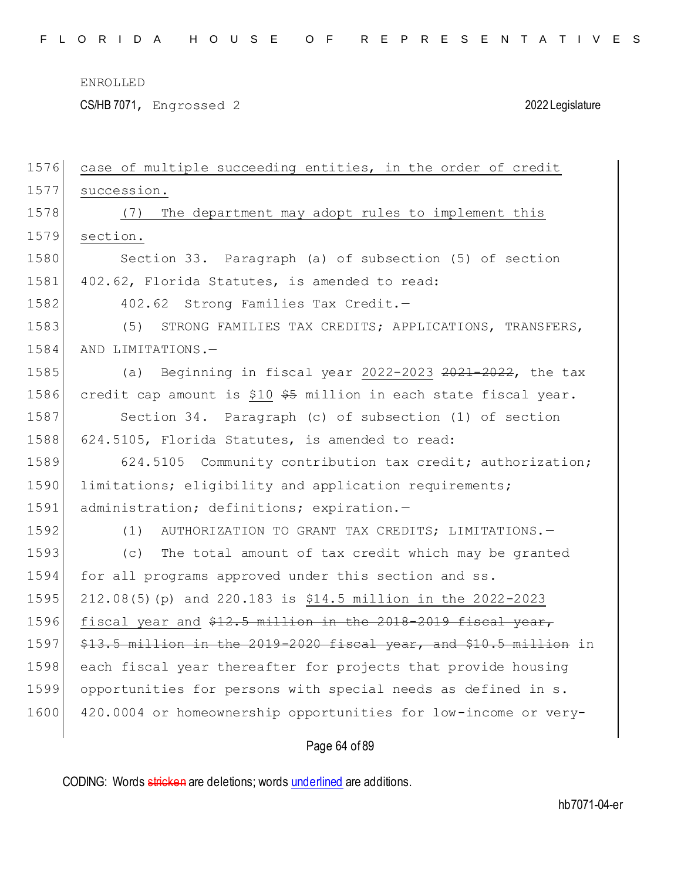CS/HB 7071, Engrossed 2 2022 Legislature

| 1576 | case of multiple succeeding entities, in the order of credit       |
|------|--------------------------------------------------------------------|
| 1577 | succession.                                                        |
| 1578 | The department may adopt rules to implement this<br>(7)            |
| 1579 | section.                                                           |
| 1580 | Section 33. Paragraph (a) of subsection (5) of section             |
| 1581 | 402.62, Florida Statutes, is amended to read:                      |
| 1582 | 402.62 Strong Families Tax Credit.-                                |
| 1583 | STRONG FAMILIES TAX CREDITS; APPLICATIONS, TRANSFERS,<br>(5)       |
| 1584 | AND LIMITATIONS.-                                                  |
| 1585 | (a) Beginning in fiscal year 2022-2023 2021-2022, the tax          |
| 1586 | credit cap amount is \$10 \$5 million in each state fiscal year.   |
| 1587 | Section 34. Paragraph (c) of subsection (1) of section             |
| 1588 | 624.5105, Florida Statutes, is amended to read:                    |
| 1589 | 624.5105 Community contribution tax credit; authorization;         |
| 1590 | limitations; eligibility and application requirements;             |
| 1591 | administration; definitions; expiration.-                          |
| 1592 | AUTHORIZATION TO GRANT TAX CREDITS; LIMITATIONS. -<br>(1)          |
| 1593 | The total amount of tax credit which may be granted<br>(C)         |
| 1594 | for all programs approved under this section and ss.               |
| 1595 | 212.08(5) (p) and 220.183 is \$14.5 million in the 2022-2023       |
| 1596 | fiscal year and \$12.5 million in the 2018-2019 fiscal year,       |
| 1597 | \$13.5 million in the 2019-2020 fiscal year, and \$10.5 million in |
| 1598 | each fiscal year thereafter for projects that provide housing      |
| 1599 | opportunities for persons with special needs as defined in s.      |
| 1600 | 420.0004 or homeownership opportunities for low-income or very-    |
|      |                                                                    |

Page 64 of 89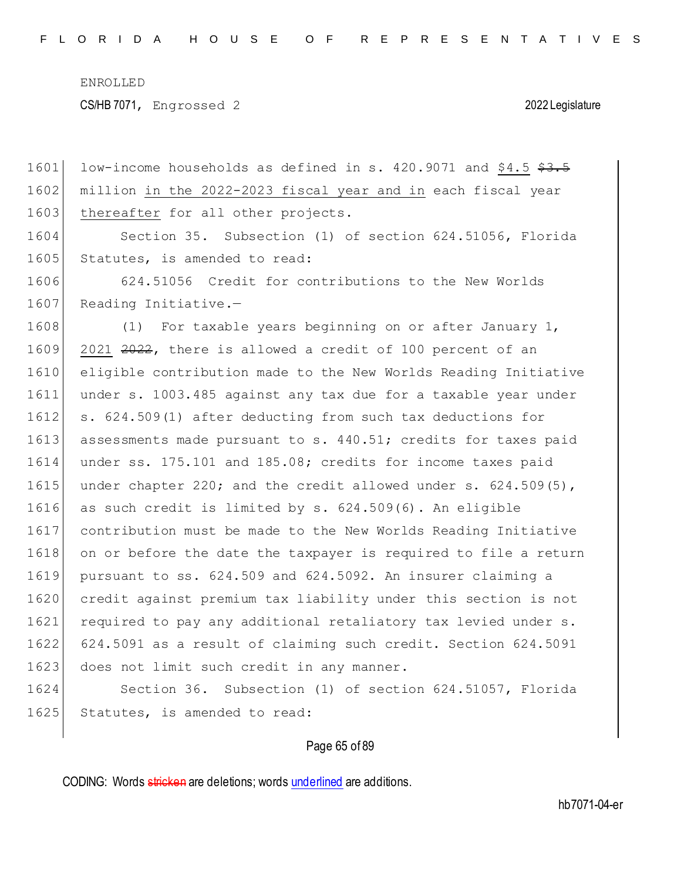CS/HB 7071, Engrossed 2 2022 Legislature

 $1601$  low-income households as defined in s. 420.9071 and \$4.5 \$3.5 1602 million in the 2022-2023 fiscal year and in each fiscal year 1603 thereafter for all other projects. 1604 Section 35. Subsection (1) of section 624.51056, Florida 1605 Statutes, is amended to read: 1606 624.51056 Credit for contributions to the New Worlds 1607 Reading Initiative.-1608 (1) For taxable years beginning on or after January 1,  $1609$  2021 2022, there is allowed a credit of 100 percent of an 1610 eligible contribution made to the New Worlds Reading Initiative 1611 under s. 1003.485 against any tax due for a taxable year under 1612 s. 624.509(1) after deducting from such tax deductions for 1613 assessments made pursuant to s. 440.51; credits for taxes paid 1614 under ss. 175.101 and 185.08; credits for income taxes paid 1615 under chapter 220; and the credit allowed under  $s. 624.509(5)$ , 1616 as such credit is limited by s. 624.509(6). An eligible 1617 contribution must be made to the New Worlds Reading Initiative 1618 on or before the date the taxpayer is required to file a return 1619 pursuant to ss. 624.509 and 624.5092. An insurer claiming a 1620 credit against premium tax liability under this section is not 1621 required to pay any additional retaliatory tax levied under s. 1622 624.5091 as a result of claiming such credit. Section 624.5091 1623 does not limit such credit in any manner. 1624 Section 36. Subsection (1) of section 624.51057, Florida 1625 Statutes, is amended to read:

### Page 65 of 89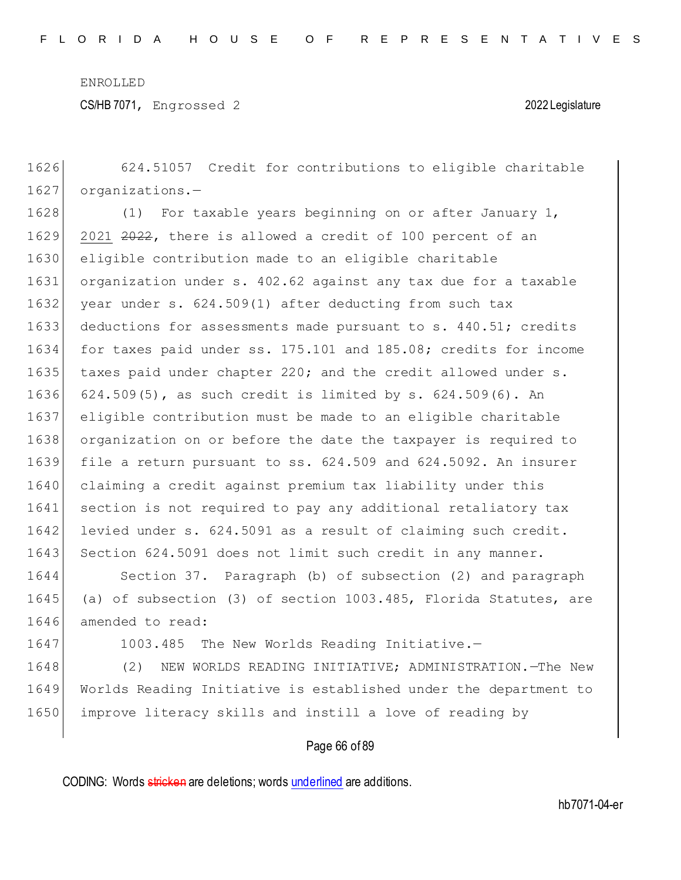CS/HB 7071, Engrossed 2 2022 Legislature

1626 624.51057 Credit for contributions to eligible charitable 1627 organizations.-1628 (1) For taxable years beginning on or after January 1, 1629 2021 2022, there is allowed a credit of 100 percent of an 1630 eligible contribution made to an eligible charitable 1631 organization under s. 402.62 against any tax due for a taxable 1632 year under s. 624.509(1) after deducting from such tax 1633 deductions for assessments made pursuant to s. 440.51; credits 1634 for taxes paid under ss. 175.101 and 185.08; credits for income 1635 taxes paid under chapter 220; and the credit allowed under s. 1636 624.509(5), as such credit is limited by s. 624.509(6). An 1637 eligible contribution must be made to an eligible charitable 1638 organization on or before the date the taxpayer is required to 1639 file a return pursuant to ss. 624.509 and 624.5092. An insurer 1640 claiming a credit against premium tax liability under this 1641 section is not required to pay any additional retaliatory tax 1642 levied under s. 624.5091 as a result of claiming such credit. 1643 Section 624.5091 does not limit such credit in any manner. 1644 Section 37. Paragraph (b) of subsection (2) and paragraph 1645 (a) of subsection (3) of section 1003.485, Florida Statutes, are 1646 amended to read: 1647 1003.485 The New Worlds Reading Initiative.-1648 (2) NEW WORLDS READING INITIATIVE; ADMINISTRATION.—The New 1649 Worlds Reading Initiative is established under the department to 1650 improve literacy skills and instill a love of reading by

Page 66 of 89

CODING: Words stricken are deletions; words underlined are additions.

hb7071-04-er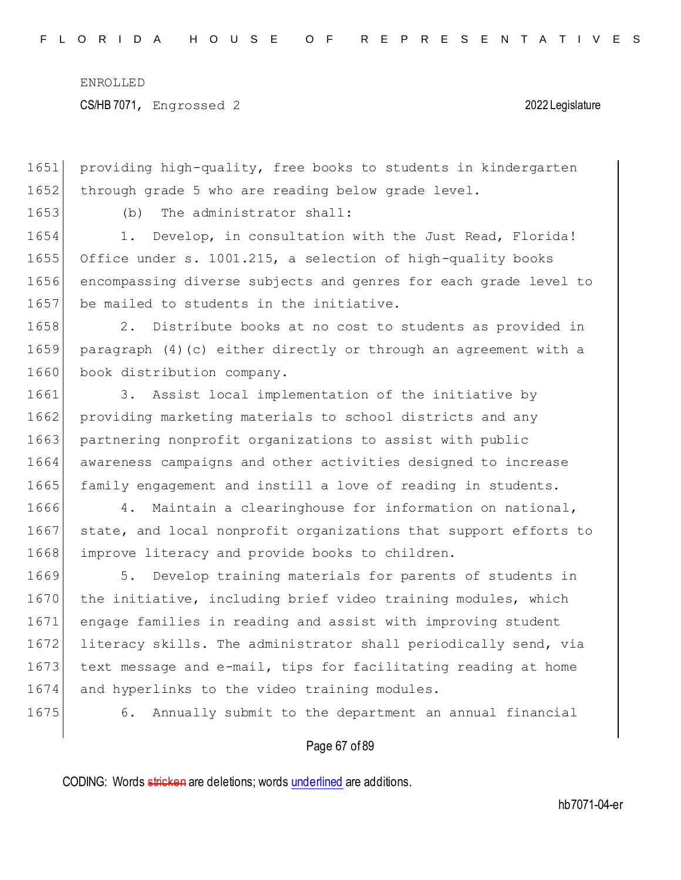1651 providing high-quality, free books to students in kindergarten 1652 through grade 5 who are reading below grade level.

1653 (b) The administrator shall:

1654 1. Develop, in consultation with the Just Read, Florida! 1655 Office under s. 1001.215, a selection of high-quality books 1656 encompassing diverse subjects and genres for each grade level to 1657 be mailed to students in the initiative.

1658 2. Distribute books at no cost to students as provided in 1659 paragraph (4)(c) either directly or through an agreement with a 1660 book distribution company.

1661 3. Assist local implementation of the initiative by 1662 providing marketing materials to school districts and any 1663 partnering nonprofit organizations to assist with public 1664 awareness campaigns and other activities designed to increase 1665 family engagement and instill a love of reading in students.

1666 4. Maintain a clearinghouse for information on national, 1667 state, and local nonprofit organizations that support efforts to 1668 improve literacy and provide books to children.

1669 5. Develop training materials for parents of students in 1670 the initiative, including brief video training modules, which 1671 engage families in reading and assist with improving student 1672 literacy skills. The administrator shall periodically send, via 1673 text message and e-mail, tips for facilitating reading at home 1674 and hyperlinks to the video training modules.

1675 6. Annually submit to the department an annual financial

### Page 67 of 89

CODING: Words stricken are deletions; words underlined are additions.

hb7071-04-er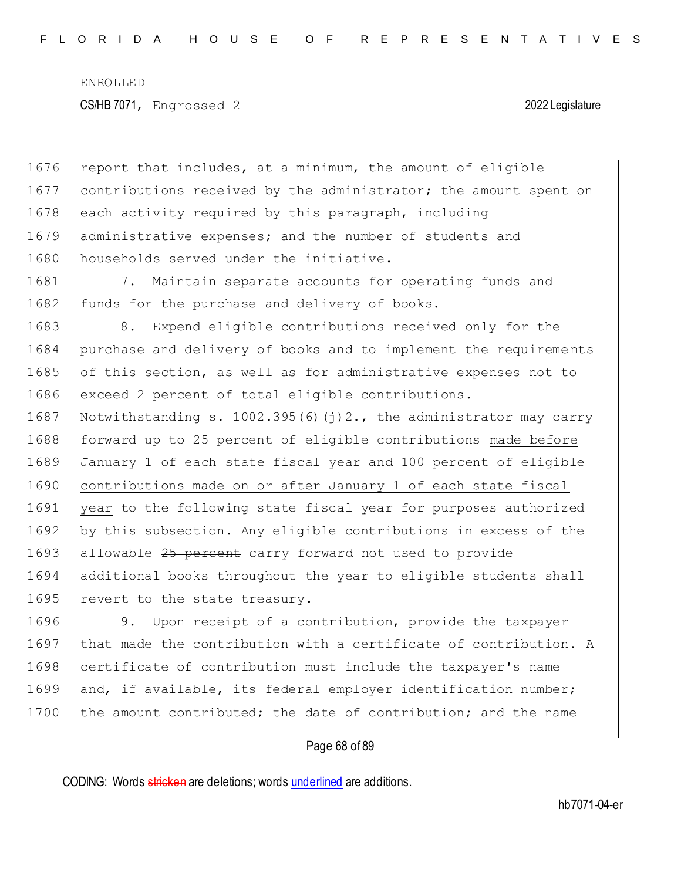1676 report that includes, at a minimum, the amount of eligible 1677 contributions received by the administrator; the amount spent on 1678 each activity required by this paragraph, including 1679 administrative expenses; and the number of students and 1680 households served under the initiative. 1681 7. Maintain separate accounts for operating funds and 1682 funds for the purchase and delivery of books. 1683 8. Expend eligible contributions received only for the 1684 purchase and delivery of books and to implement the requirements 1685 of this section, as well as for administrative expenses not to 1686 exceed 2 percent of total eligible contributions. 1687 Notwithstanding s. 1002.395(6)(j)2., the administrator may carry 1688 forward up to 25 percent of eligible contributions made before 1689 January 1 of each state fiscal year and 100 percent of eligible 1690 contributions made on or after January 1 of each state fiscal 1691 year to the following state fiscal year for purposes authorized 1692 by this subsection. Any eligible contributions in excess of the 1693 allowable 25 percent carry forward not used to provide 1694 additional books throughout the year to eligible students shall 1695 revert to the state treasury. 1696 9. Upon receipt of a contribution, provide the taxpayer 1697 that made the contribution with a certificate of contribution. A 1698 certificate of contribution must include the taxpayer's name

1699 and, if available, its federal employer identification number; 1700 the amount contributed; the date of contribution; and the name

### Page 68 of 89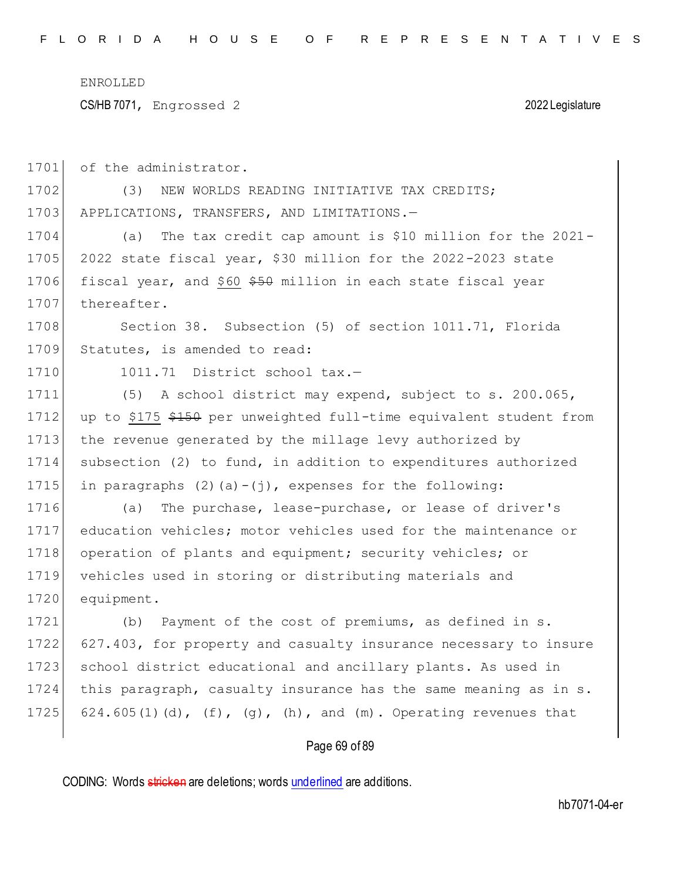CS/HB 7071, Engrossed 2 2022 Legislature

| 1701 | of the administrator.                                                      |
|------|----------------------------------------------------------------------------|
| 1702 | (3)<br>NEW WORLDS READING INITIATIVE TAX CREDITS;                          |
| 1703 | APPLICATIONS, TRANSFERS, AND LIMITATIONS.-                                 |
| 1704 | The tax credit cap amount is \$10 million for the 2021-<br>(a)             |
| 1705 | 2022 state fiscal year, \$30 million for the 2022-2023 state               |
| 1706 | fiscal year, and \$60 \$50 million in each state fiscal year               |
| 1707 | thereafter.                                                                |
| 1708 | Section 38. Subsection (5) of section 1011.71, Florida                     |
| 1709 | Statutes, is amended to read:                                              |
| 1710 | 1011.71<br>District school tax.-                                           |
| 1711 | A school district may expend, subject to s. 200.065,<br>(5)                |
| 1712 | up to \$175 \$150 per unweighted full-time equivalent student from         |
| 1713 | the revenue generated by the millage levy authorized by                    |
| 1714 | subsection (2) to fund, in addition to expenditures authorized             |
| 1715 | in paragraphs $(2)$ $(a) - (i)$ , expenses for the following:              |
| 1716 | The purchase, lease-purchase, or lease of driver's<br>(a)                  |
| 1717 | education vehicles; motor vehicles used for the maintenance or             |
| 1718 | operation of plants and equipment; security vehicles; or                   |
| 1719 | vehicles used in storing or distributing materials and                     |
| 1720 | equipment.                                                                 |
| 1721 | Payment of the cost of premiums, as defined in s.<br>(b)                   |
| 1722 | 627.403, for property and casualty insurance necessary to insure           |
| 1723 | school district educational and ancillary plants. As used in               |
| 1724 | this paragraph, casualty insurance has the same meaning as in s.           |
| 1725 | 624.605(1)(d), $(f)$ , $(g)$ , $(h)$ , and $(m)$ . Operating revenues that |
|      | Page 69 of 89                                                              |

CODING: Words stricken are deletions; words underlined are additions.

hb7071-04-er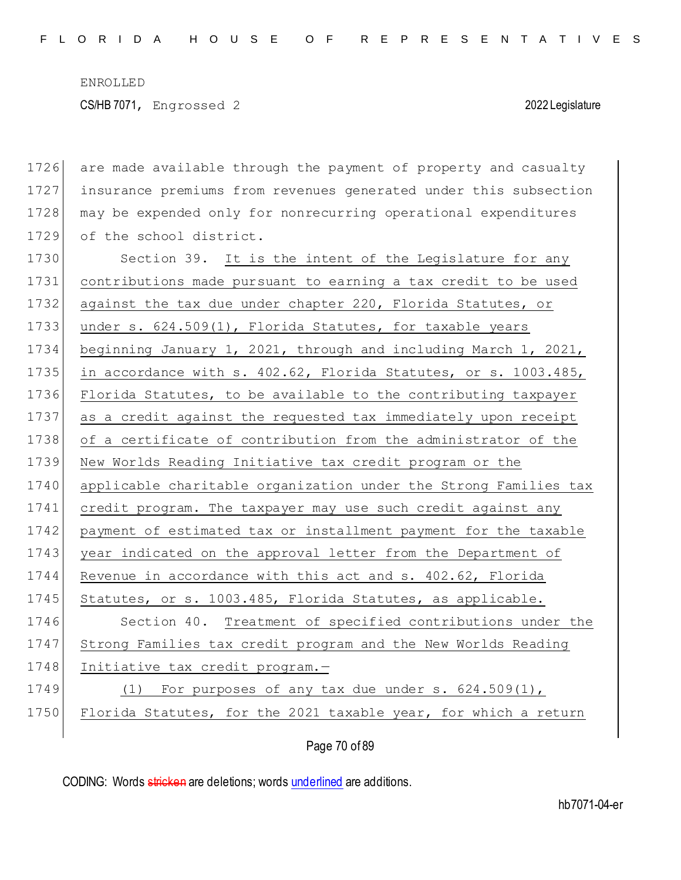| 1726 | are made available through the payment of property and casualty  |
|------|------------------------------------------------------------------|
| 1727 | insurance premiums from revenues generated under this subsection |
| 1728 | may be expended only for nonrecurring operational expenditures   |
| 1729 | of the school district.                                          |
| 1730 | Section 39. It is the intent of the Legislature for any          |
| 1731 | contributions made pursuant to earning a tax credit to be used   |
| 1732 | against the tax due under chapter 220, Florida Statutes, or      |
| 1733 | under s. 624.509(1), Florida Statutes, for taxable years         |
| 1734 | beginning January 1, 2021, through and including March 1, 2021,  |
| 1735 | in accordance with s. 402.62, Florida Statutes, or s. 1003.485,  |
| 1736 | Florida Statutes, to be available to the contributing taxpayer   |
| 1737 | as a credit against the requested tax immediately upon receipt   |
| 1738 | of a certificate of contribution from the administrator of the   |
| 1739 | New Worlds Reading Initiative tax credit program or the          |
| 1740 | applicable charitable organization under the Strong Families tax |
| 1741 | credit program. The taxpayer may use such credit against any     |
| 1742 | payment of estimated tax or installment payment for the taxable  |
|      |                                                                  |
| 1743 | year indicated on the approval letter from the Department of     |
| 1744 | Revenue in accordance with this act and s. 402.62, Florida       |
| 1745 | Statutes, or s. 1003.485, Florida Statutes, as applicable.       |
| 1746 | Section 40. Treatment of specified contributions under the       |
| 1747 | Strong Families tax credit program and the New Worlds Reading    |
| 1748 | Initiative tax credit program.-                                  |
| 1749 | For purposes of any tax due under s. $624.509(1)$ ,<br>(1)       |
| 1750 | Florida Statutes, for the 2021 taxable year, for which a return  |

Page 70 of 89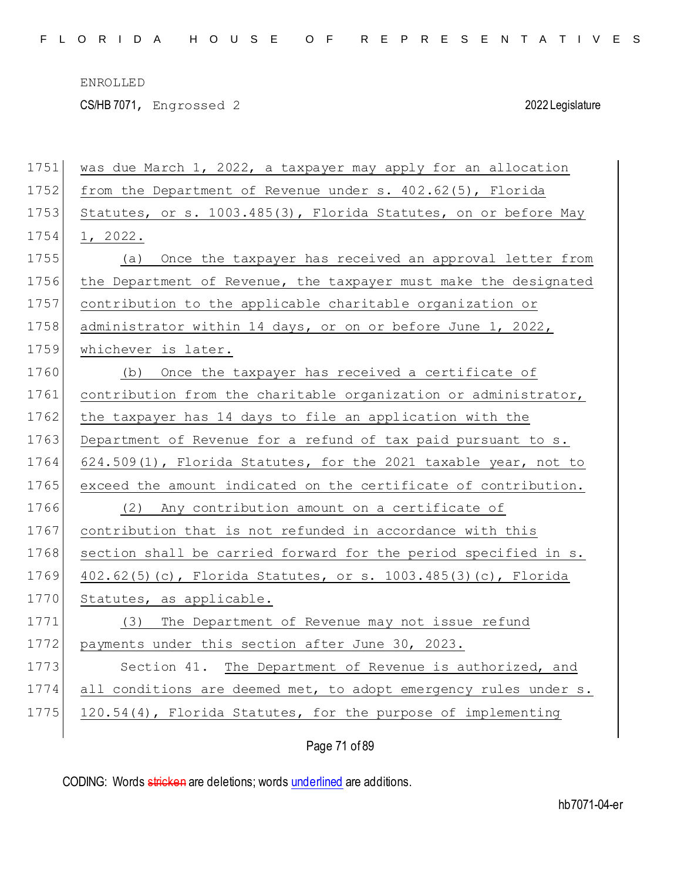CS/HB 7071, Engrossed 2 2022 Legislature

| 1751 | was due March 1, 2022, a taxpayer may apply for an allocation    |
|------|------------------------------------------------------------------|
| 1752 | from the Department of Revenue under $s. 402.62(5)$ , Florida    |
| 1753 | Statutes, or s. 1003.485(3), Florida Statutes, on or before May  |
| 1754 | 1, 2022.                                                         |
| 1755 | Once the taxpayer has received an approval letter from<br>(a)    |
| 1756 | the Department of Revenue, the taxpayer must make the designated |
| 1757 | contribution to the applicable charitable organization or        |
| 1758 | administrator within 14 days, or on or before June 1, 2022,      |
| 1759 | whichever is later.                                              |
| 1760 | Once the taxpayer has received a certificate of<br>(b)           |
| 1761 | contribution from the charitable organization or administrator,  |
| 1762 | the taxpayer has 14 days to file an application with the         |
| 1763 | Department of Revenue for a refund of tax paid pursuant to s.    |
| 1764 | 624.509(1), Florida Statutes, for the 2021 taxable year, not to  |
| 1765 | exceed the amount indicated on the certificate of contribution.  |
| 1766 | Any contribution amount on a certificate of<br>(2)               |
| 1767 | contribution that is not refunded in accordance with this        |
| 1768 | section shall be carried forward for the period specified in s.  |
| 1769 | $402.62(5)$ (c), Florida Statutes, or s. 1003.485(3)(c), Florida |
| 1770 | Statutes, as applicable.                                         |
| 1771 | The Department of Revenue may not issue refund<br>(3)            |
| 1772 | payments under this section after June 30, 2023.                 |
| 1773 | The Department of Revenue is authorized, and<br>Section 41.      |
| 1774 | all conditions are deemed met, to adopt emergency rules under s. |
| 1775 | 120.54(4), Florida Statutes, for the purpose of implementing     |
|      | Page 71 of 89                                                    |

CODING: Words stricken are deletions; words underlined are additions.

hb7071-04-er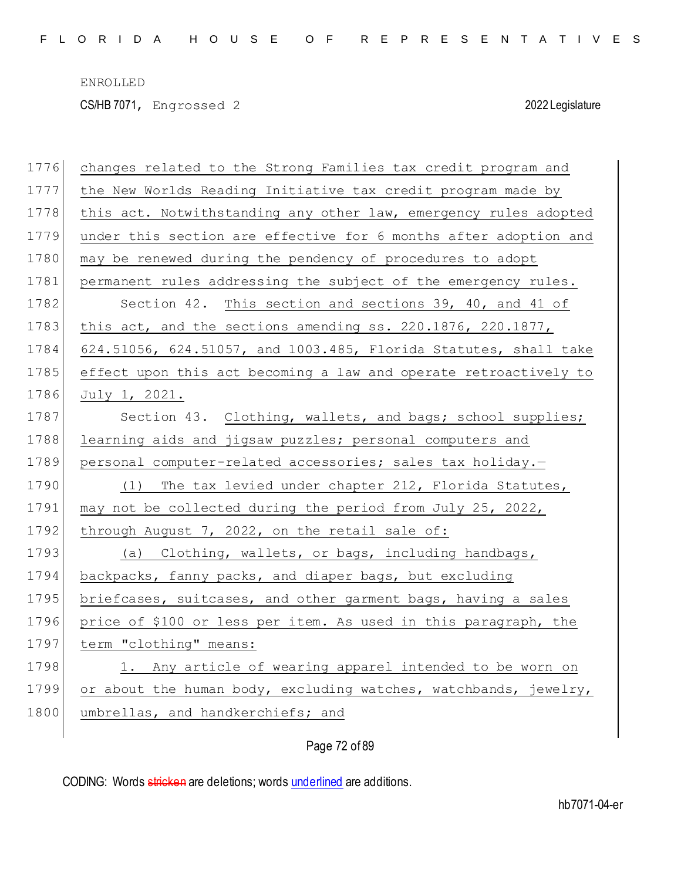CS/HB 7071, Engrossed 2 2022 Legislature

| 1776 | changes related to the Strong Families tax credit program and    |
|------|------------------------------------------------------------------|
| 1777 | the New Worlds Reading Initiative tax credit program made by     |
| 1778 | this act. Notwithstanding any other law, emergency rules adopted |
| 1779 | under this section are effective for 6 months after adoption and |
| 1780 | may be renewed during the pendency of procedures to adopt        |
| 1781 | permanent rules addressing the subject of the emergency rules.   |
| 1782 | Section 42. This section and sections 39, 40, and 41 of          |
| 1783 | this act, and the sections amending ss. 220.1876, 220.1877,      |
| 1784 | 624.51056, 624.51057, and 1003.485, Florida Statutes, shall take |
| 1785 | effect upon this act becoming a law and operate retroactively to |
| 1786 | July 1, 2021.                                                    |
| 1787 | Section 43. Clothing, wallets, and bags; school supplies;        |
| 1788 | learning aids and jigsaw puzzles; personal computers and         |
| 1789 | personal computer-related accessories; sales tax holiday.-       |
| 1790 | (1) The tax levied under chapter 212, Florida Statutes,          |
| 1791 | may not be collected during the period from July 25, 2022,       |
| 1792 | through August 7, 2022, on the retail sale of:                   |
| 1793 | (a) Clothing, wallets, or bags, including handbags,              |
| 1794 | backpacks, fanny packs, and diaper bags, but excluding           |
| 1795 | briefcases, suitcases, and other garment bags, having a sales    |
| 1796 | price of \$100 or less per item. As used in this paragraph, the  |
| 1797 | term "clothing" means:                                           |
| 1798 | 1. Any article of wearing apparel intended to be worn on         |
| 1799 | or about the human body, excluding watches, watchbands, jewelry, |
| 1800 | umbrellas, and handkerchiefs; and                                |
|      |                                                                  |

# Page 72 of 89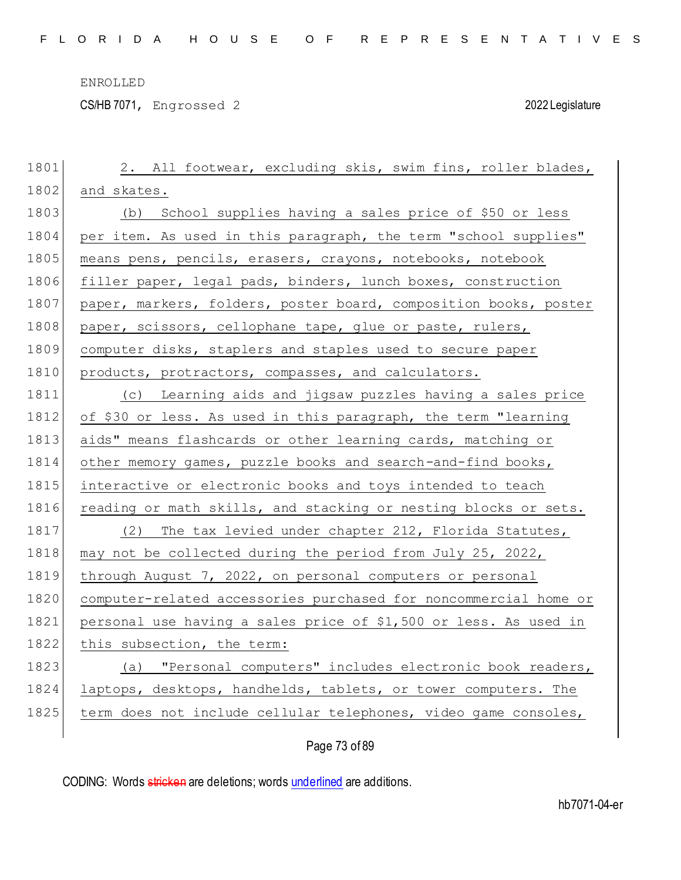CS/HB 7071, Engrossed 2 2022 Legislature

| 1801 | 2. All footwear, excluding skis, swim fins, roller blades,       |
|------|------------------------------------------------------------------|
| 1802 | and skates.                                                      |
| 1803 | (b) School supplies having a sales price of \$50 or less         |
| 1804 | per item. As used in this paragraph, the term "school supplies"  |
| 1805 | means pens, pencils, erasers, crayons, notebooks, notebook       |
| 1806 | filler paper, legal pads, binders, lunch boxes, construction     |
| 1807 | paper, markers, folders, poster board, composition books, poster |
| 1808 | paper, scissors, cellophane tape, glue or paste, rulers,         |
| 1809 | computer disks, staplers and staples used to secure paper        |
| 1810 | products, protractors, compasses, and calculators.               |
| 1811 | (c) Learning aids and jigsaw puzzles having a sales price        |
| 1812 | of \$30 or less. As used in this paragraph, the term "learning   |
| 1813 | aids" means flashcards or other learning cards, matching or      |
| 1814 | other memory games, puzzle books and search-and-find books,      |
| 1815 | interactive or electronic books and toys intended to teach       |
| 1816 | reading or math skills, and stacking or nesting blocks or sets.  |
| 1817 | (2) The tax levied under chapter 212, Florida Statutes,          |
| 1818 | may not be collected during the period from July 25, 2022,       |
| 1819 | through August 7, 2022, on personal computers or personal        |
| 1820 | computer-related accessories purchased for noncommercial home or |
| 1821 | personal use having a sales price of \$1,500 or less. As used in |
| 1822 | this subsection, the term:                                       |
| 1823 | (a) "Personal computers" includes electronic book readers,       |
| 1824 | laptops, desktops, handhelds, tablets, or tower computers. The   |
| 1825 | term does not include cellular telephones, video game consoles,  |
|      |                                                                  |

Page 73 of 89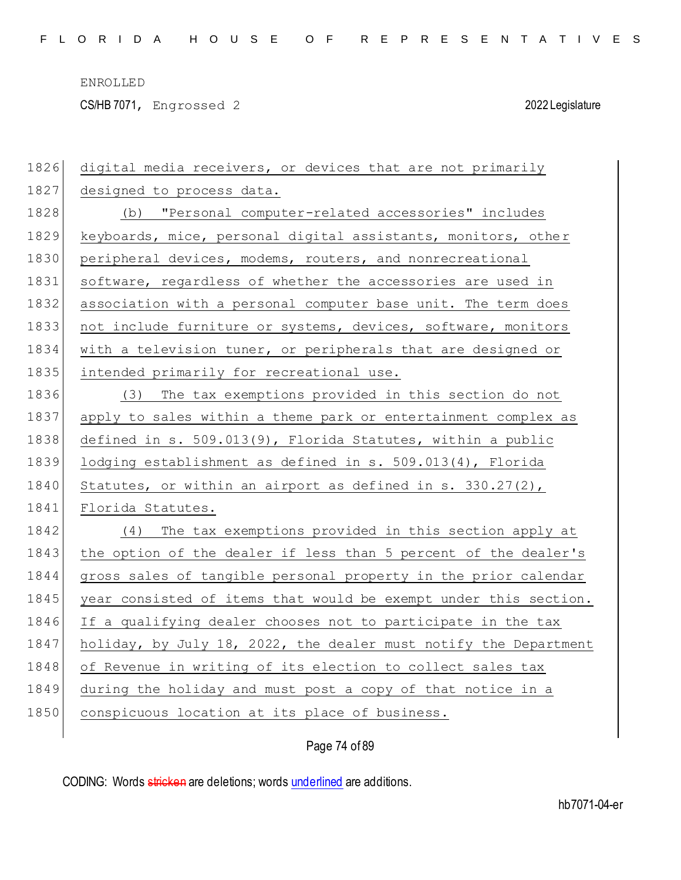CS/HB 7071, Engrossed 2 2022 Legislature

| 1826 | digital media receivers, or devices that are not primarily       |
|------|------------------------------------------------------------------|
| 1827 | designed to process data.                                        |
| 1828 | (b) "Personal computer-related accessories" includes             |
| 1829 | keyboards, mice, personal digital assistants, monitors, other    |
| 1830 | peripheral devices, modems, routers, and nonrecreational         |
| 1831 | software, regardless of whether the accessories are used in      |
| 1832 | association with a personal computer base unit. The term does    |
| 1833 | not include furniture or systems, devices, software, monitors    |
| 1834 | with a television tuner, or peripherals that are designed or     |
| 1835 | intended primarily for recreational use.                         |
| 1836 | (3) The tax exemptions provided in this section do not           |
| 1837 | apply to sales within a theme park or entertainment complex as   |
| 1838 | defined in s. 509.013(9), Florida Statutes, within a public      |
| 1839 | lodging establishment as defined in s. 509.013(4), Florida       |
| 1840 | Statutes, or within an airport as defined in s. $330.27(2)$ ,    |
| 1841 | Florida Statutes.                                                |
| 1842 | (4) The tax exemptions provided in this section apply at         |
| 1843 | the option of the dealer if less than 5 percent of the dealer's  |
| 1844 | gross sales of tangible personal property in the prior calendar  |
| 1845 | year consisted of items that would be exempt under this section. |
| 1846 | If a qualifying dealer chooses not to participate in the tax     |
| 1847 | holiday, by July 18, 2022, the dealer must notify the Department |
| 1848 | of Revenue in writing of its election to collect sales tax       |
| 1849 | during the holiday and must post a copy of that notice in a      |
| 1850 | conspicuous location at its place of business.                   |
|      |                                                                  |

Page 74 of 89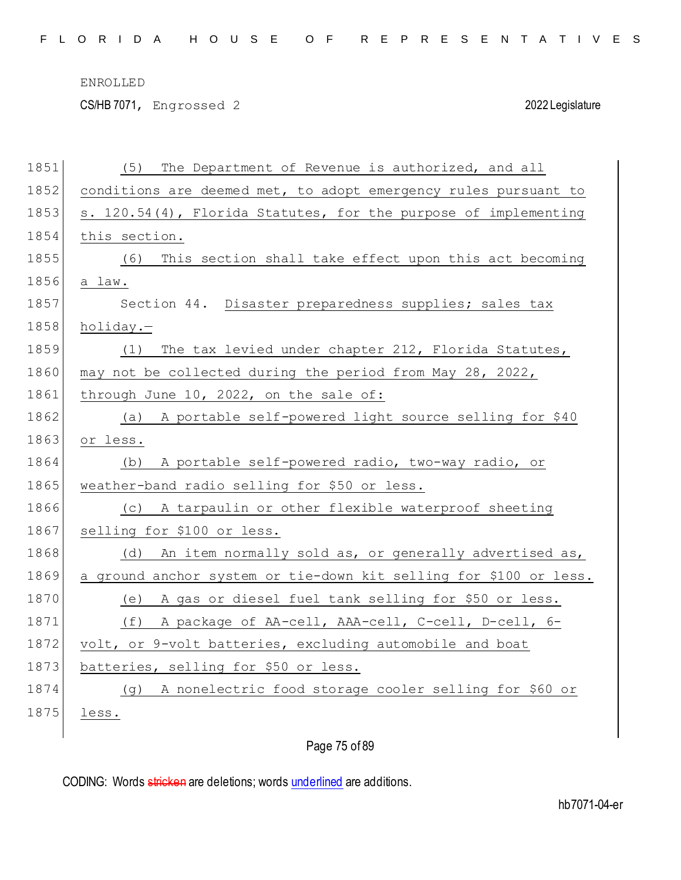CS/HB 7071, Engrossed 2 2022 Legislature

| 1851 | The Department of Revenue is authorized, and all<br>(5)           |
|------|-------------------------------------------------------------------|
| 1852 | conditions are deemed met, to adopt emergency rules pursuant to   |
| 1853 | s. 120.54(4), Florida Statutes, for the purpose of implementing   |
| 1854 | this section.                                                     |
| 1855 | This section shall take effect upon this act becoming<br>(6)      |
| 1856 | a law.                                                            |
| 1857 | Section 44. Disaster preparedness supplies; sales tax             |
| 1858 | holiday.-                                                         |
| 1859 | The tax levied under chapter 212, Florida Statutes,<br>(1)        |
| 1860 | may not be collected during the period from May 28, 2022,         |
| 1861 | through June 10, 2022, on the sale of:                            |
| 1862 | (a) A portable self-powered light source selling for \$40         |
| 1863 | or less.                                                          |
| 1864 | A portable self-powered radio, two-way radio, or<br>(d)           |
| 1865 | weather-band radio selling for \$50 or less.                      |
| 1866 | A tarpaulin or other flexible waterproof sheeting<br>(C)          |
| 1867 | selling for \$100 or less.                                        |
| 1868 | An item normally sold as, or generally advertised as,<br>(d)      |
| 1869 | a ground anchor system or tie-down kit selling for \$100 or less. |
| 1870 | A gas or diesel fuel tank selling for \$50 or less.<br>(e)        |
| 1871 | A package of AA-cell, AAA-cell, C-cell, D-cell, 6-<br>(f)         |
| 1872 | volt, or 9-volt batteries, excluding automobile and boat          |
| 1873 | batteries, selling for \$50 or less.                              |
| 1874 | A nonelectric food storage cooler selling for \$60 or<br>( ၂ )    |
| 1875 | less.                                                             |
|      |                                                                   |

Page 75 of 89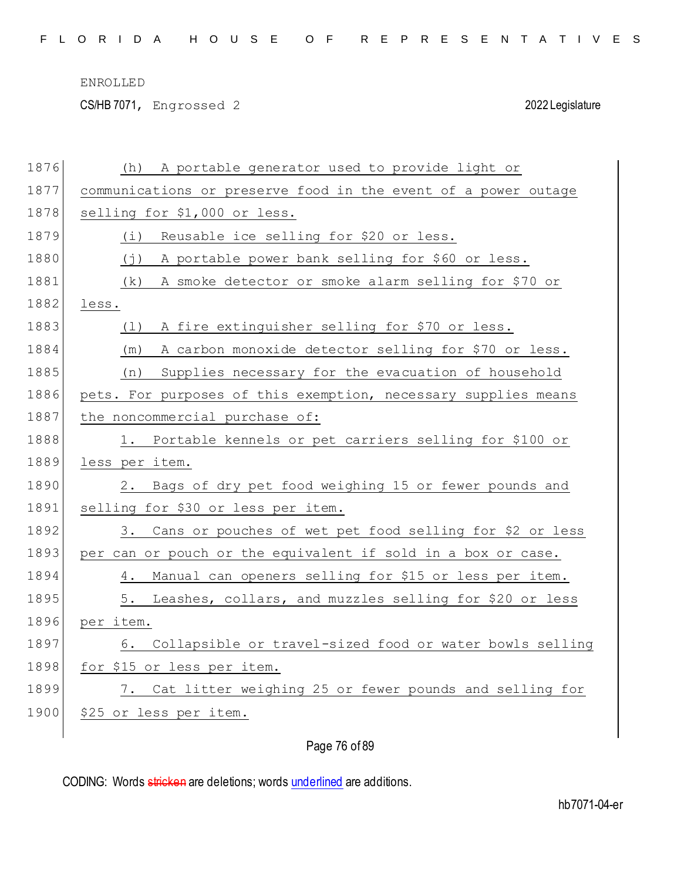CS/HB 7071, Engrossed 2 2022 Legislature

| 1876 | A portable generator used to provide light or<br>(h)           |
|------|----------------------------------------------------------------|
| 1877 | communications or preserve food in the event of a power outage |
| 1878 | selling for \$1,000 or less.                                   |
| 1879 | Reusable ice selling for \$20 or less.<br>(i)                  |
| 1880 | $(\dagger)$<br>A portable power bank selling for \$60 or less. |
| 1881 | A smoke detector or smoke alarm selling for \$70 or<br>(k)     |
| 1882 | less.                                                          |
| 1883 | A fire extinguisher selling for \$70 or less.<br>(1)           |
| 1884 | A carbon monoxide detector selling for \$70 or less.<br>(m)    |
| 1885 | Supplies necessary for the evacuation of household<br>(n)      |
| 1886 | pets. For purposes of this exemption, necessary supplies means |
| 1887 | the noncommercial purchase of:                                 |
| 1888 | Portable kennels or pet carriers selling for \$100 or<br>ı.    |
| 1889 | less per item.                                                 |
| 1890 | Bags of dry pet food weighing 15 or fewer pounds and<br>2.     |
| 1891 | selling for \$30 or less per item.                             |
| 1892 | Cans or pouches of wet pet food selling for \$2 or less<br>3.  |
| 1893 | per can or pouch or the equivalent if sold in a box or case.   |
| 1894 | Manual can openers selling for \$15 or less per item.<br>4.    |
| 1895 | 5. Leashes, collars, and muzzles selling for \$20 or less      |
| 1896 | per item.                                                      |
| 1897 | Collapsible or travel-sized food or water bowls selling<br>6.  |
| 1898 | for \$15 or less per item.                                     |
| 1899 | 7. Cat litter weighing 25 or fewer pounds and selling for      |
| 1900 |                                                                |
|      | \$25 or less per item.                                         |

# Page 76 of 89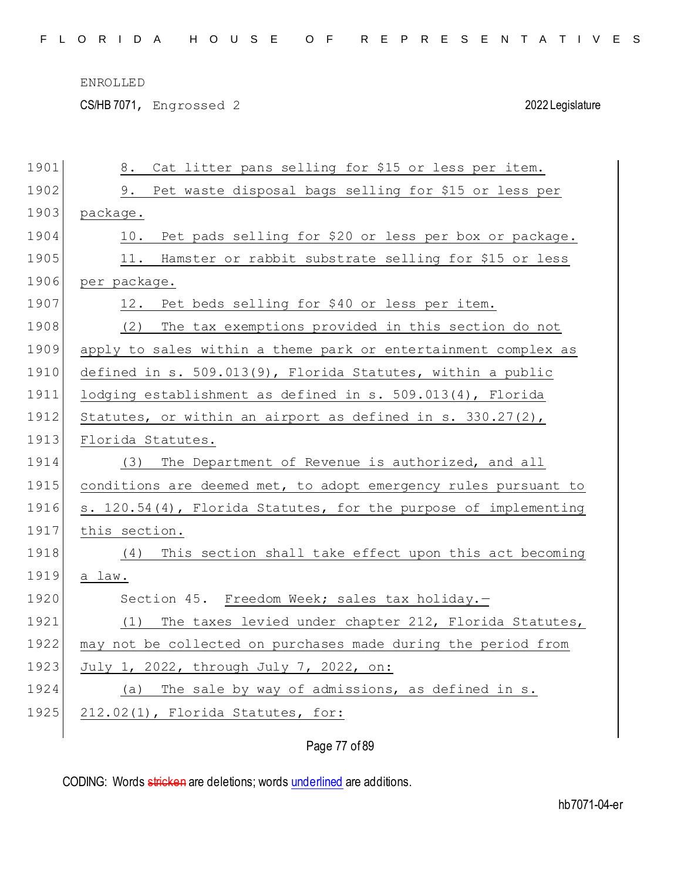CS/HB 7071, Engrossed 2 2022 Legislature

| 1901 | Cat litter pans selling for \$15 or less per item.<br>8.        |
|------|-----------------------------------------------------------------|
| 1902 | Pet waste disposal bags selling for \$15 or less per<br>9.      |
| 1903 | package.                                                        |
| 1904 | Pet pads selling for \$20 or less per box or package.<br>10.    |
| 1905 | Hamster or rabbit substrate selling for \$15 or less<br>11.     |
| 1906 | per package.                                                    |
| 1907 | 12. Pet beds selling for \$40 or less per item.                 |
| 1908 | The tax exemptions provided in this section do not<br>(2)       |
| 1909 | apply to sales within a theme park or entertainment complex as  |
| 1910 | defined in s. 509.013(9), Florida Statutes, within a public     |
| 1911 | lodging establishment as defined in $s. 509.013(4)$ , Florida   |
| 1912 | Statutes, or within an airport as defined in s. $330.27(2)$ ,   |
| 1913 | Florida Statutes.                                               |
| 1914 | The Department of Revenue is authorized, and all<br>(3)         |
|      |                                                                 |
| 1915 | conditions are deemed met, to adopt emergency rules pursuant to |
| 1916 | s. 120.54(4), Florida Statutes, for the purpose of implementing |
| 1917 | this section.                                                   |
| 1918 | This section shall take effect upon this act becoming<br>(4)    |
| 1919 | a law.                                                          |
| 1920 | Section 45. Freedom Week; sales tax holiday.-                   |
| 1921 | The taxes levied under chapter 212, Florida Statutes,<br>(1)    |
| 1922 | may not be collected on purchases made during the period from   |
| 1923 | July 1, 2022, through July 7, 2022, on:                         |
| 1924 | (a) The sale by way of admissions, as defined in s.             |
| 1925 | 212.02(1), Florida Statutes, for:                               |

Page 77 of 89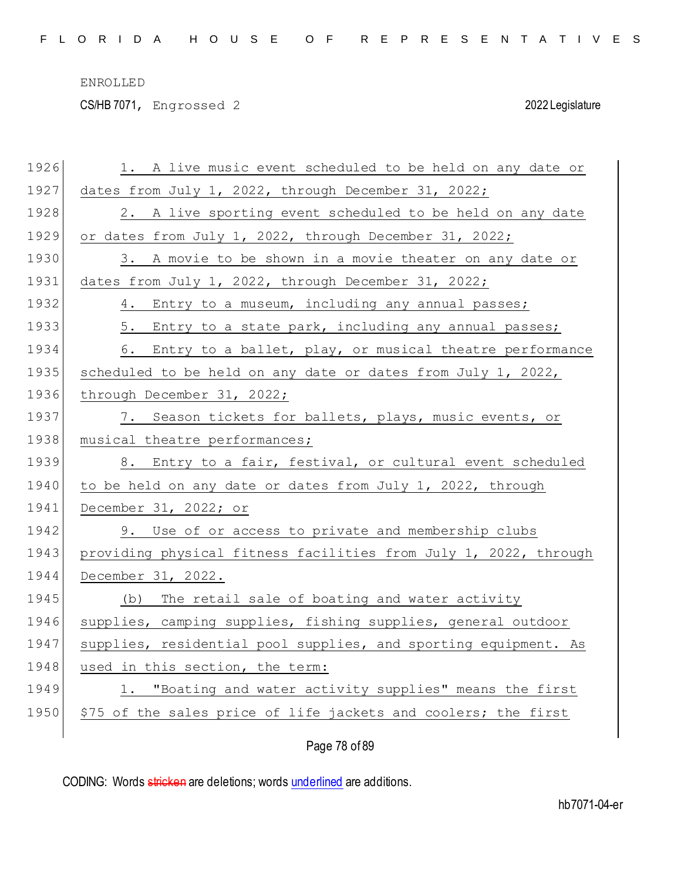CS/HB 7071, Engrossed 2 2022 Legislature

| 1926 | 1. A live music event scheduled to be held on any date or        |
|------|------------------------------------------------------------------|
| 1927 | dates from July 1, 2022, through December 31, 2022;              |
| 1928 | 2. A live sporting event scheduled to be held on any date        |
| 1929 | or dates from July 1, 2022, through December 31, 2022;           |
| 1930 | 3. A movie to be shown in a movie theater on any date or         |
| 1931 | dates from July 1, 2022, through December 31, 2022;              |
| 1932 | 4. Entry to a museum, including any annual passes;               |
| 1933 | 5. Entry to a state park, including any annual passes;           |
| 1934 | 6. Entry to a ballet, play, or musical theatre performance       |
| 1935 | scheduled to be held on any date or dates from July 1, 2022,     |
| 1936 | through December 31, 2022;                                       |
| 1937 | 7. Season tickets for ballets, plays, music events, or           |
| 1938 | musical theatre performances;                                    |
| 1939 | 8. Entry to a fair, festival, or cultural event scheduled        |
| 1940 | to be held on any date or dates from July 1, 2022, through       |
| 1941 | December 31, 2022; or                                            |
| 1942 | 9. Use of or access to private and membership clubs              |
| 1943 | providing physical fitness facilities from July 1, 2022, through |
|      |                                                                  |
| 1944 | December 31, 2022.                                               |
| 1945 | The retail sale of boating and water activity<br>(b)             |
| 1946 | supplies, camping supplies, fishing supplies, general outdoor    |
| 1947 | supplies, residential pool supplies, and sporting equipment. As  |
| 1948 | used in this section, the term:                                  |
| 1949 | 1. "Boating and water activity supplies" means the first         |
| 1950 | \$75 of the sales price of life jackets and coolers; the first   |

Page 78 of 89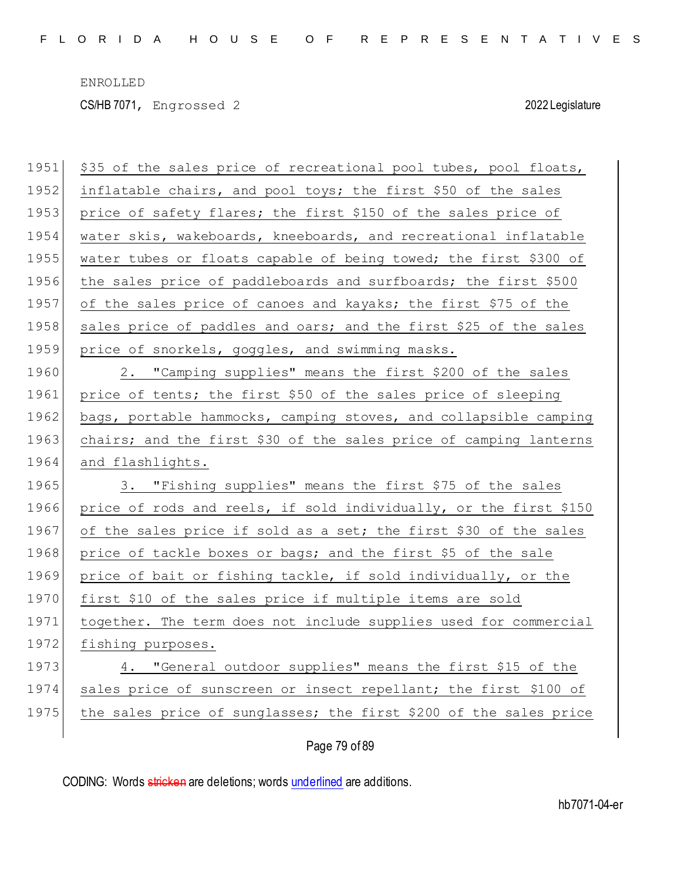CS/HB 7071, Engrossed 2 2022 Legislature

| 1951 | \$35 of the sales price of recreational pool tubes, pool floats,  |
|------|-------------------------------------------------------------------|
| 1952 | inflatable chairs, and pool toys; the first \$50 of the sales     |
| 1953 | price of safety flares; the first \$150 of the sales price of     |
| 1954 | water skis, wakeboards, kneeboards, and recreational inflatable   |
| 1955 | water tubes or floats capable of being towed; the first \$300 of  |
| 1956 | the sales price of paddleboards and surfboards; the first \$500   |
| 1957 | of the sales price of canoes and kayaks; the first \$75 of the    |
| 1958 | sales price of paddles and oars; and the first \$25 of the sales  |
| 1959 | price of snorkels, goggles, and swimming masks.                   |
| 1960 | 2. "Camping supplies" means the first \$200 of the sales          |
| 1961 | price of tents; the first \$50 of the sales price of sleeping     |
| 1962 | bags, portable hammocks, camping stoves, and collapsible camping  |
| 1963 | chairs; and the first \$30 of the sales price of camping lanterns |
|      |                                                                   |
| 1964 | and flashlights.                                                  |
| 1965 | 3. "Fishing supplies" means the first \$75 of the sales           |
| 1966 | price of rods and reels, if sold individually, or the first \$150 |
| 1967 | of the sales price if sold as a set; the first \$30 of the sales  |
| 1968 | price of tackle boxes or bags; and the first \$5 of the sale      |
| 1969 | price of bait or fishing tackle, if sold individually, or the     |
| 1970 | first \$10 of the sales price if multiple items are sold          |
| 1971 | together. The term does not include supplies used for commercial  |
| 1972 | fishing purposes.                                                 |
| 1973 | 4. "General outdoor supplies" means the first \$15 of the         |
| 1974 | sales price of sunscreen or insect repellant; the first \$100 of  |
| 1975 | the sales price of sunglasses; the first \$200 of the sales price |

Page 79 of 89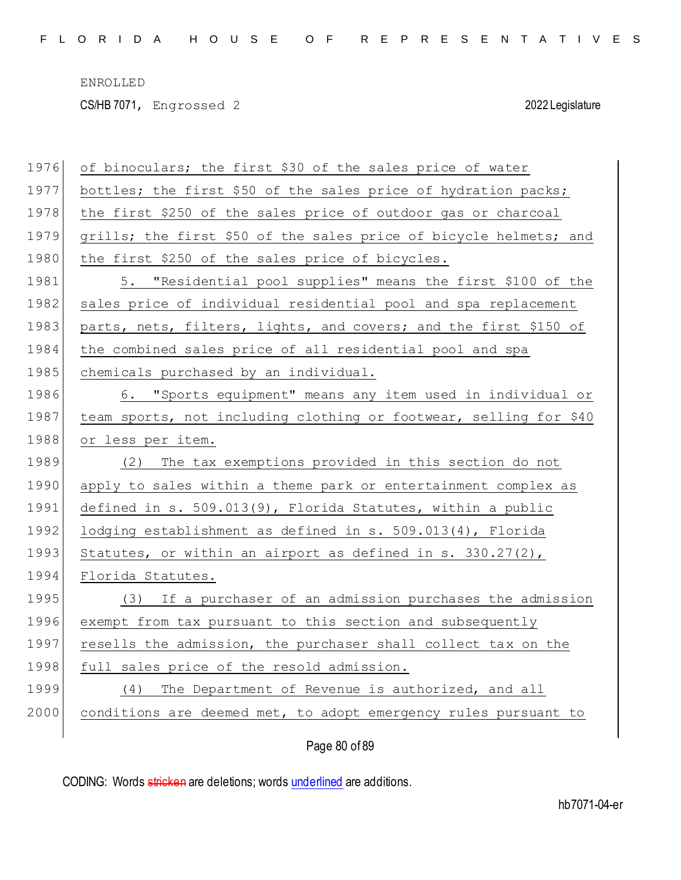CS/HB 7071, Engrossed 2 2022 Legislature

| 1976 | of binoculars; the first \$30 of the sales price of water         |
|------|-------------------------------------------------------------------|
| 1977 | bottles; the first \$50 of the sales price of hydration packs;    |
| 1978 | the first \$250 of the sales price of outdoor gas or charcoal     |
| 1979 | grills; the first \$50 of the sales price of bicycle helmets; and |
| 1980 | the first \$250 of the sales price of bicycles.                   |
| 1981 | 5. "Residential pool supplies" means the first \$100 of the       |
| 1982 | sales price of individual residential pool and spa replacement    |
| 1983 | parts, nets, filters, lights, and covers; and the first \$150 of  |
| 1984 | the combined sales price of all residential pool and spa          |
| 1985 | chemicals purchased by an individual.                             |
| 1986 | 6. "Sports equipment" means any item used in individual or        |
| 1987 | team sports, not including clothing or footwear, selling for \$40 |
| 1988 | or less per item.                                                 |
|      |                                                                   |
| 1989 | The tax exemptions provided in this section do not<br>(2)         |
| 1990 | apply to sales within a theme park or entertainment complex as    |
| 1991 | defined in s. 509.013(9), Florida Statutes, within a public       |
| 1992 | lodging establishment as defined in $s. 509.013(4)$ , Florida     |
| 1993 | Statutes, or within an airport as defined in s. 330.27(2),        |
| 1994 | Florida Statutes.                                                 |
| 1995 | (3) If a purchaser of an admission purchases the admission        |
| 1996 | exempt from tax pursuant to this section and subsequently         |
| 1997 | resells the admission, the purchaser shall collect tax on the     |
| 1998 | full sales price of the resold admission.                         |
| 1999 | (4) The Department of Revenue is authorized, and all              |
| 2000 | conditions are deemed met, to adopt emergency rules pursuant to   |

Page 80 of 89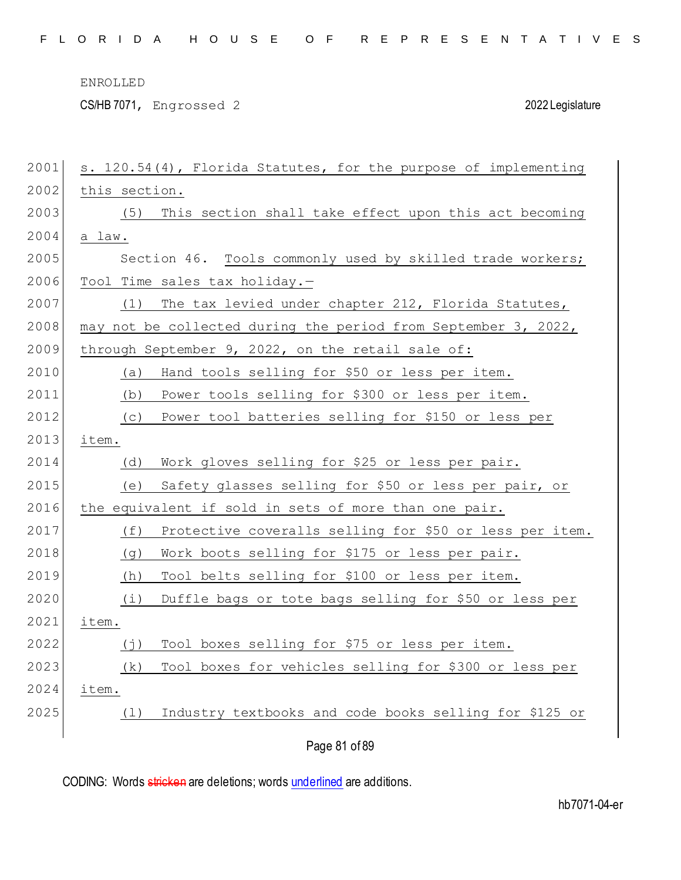CS/HB 7071, Engrossed 2 2022 Legislature

| 2001 | s. 120.54(4), Florida Statutes, for the purpose of implementing |
|------|-----------------------------------------------------------------|
| 2002 | this section.                                                   |
| 2003 | This section shall take effect upon this act becoming<br>(5)    |
| 2004 | a law.                                                          |
| 2005 | Section 46. Tools commonly used by skilled trade workers;       |
| 2006 | Tool Time sales tax holiday.-                                   |
| 2007 | The tax levied under chapter 212, Florida Statutes,<br>(1)      |
| 2008 | may not be collected during the period from September 3, 2022,  |
| 2009 | through September 9, 2022, on the retail sale of:               |
| 2010 | Hand tools selling for \$50 or less per item.<br>(a)            |
| 2011 | Power tools selling for \$300 or less per item.<br>(b)          |
| 2012 | Power tool batteries selling for \$150 or less per<br>(C)       |
| 2013 | item.                                                           |
| 2014 | Work gloves selling for \$25 or less per pair.<br>(d)           |
| 2015 | Safety glasses selling for \$50 or less per pair, or<br>(e)     |
| 2016 | the equivalent if sold in sets of more than one pair.           |
| 2017 | (f)<br>Protective coveralls selling for \$50 or less per item.  |
| 2018 | Work boots selling for \$175 or less per pair.<br>(g)           |
| 2019 | Tool belts selling for \$100 or less per item.<br>(h)           |
| 2020 | (i)<br>Duffle bags or tote bags selling for \$50 or less per    |
| 2021 | item.                                                           |
| 2022 | Tool boxes selling for \$75 or less per item.<br>(j)            |
| 2023 | Tool boxes for vehicles selling for \$300 or less per<br>(k)    |
| 2024 | item.                                                           |
| 2025 | Industry textbooks and code books selling for \$125 or<br>(1)   |
|      | Page 81 of 89                                                   |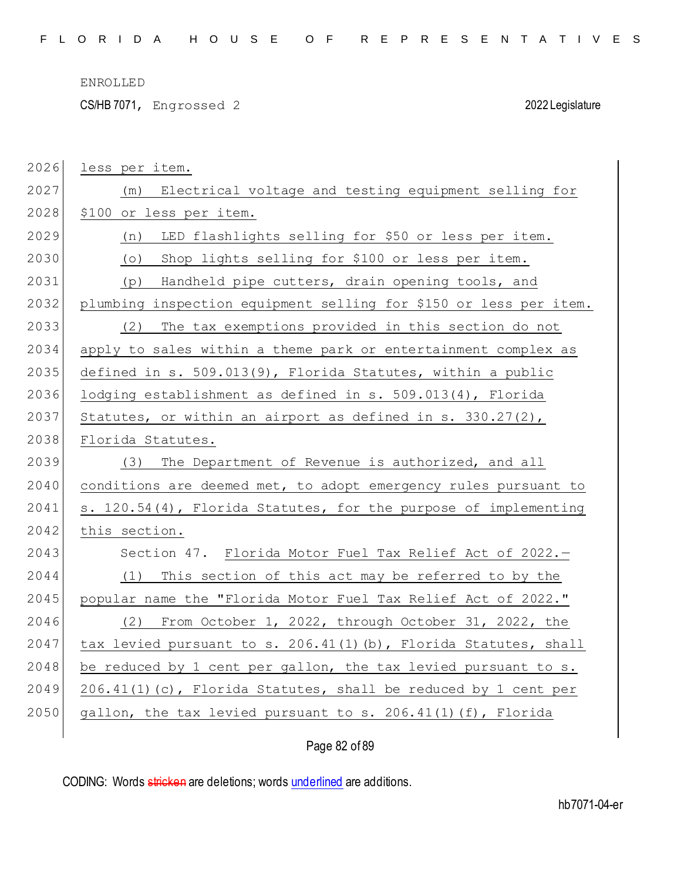CS/HB 7071, Engrossed 2 2022 Legislature

| 2026 | less per item.                                                    |
|------|-------------------------------------------------------------------|
| 2027 | Electrical voltage and testing equipment selling for<br>(m)       |
| 2028 | \$100 or less per item.                                           |
| 2029 | LED flashlights selling for \$50 or less per item.<br>(n)         |
| 2030 | Shop lights selling for \$100 or less per item.<br>$( \circ )$    |
| 2031 | Handheld pipe cutters, drain opening tools, and<br>(p)            |
| 2032 | plumbing inspection equipment selling for \$150 or less per item. |
| 2033 | (2)<br>The tax exemptions provided in this section do not         |
| 2034 | apply to sales within a theme park or entertainment complex as    |
| 2035 | defined in s. 509.013(9), Florida Statutes, within a public       |
| 2036 | lodging establishment as defined in s. 509.013(4), Florida        |
| 2037 | Statutes, or within an airport as defined in s. $330.27(2)$ ,     |
| 2038 | Florida Statutes.                                                 |
| 2039 | (3) The Department of Revenue is authorized, and all              |
| 2040 | conditions are deemed met, to adopt emergency rules pursuant to   |
| 2041 | s. 120.54(4), Florida Statutes, for the purpose of implementing   |
| 2042 | this section.                                                     |
| 2043 | Section 47. Florida Motor Fuel Tax Relief Act of 2022.-           |
| 2044 | (1) This section of this act may be referred to by the            |
| 2045 | popular name the "Florida Motor Fuel Tax Relief Act of 2022."     |
| 2046 | (2) From October 1, 2022, through October 31, 2022, the           |
| 2047 | tax levied pursuant to s. 206.41(1)(b), Florida Statutes, shall   |
| 2048 | be reduced by 1 cent per gallon, the tax levied pursuant to s.    |
| 2049 | $206.41(1)$ (c), Florida Statutes, shall be reduced by 1 cent per |
| 2050 | gallon, the tax levied pursuant to s. $206.41(1)$ (f), Florida    |
|      |                                                                   |

# Page 82 of 89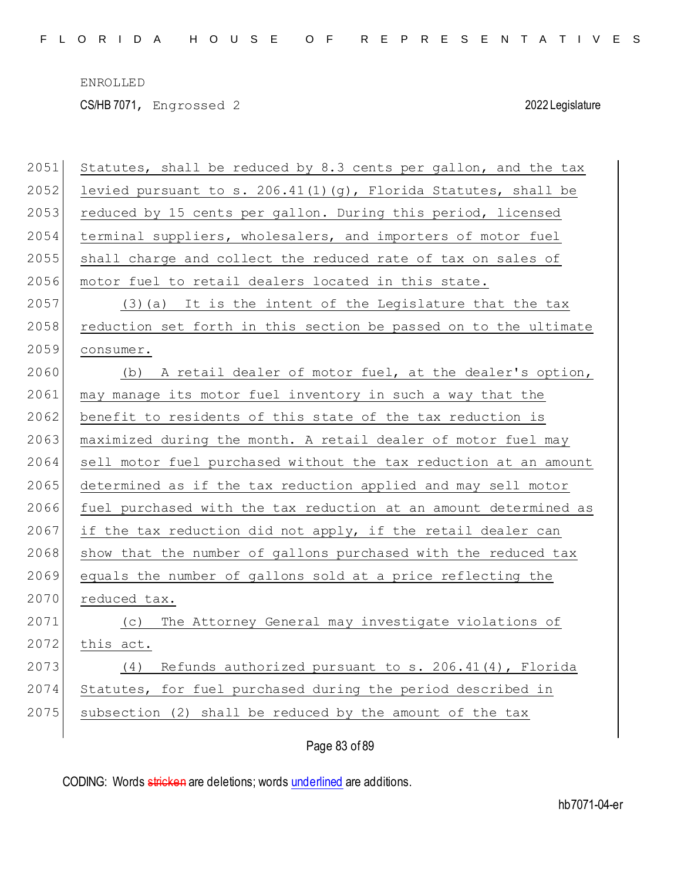CS/HB 7071, Engrossed 2 2022 Legislature

| 2051 | Statutes, shall be reduced by 8.3 cents per gallon, and the tax   |
|------|-------------------------------------------------------------------|
| 2052 | levied pursuant to s. $206.41(1)(g)$ , Florida Statutes, shall be |
| 2053 | reduced by 15 cents per gallon. During this period, licensed      |
| 2054 | terminal suppliers, wholesalers, and importers of motor fuel      |
| 2055 | shall charge and collect the reduced rate of tax on sales of      |
| 2056 | motor fuel to retail dealers located in this state.               |
| 2057 | $(3)$ (a) It is the intent of the Legislature that the tax        |
| 2058 | reduction set forth in this section be passed on to the ultimate  |
| 2059 | consumer.                                                         |
| 2060 | (b) A retail dealer of motor fuel, at the dealer's option,        |
| 2061 | may manage its motor fuel inventory in such a way that the        |
| 2062 | benefit to residents of this state of the tax reduction is        |
| 2063 | maximized during the month. A retail dealer of motor fuel may     |
| 2064 | sell motor fuel purchased without the tax reduction at an amount  |
| 2065 | determined as if the tax reduction applied and may sell motor     |
| 2066 | fuel purchased with the tax reduction at an amount determined as  |
| 2067 | if the tax reduction did not apply, if the retail dealer can      |
| 2068 | show that the number of gallons purchased with the reduced tax    |
| 2069 | equals the number of gallons sold at a price reflecting the       |
| 2070 | reduced tax.                                                      |
| 2071 | The Attorney General may investigate violations of<br>(C)         |
| 2072 | this act.                                                         |
| 2073 | Refunds authorized pursuant to s. 206.41(4), Florida<br>(4)       |
| 2074 | Statutes, for fuel purchased during the period described in       |
| 2075 | subsection (2) shall be reduced by the amount of the tax          |
|      | Page 83 of 89                                                     |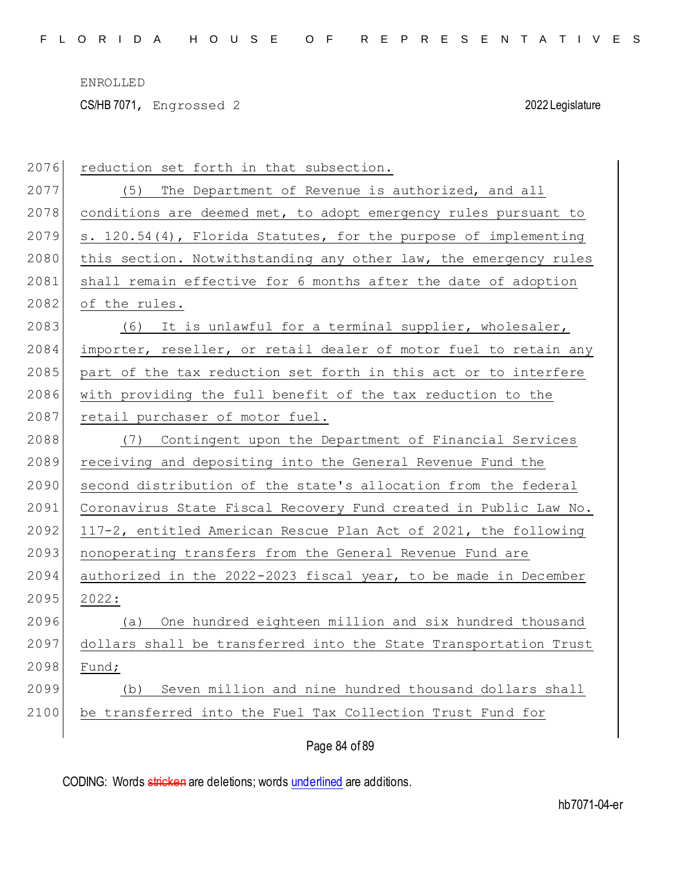CS/HB 7071, Engrossed 2 2022 Legislature

| 2076 | reduction set forth in that subsection.                          |
|------|------------------------------------------------------------------|
| 2077 | (5) The Department of Revenue is authorized, and all             |
| 2078 | conditions are deemed met, to adopt emergency rules pursuant to  |
| 2079 | s. 120.54(4), Florida Statutes, for the purpose of implementing  |
| 2080 | this section. Notwithstanding any other law, the emergency rules |
| 2081 | shall remain effective for 6 months after the date of adoption   |
| 2082 | of the rules.                                                    |
| 2083 | (6) It is unlawful for a terminal supplier, wholesaler,          |
| 2084 | importer, reseller, or retail dealer of motor fuel to retain any |
| 2085 | part of the tax reduction set forth in this act or to interfere  |
| 2086 | with providing the full benefit of the tax reduction to the      |
| 2087 | retail purchaser of motor fuel.                                  |
| 2088 | (7) Contingent upon the Department of Financial Services         |
| 2089 | receiving and depositing into the General Revenue Fund the       |
| 2090 | second distribution of the state's allocation from the federal   |
| 2091 | Coronavirus State Fiscal Recovery Fund created in Public Law No. |
| 2092 | 117-2, entitled American Rescue Plan Act of 2021, the following  |
| 2093 | nonoperating transfers from the General Revenue Fund are         |
| 2094 | authorized in the 2022-2023 fiscal year, to be made in December  |
| 2095 | 2022:                                                            |
| 2096 | (a) One hundred eighteen million and six hundred thousand        |
| 2097 | dollars shall be transferred into the State Transportation Trust |
| 2098 | Fund;                                                            |
| 2099 | Seven million and nine hundred thousand dollars shall<br>(b)     |
| 2100 | be transferred into the Fuel Tax Collection Trust Fund for       |
|      | Page 84 of 89                                                    |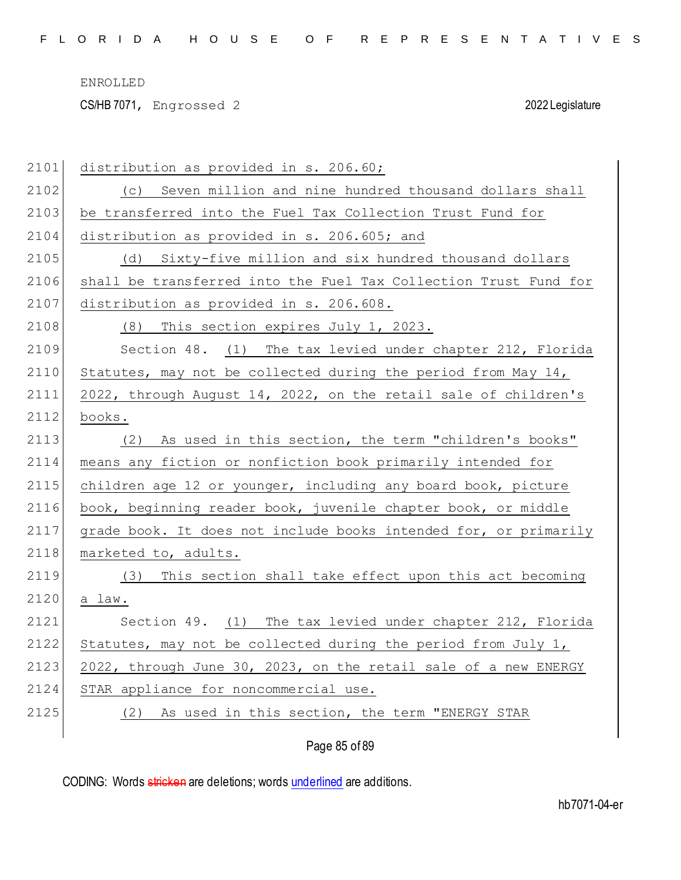CS/HB 7071, Engrossed 2 2022 Legislature

| 2101 | distribution as provided in s. 206.60;                           |
|------|------------------------------------------------------------------|
| 2102 | (c) Seven million and nine hundred thousand dollars shall        |
| 2103 | be transferred into the Fuel Tax Collection Trust Fund for       |
| 2104 | distribution as provided in s. 206.605; and                      |
| 2105 | (d) Sixty-five million and six hundred thousand dollars          |
| 2106 | shall be transferred into the Fuel Tax Collection Trust Fund for |
| 2107 | distribution as provided in s. 206.608.                          |
| 2108 | (8) This section expires July 1, 2023.                           |
| 2109 | Section 48. (1) The tax levied under chapter 212, Florida        |
| 2110 | Statutes, may not be collected during the period from May 14,    |
| 2111 | 2022, through August 14, 2022, on the retail sale of children's  |
| 2112 | books.                                                           |
| 2113 | (2) As used in this section, the term "children's books"         |
| 2114 | means any fiction or nonfiction book primarily intended for      |
| 2115 | children age 12 or younger, including any board book, picture    |
| 2116 | book, beginning reader book, juvenile chapter book, or middle    |
| 2117 | grade book. It does not include books intended for, or primarily |
| 2118 | marketed to, adults.                                             |
| 2119 | This section shall take effect upon this act becoming<br>(3)     |
| 2120 | a law.                                                           |
| 2121 | Section 49. (1) The tax levied under chapter 212, Florida        |
| 2122 | Statutes, may not be collected during the period from July 1,    |
| 2123 | 2022, through June 30, 2023, on the retail sale of a new ENERGY  |
| 2124 | STAR appliance for noncommercial use.                            |
| 2125 | As used in this section, the term "ENERGY STAR<br>(2)            |
|      |                                                                  |

Page 85 of 89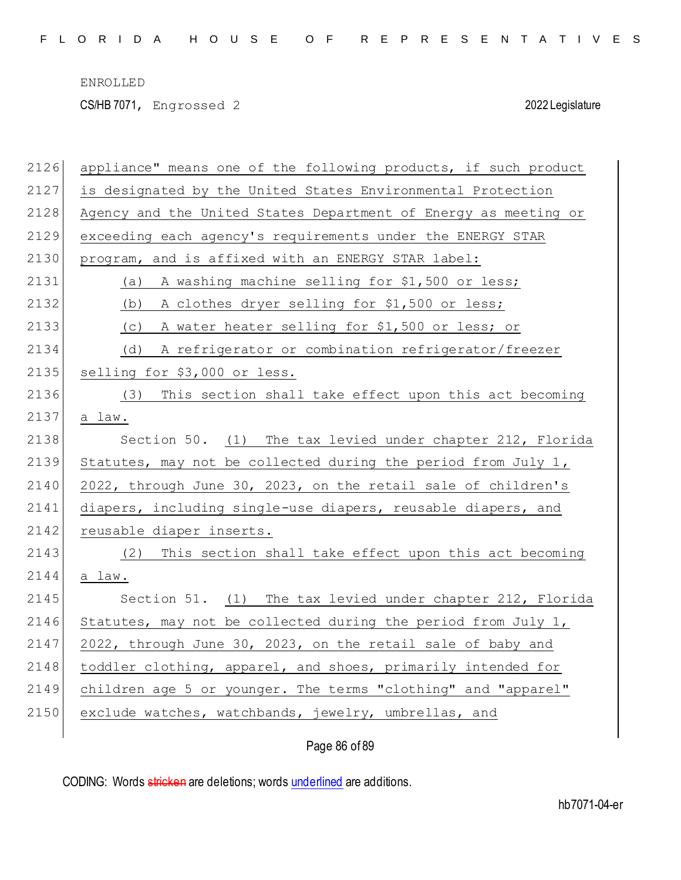CS/HB 7071, Engrossed 2 2022 Legislature

| 2126 | appliance" means one of the following products, if such product |
|------|-----------------------------------------------------------------|
| 2127 | is designated by the United States Environmental Protection     |
| 2128 | Agency and the United States Department of Energy as meeting or |
| 2129 | exceeding each agency's requirements under the ENERGY STAR      |
| 2130 | program, and is affixed with an ENERGY STAR label:              |
| 2131 | A washing machine selling for \$1,500 or less;<br>(a)           |
| 2132 | A clothes dryer selling for \$1,500 or less;<br>(b)             |
| 2133 | A water heater selling for \$1,500 or less; or<br>(C)           |
| 2134 | A refrigerator or combination refrigerator/freezer<br>(d)       |
| 2135 | selling for \$3,000 or less.                                    |
| 2136 | This section shall take effect upon this act becoming<br>(3)    |
| 2137 | a law.                                                          |
| 2138 | Section 50. (1) The tax levied under chapter 212, Florida       |
| 2139 | Statutes, may not be collected during the period from July 1,   |
| 2140 | 2022, through June 30, 2023, on the retail sale of children's   |
| 2141 | diapers, including single-use diapers, reusable diapers, and    |
| 2142 | reusable diaper inserts.                                        |
| 2143 | This section shall take effect upon this act becoming<br>(2)    |
| 2144 | a law.                                                          |
| 2145 | Section 51. (1) The tax levied under chapter 212, Florida       |
| 2146 | Statutes, may not be collected during the period from July 1,   |
| 2147 | 2022, through June 30, 2023, on the retail sale of baby and     |
| 2148 | toddler clothing, apparel, and shoes, primarily intended for    |
| 2149 | children age 5 or younger. The terms "clothing" and "apparel"   |
| 2150 | exclude watches, watchbands, jewelry, umbrellas, and            |
|      |                                                                 |

Page 86 of 89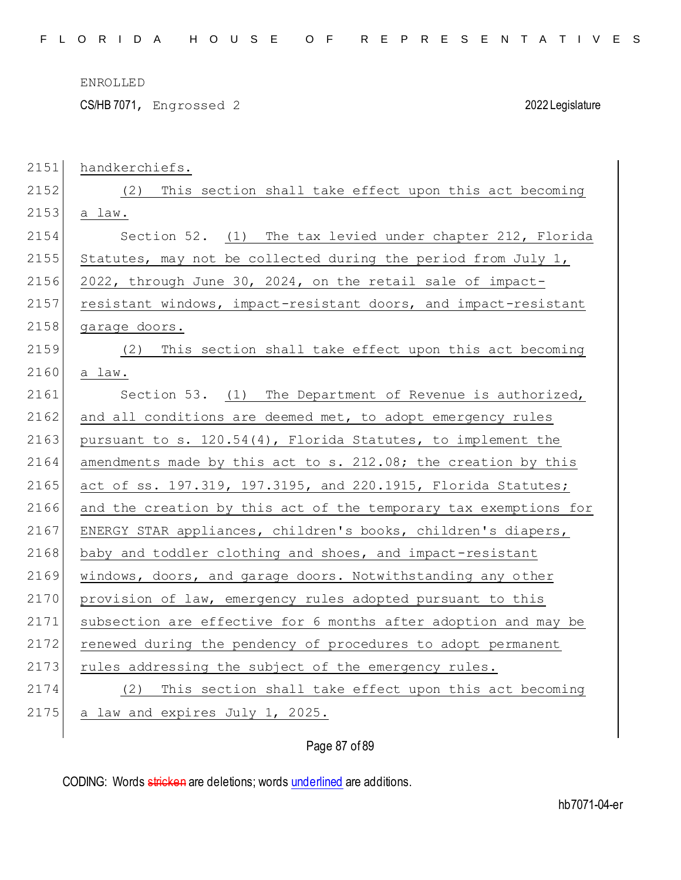CS/HB 7071, Engrossed 2 2022 Legislature

| 2151 | handkerchiefs.                                                   |
|------|------------------------------------------------------------------|
| 2152 | This section shall take effect upon this act becoming<br>(2)     |
| 2153 | a law.                                                           |
| 2154 | Section 52. (1) The tax levied under chapter 212, Florida        |
| 2155 | Statutes, may not be collected during the period from July 1,    |
| 2156 | 2022, through June 30, 2024, on the retail sale of impact-       |
| 2157 | resistant windows, impact-resistant doors, and impact-resistant  |
| 2158 | garage doors.                                                    |
| 2159 | This section shall take effect upon this act becoming<br>(2)     |
| 2160 | a law.                                                           |
| 2161 | Section 53. (1) The Department of Revenue is authorized,         |
| 2162 | and all conditions are deemed met, to adopt emergency rules      |
| 2163 | pursuant to s. 120.54(4), Florida Statutes, to implement the     |
| 2164 | amendments made by this act to s. 212.08; the creation by this   |
| 2165 | act of ss. 197.319, 197.3195, and 220.1915, Florida Statutes;    |
| 2166 | and the creation by this act of the temporary tax exemptions for |
| 2167 | ENERGY STAR appliances, children's books, children's diapers,    |
| 2168 | baby and toddler clothing and shoes, and impact-resistant        |
| 2169 | windows, doors, and garage doors. Notwithstanding any other      |
| 2170 | provision of law, emergency rules adopted pursuant to this       |
| 2171 | subsection are effective for 6 months after adoption and may be  |
| 2172 | renewed during the pendency of procedures to adopt permanent     |
| 2173 | rules addressing the subject of the emergency rules.             |
| 2174 | (2) This section shall take effect upon this act becoming        |
| 2175 | a law and expires July 1, 2025.                                  |
|      |                                                                  |

Page 87 of 89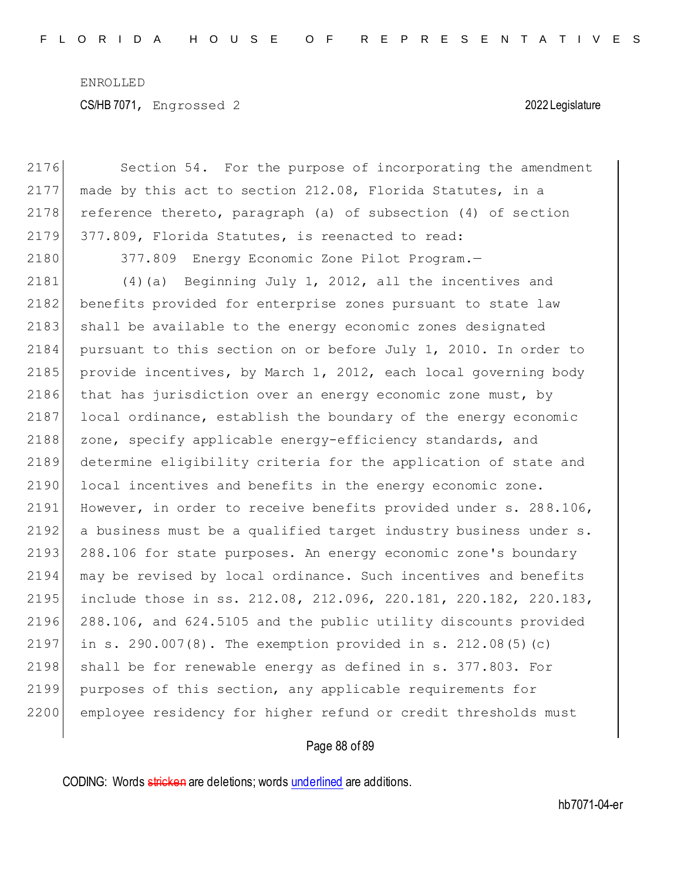ENROLLED CS/HB 7071, Engrossed 2 2022 Legislature

| 2176 | Section 54. For the purpose of incorporating the amendment       |
|------|------------------------------------------------------------------|
| 2177 | made by this act to section 212.08, Florida Statutes, in a       |
| 2178 | reference thereto, paragraph (a) of subsection (4) of section    |
| 2179 | 377.809, Florida Statutes, is reenacted to read:                 |
| 2180 | 377.809 Energy Economic Zone Pilot Program.-                     |
| 2181 | Beginning July 1, 2012, all the incentives and<br>(4)(a)         |
| 2182 | benefits provided for enterprise zones pursuant to state law     |
| 2183 | shall be available to the energy economic zones designated       |
| 2184 | pursuant to this section on or before July 1, 2010. In order to  |
| 2185 | provide incentives, by March 1, 2012, each local governing body  |
| 2186 | that has jurisdiction over an energy economic zone must, by      |
| 2187 | local ordinance, establish the boundary of the energy economic   |
| 2188 | zone, specify applicable energy-efficiency standards, and        |
| 2189 | determine eligibility criteria for the application of state and  |
| 2190 | local incentives and benefits in the energy economic zone.       |
| 2191 | However, in order to receive benefits provided under s. 288.106, |
| 2192 | a business must be a qualified target industry business under s. |
| 2193 | 288.106 for state purposes. An energy economic zone's boundary   |
| 2194 | may be revised by local ordinance. Such incentives and benefits  |
| 2195 | include those in ss. 212.08, 212.096, 220.181, 220.182, 220.183, |
| 2196 | 288.106, and 624.5105 and the public utility discounts provided  |
| 2197 | in s. $290.007(8)$ . The exemption provided in s. $212.08(5)(c)$ |
| 2198 | shall be for renewable energy as defined in s. 377.803. For      |
| 2199 | purposes of this section, any applicable requirements for        |
| 2200 | employee residency for higher refund or credit thresholds must   |
|      |                                                                  |

# Page 88 of 89